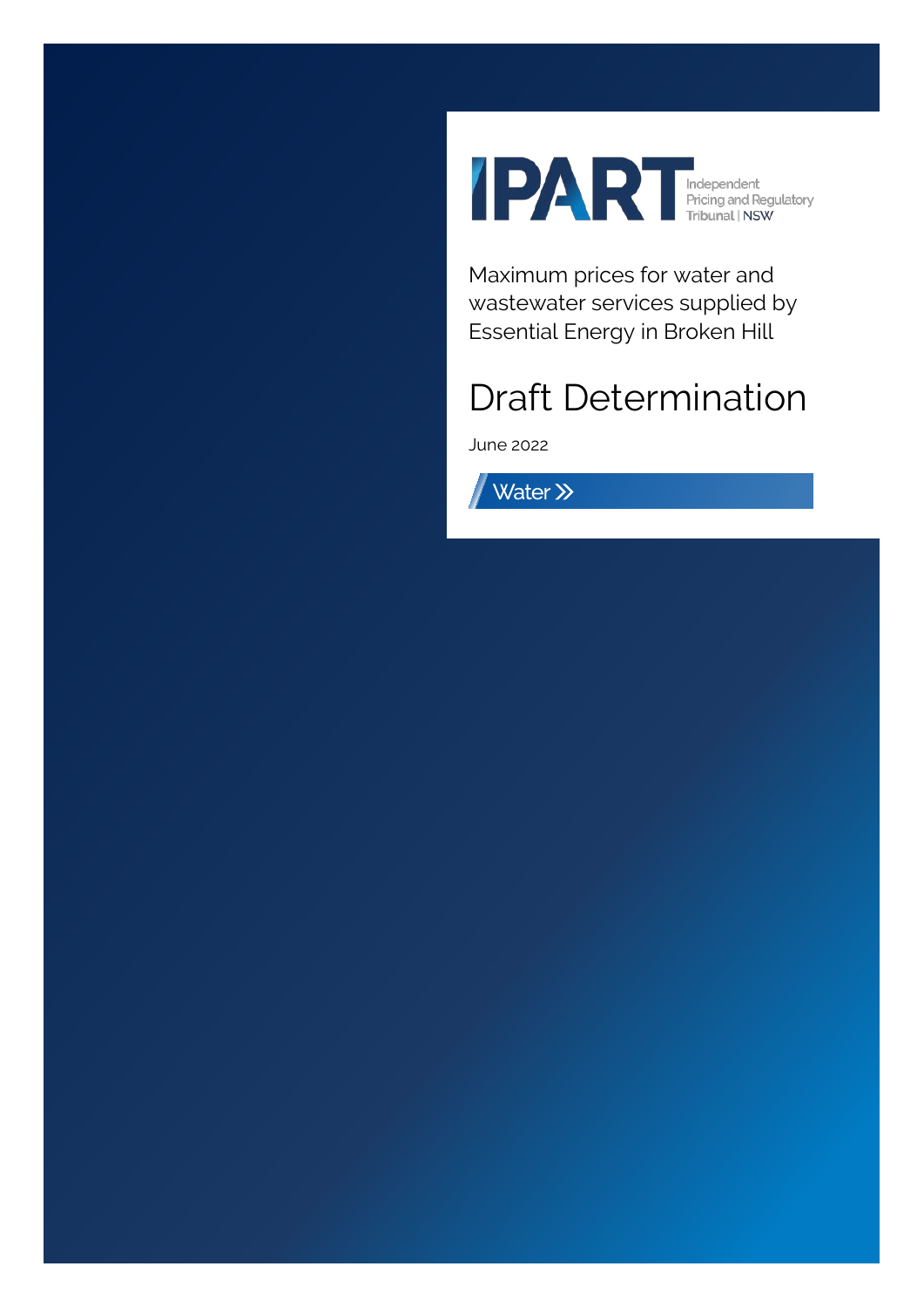

Maximum prices for water and wastewater services supplied by Essential Energy in Broken Hill

# Draft Determination

June 2022

Water >>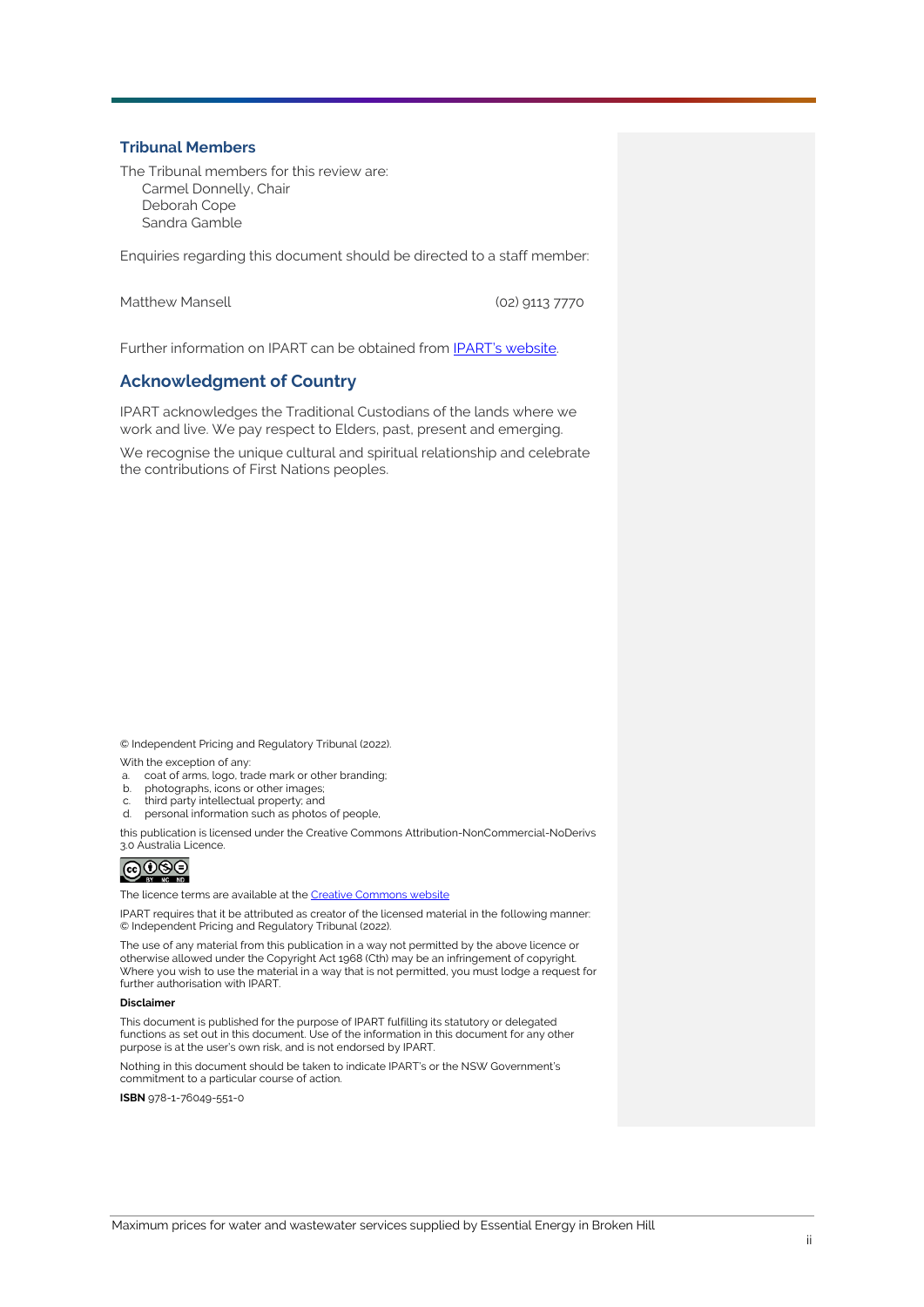#### **Tribunal Members**

The Tribunal members for this review are: Carmel Donnelly, Chair Deborah Cope Sandra Gamble

Enquiries regarding this document should be directed to a staff member:

Matthew Mansell (02) 9113 7770

Further information on IPART can be obtained from **IPART's website**.

### **Acknowledgment of Country**

IPART acknowledges the Traditional Custodians of the lands where we work and live. We pay respect to Elders, past, present and emerging.

We recognise the unique cultural and spiritual relationship and celebrate the contributions of First Nations peoples.

© Independent Pricing and Regulatory Tribunal (2022). With the exception of any:

- a. coat of arms, logo, trade mark or other branding;
- photographs, icons or other images;
- third party intellectual property; and
- d. personal information such as photos of people,

this publication is licensed under the Creative Commons Attribution-NonCommercial-NoDerivs 3.0 Australia Licence.

# $@@@@$

The licence terms are available at th[e Creative Commons](https://creativecommons.org/licenses/by-nc-nd/3.0/au/legalcode) website

IPART requires that it be attributed as creator of the licensed material in the following manner: © Independent Pricing and Regulatory Tribunal (2022).

The use of any material from this publication in a way not permitted by the above licence or otherwise allowed under the Copyright Act 1968 (Cth) may be an infringement of copyright. Where you wish to use the material in a way that is not permitted, you must lodge a request for further authorisation with IPART.

#### **Disclaimer**

This document is published for the purpose of IPART fulfilling its statutory or delegated functions as set out in this document. Use of the information in this document for any other purpose is at the user's own risk, and is not endorsed by IPART.

Nothing in this document should be taken to indicate IPART's or the NSW Government's commitment to a particular course of action.

**ISBN** 978-1-76049-551-0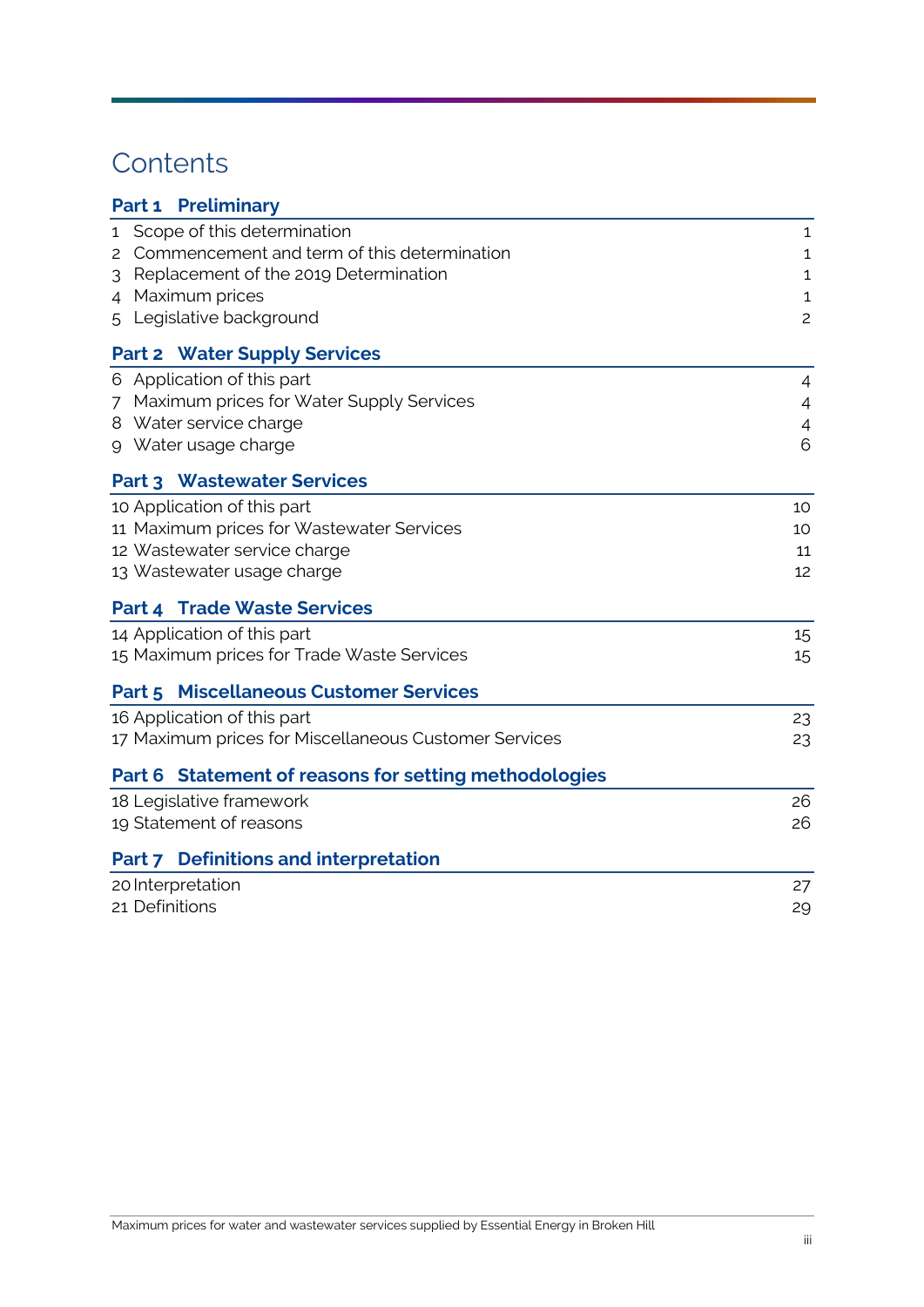# **Contents**

| <b>Part 1 Preliminary</b>                             |                |
|-------------------------------------------------------|----------------|
| Scope of this determination<br>1                      | 1              |
| 2 Commencement and term of this determination         | 1              |
| Replacement of the 2019 Determination<br>3            | 1              |
| Maximum prices<br>4                                   | $\mathbf{1}$   |
| 5 Legislative background                              | $\overline{c}$ |
| <b>Part 2 Water Supply Services</b>                   |                |
| 6 Application of this part                            | 4              |
| 7 Maximum prices for Water Supply Services            | $\overline{4}$ |
| 8 Water service charge                                | $\overline{4}$ |
| 9 Water usage charge                                  | 6              |
| <b>Part 3 Wastewater Services</b>                     |                |
| 10 Application of this part                           | 10             |
| 11 Maximum prices for Wastewater Services             | 10             |
| 12 Wastewater service charge                          | 11             |
| 13 Wastewater usage charge                            | 12             |
| <b>Part 4 Trade Waste Services</b>                    |                |
| 14 Application of this part                           | 15             |
| 15 Maximum prices for Trade Waste Services            | 15             |
| <b>Part 5 Miscellaneous Customer Services</b>         |                |
| 16 Application of this part                           | 23             |
| 17 Maximum prices for Miscellaneous Customer Services | 23             |
| Part 6 Statement of reasons for setting methodologies |                |
| 18 Legislative framework                              | 26             |
| 19 Statement of reasons                               | 26             |
| Part 7 Definitions and interpretation                 |                |
| 20 Interpretation                                     | 27             |
| 21 Definitions                                        | 29             |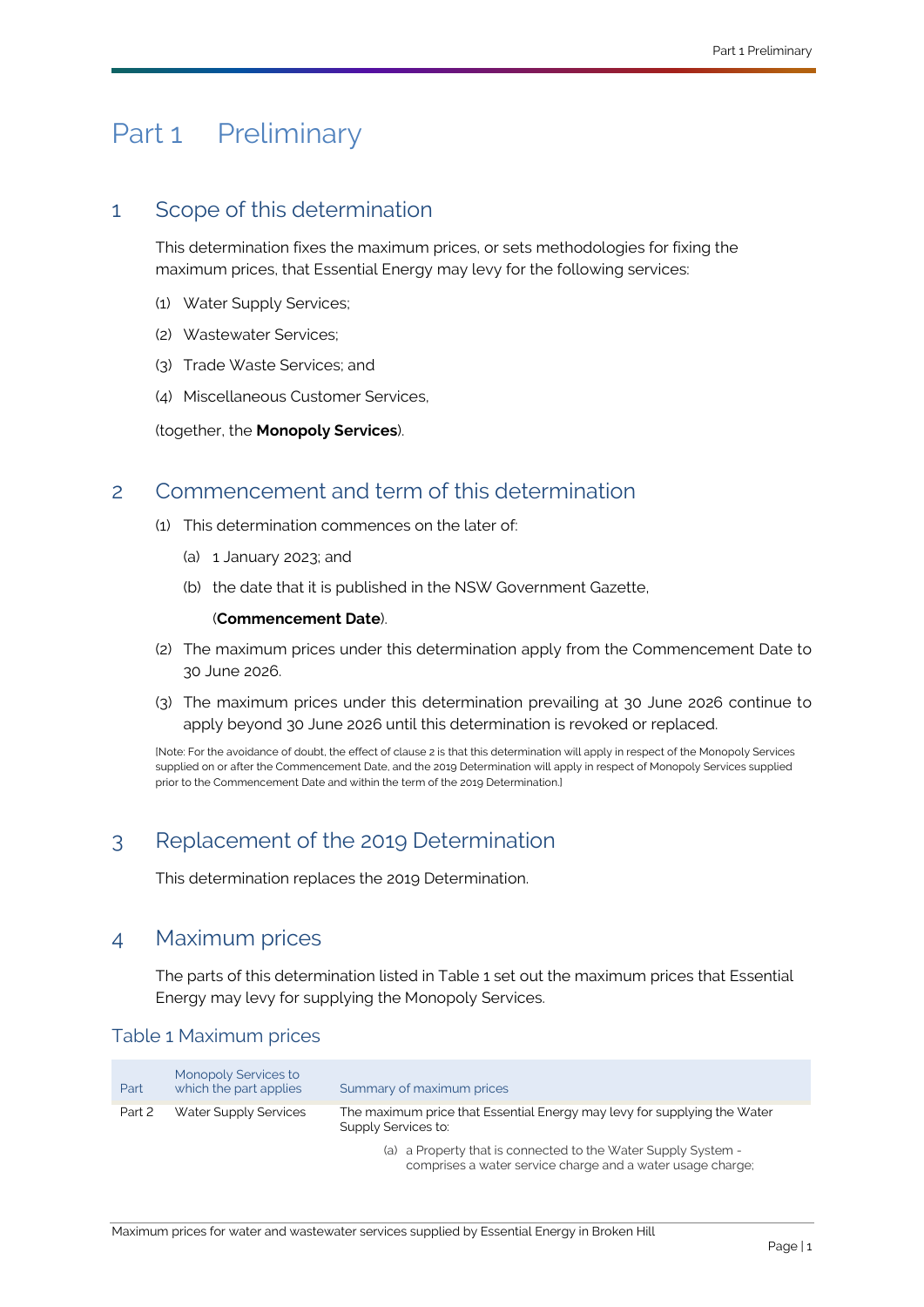# <span id="page-3-5"></span><span id="page-3-0"></span>Part 1 Preliminary

# <span id="page-3-8"></span><span id="page-3-1"></span>1 Scope of this determination

This determination fixes the maximum prices, or sets methodologies for fixing the maximum prices, that [Essential Energy](#page-33-0) may levy for the following services:

- (1) [Water Supply Services;](#page-36-0)
- (2) [Wastewater Services;](#page-36-1)
- (3) [Trade Waste Services;](#page-36-2) and
- (4) [Miscellaneous Customer Services,](#page-34-0)

(together, the **[Monopoly Services](#page-34-1)**).

# <span id="page-3-7"></span><span id="page-3-2"></span>2 Commencement and term of this determination

- (1) This determination commences on the later of:
	- (a) 1 January 2023; and
	- (b) the date that it is published in the NSW Government Gazette,

#### (**[Commencement Date](#page-32-0)**).

- (2) The maximum prices under this determination apply from the [Commencement Date](#page-32-0) to 30 June 2026.
- (3) The maximum prices under this determination prevailing at 30 June 2026 continue to apply beyond 30 June 2026 until this determination is revoked or replaced.

[Note: For the avoidance of doubt, the effect of clause 2 is that this determination will apply in respect of th[e Monopoly Services](#page-34-1) supplied on or after the [Commencement Date,](#page-32-0) and th[e 2019 Determination](#page-31-1) will apply in respect o[f Monopoly Services](#page-34-1) supplied prior to th[e Commencement Date](#page-32-0) and within the term of th[e 2019 Determination.\]](#page-31-1)

# <span id="page-3-3"></span>3 Replacement of the 2019 [Determination](#page-31-1)

This determination replaces the [2019 Determination.](#page-31-1)

# <span id="page-3-4"></span>4 Maximum prices

The parts of this determination listed in [Table 1](#page-3-6) set out the maximum prices that [Essential](#page-33-0)  [Energy](#page-33-0) may levy for supplying the [Monopoly Services.](#page-34-1)

### <span id="page-3-6"></span>Table 1 Maximum prices

| Part   | Monopoly Services to<br>which the part applies | Summary of maximum prices                                                                                                   |
|--------|------------------------------------------------|-----------------------------------------------------------------------------------------------------------------------------|
| Part 2 | Water Supply Services                          | The maximum price that Essential Energy may levy for supplying the Water<br>Supply Services to:                             |
|        |                                                | (a) a Property that is connected to the Water Supply System -<br>comprises a water service charge and a water usage charge; |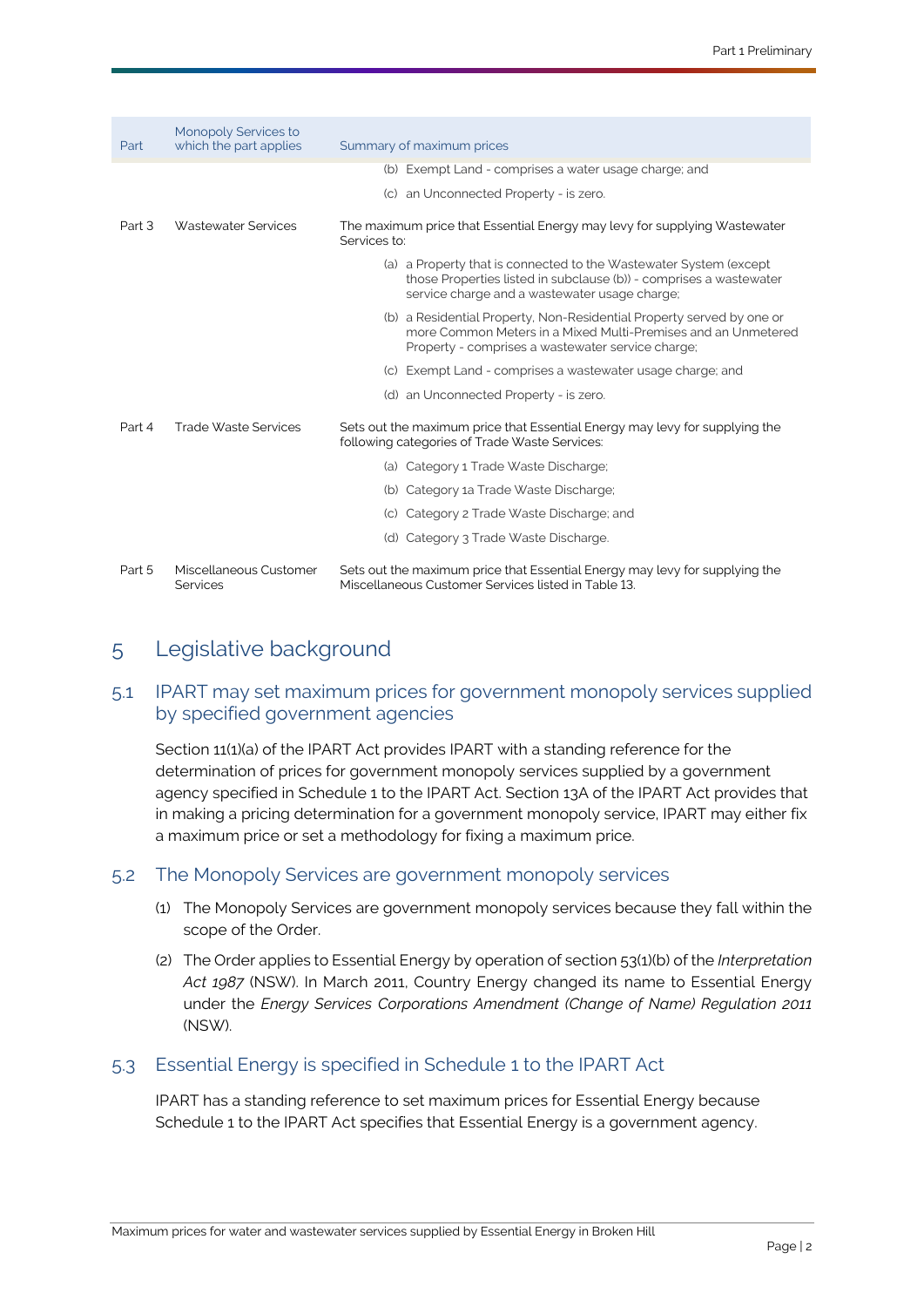| Part   | Monopoly Services to<br>which the part applies | Summary of maximum prices                                                                                                                                                                   |
|--------|------------------------------------------------|---------------------------------------------------------------------------------------------------------------------------------------------------------------------------------------------|
|        |                                                | (b) Exempt Land - comprises a water usage charge; and                                                                                                                                       |
|        |                                                | (c) an Unconnected Property - is zero.                                                                                                                                                      |
| Part 3 | Wastewater Services                            | The maximum price that Essential Energy may levy for supplying Wastewater<br>Services to:                                                                                                   |
|        |                                                | (a) a Property that is connected to the Wastewater System (except<br>those Properties listed in subclause (b)) - comprises a wastewater<br>service charge and a wastewater usage charge;    |
|        |                                                | (b) a Residential Property, Non-Residential Property served by one or<br>more Common Meters in a Mixed Multi-Premises and an Unmetered<br>Property - comprises a wastewater service charge; |
|        |                                                | (c) Exempt Land - comprises a wastewater usage charge; and                                                                                                                                  |
|        |                                                | (d) an Unconnected Property - is zero.                                                                                                                                                      |
| Part 4 | Trade Waste Services                           | Sets out the maximum price that Essential Energy may levy for supplying the<br>following categories of Trade Waste Services:                                                                |
|        |                                                | (a) Category 1 Trade Waste Discharge;                                                                                                                                                       |
|        |                                                | (b) Category 1a Trade Waste Discharge;                                                                                                                                                      |
|        |                                                | (c) Category 2 Trade Waste Discharge; and                                                                                                                                                   |
|        |                                                | (d) Category 3 Trade Waste Discharge.                                                                                                                                                       |
| Part 5 | Miscellaneous Customer<br>Services             | Sets out the maximum price that Essential Energy may levy for supplying the<br>Miscellaneous Customer Services listed in Table 13.                                                          |

# <span id="page-4-0"></span>5 Legislative background

## 5.1 [IPART](#page-33-2) may set maximum prices for government monopoly services supplied by specified government agencies

Section 11(1)(a) of the [IPART Act](#page-33-3) provides [IPART](#page-33-2) with a standing reference for the determination of prices for government monopoly services supplied by a government agency specified in Schedule 1 to the [IPART Act.](#page-33-3) Section 13A of the IPART Act provides that in making a pricing determination for a government monopoly service, IPART may either fix a maximum price or set a methodology for fixing a maximum price.

### 5.2 The [Monopoly Services](#page-34-1) are government monopoly services

- (1) The [Monopoly Services](#page-34-1) are government monopoly services because they fall within the scope of the [Order.](#page-35-4)
- (2) The [Order](#page-35-4) applies to [Essential Energy](#page-33-0) by operation of section 53(1)(b) of the *Interpretation Act 1987* (NSW). In March 2011, Country Energy changed its name to [Essential Energy](#page-33-0) under the *Energy Services Corporations Amendment (Change of Name) Regulation 2011* (NSW).

### 5.3 [Essential Energy](#page-33-0) is specified in Schedule 1 to the [IPART Act](#page-33-3)

[IPART](#page-33-2) has a standing reference to set maximum prices for [Essential Energy](#page-33-0) because Schedule 1 to the [IPART Act](#page-33-3) specifies that [Essential Energy](#page-33-0) is a government agency.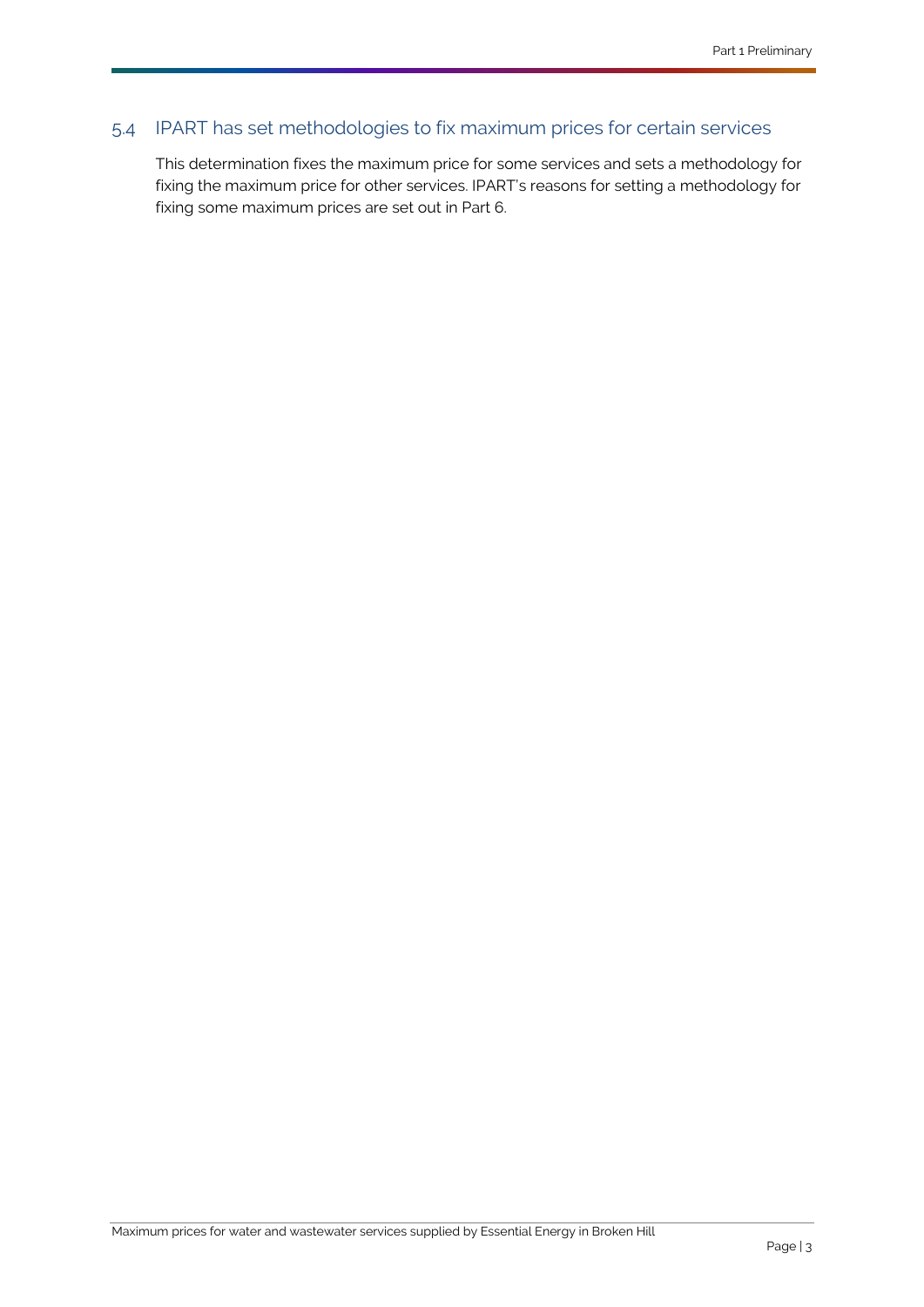# 5.4 [IPART](#page-33-2) has set methodologies to fix maximum prices for certain services

This determination fixes the maximum price for some services and sets a methodology for fixing the maximum price for other services. [IPART's](#page-33-2) reasons for setting a methodology for fixing some maximum prices are set out in [Part 6.](#page-28-3)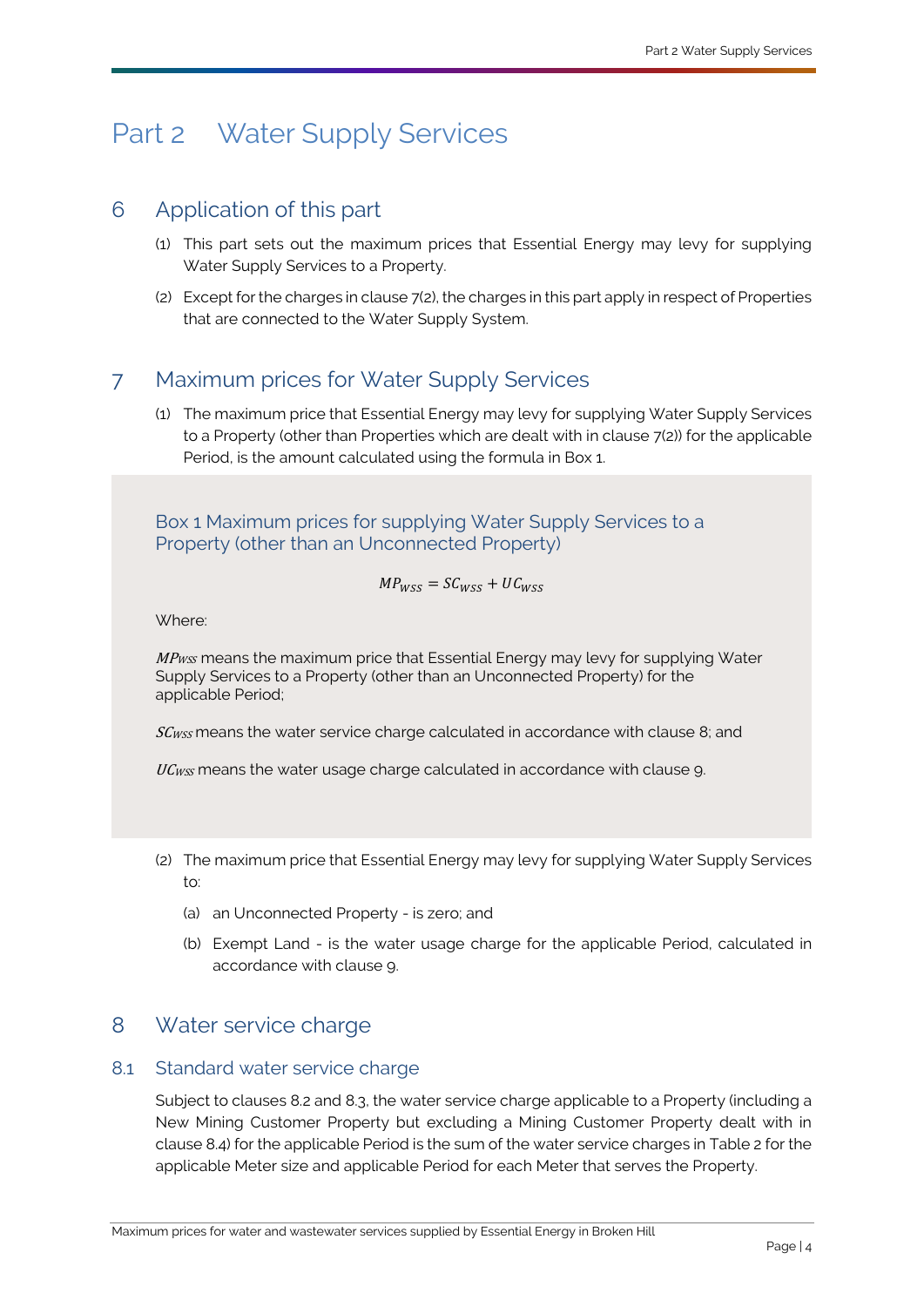# <span id="page-6-4"></span><span id="page-6-0"></span>Part 2 [Water Supply Services](#page-36-0)

# <span id="page-6-1"></span>6 Application of this part

- (1) This part sets out the maximum prices that [Essential Energy](#page-33-0) may levy for supplying [Water Supply Services](#page-36-0) to a [Property.](#page-35-0)
- (2) Except for the charges in clause [7\(2\),](#page-6-5) the charges in this part apply in respect of [Properties](#page-35-1) that are connected to the [Water Supply System.](#page-37-0)

# <span id="page-6-2"></span>7 Maximum prices for [Water Supply Services](#page-36-0)

(1) The maximum price tha[t Essential Energy](#page-33-0) may levy for supplying [Water Supply Services](#page-36-0) to a [Property](#page-35-0) (other than [Properties](#page-35-1) which are dealt with in clause 7(2)) for the applicable [Period,](#page-35-5) is the amount calculated using the formula in Box 1.

Box 1 Maximum prices for supplying [Water Supply Services](#page-36-0) to a [Property](#page-35-0) (other than an [Unconnected Property\)](#page-36-3)

$$
MP_{WSS} = SC_{WSS} + UC_{WSS}
$$

Where:

 $MP_{WSS}$  means the maximum price that [Essential Energy](#page-33-0) may levy for supplying Water [Supply Services](#page-36-0) to a [Property](#page-35-0) (other than an [Unconnected Property\)](#page-36-3) for the applicable [Period;](#page-35-5)

SC<sub>WSS</sub> means the water service charge calculated in accordance with clause [8;](#page-6-6) and

UCwss means the water usage charge calculated in accordance with clause 9.

- <span id="page-6-5"></span>(2) The maximum price tha[t Essential Energy](#page-33-0) may levy for supplying [Water Supply](#page-36-0) Services to:
	- (a) an [Unconnected Property](#page-36-3) is zero; and
	- (b) [Exempt Land](#page-33-1) is the water usage charge for the applicable [Period,](#page-35-5) calculated in accordance with clause [9.](#page-8-1)

# <span id="page-6-6"></span><span id="page-6-3"></span>8 Water service charge

## <span id="page-6-7"></span>8.1 Standard water service charge

Subject to clauses [8.2](#page-7-0) and [8.3,](#page-7-1) the water service charge applicable to [a Property](#page-35-0) (including a [New Mining Customer Property](#page-34-3) but excluding a [Mining Customer Property](#page-34-4) dealt with in clause [8.4\)](#page-8-2) for the applicable [Period](#page-35-5) is the sum of the water service charges in Table 2 for the applicable [Meter](#page-33-4) size and applicable [Period](#page-35-5) for eac[h Meter](#page-33-4) that serves the [Property.](#page-35-0)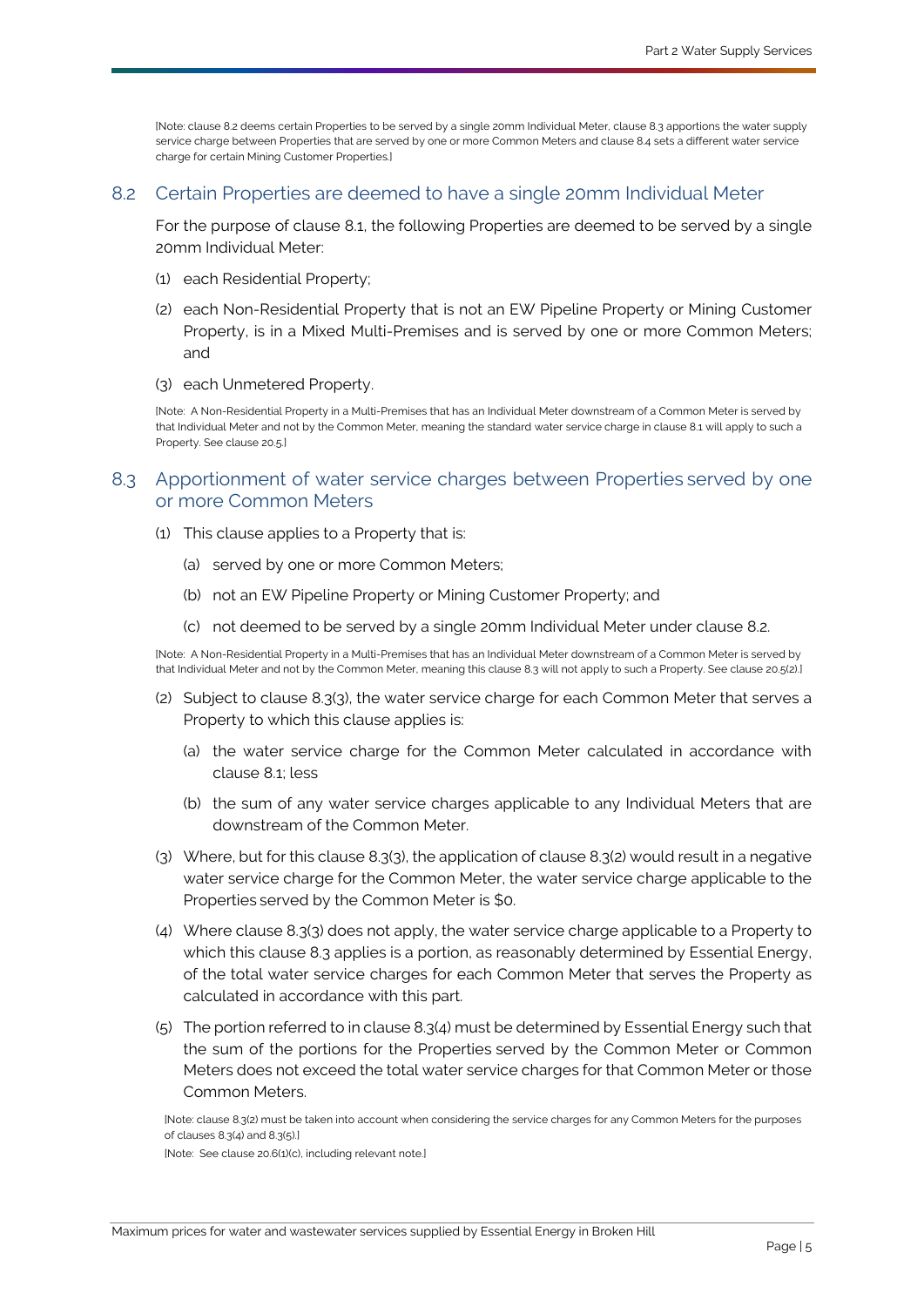[Note: claus[e 8.2](#page-7-0) deems certai[n Properties](#page-35-1) to be served by a single 20m[m Individual Meter,](#page-33-5) clause [8.3](#page-7-1) apportions the water supply service charge betwee[n Properties](#page-35-1) that are served by one or mor[e Common Meters](#page-32-1) and claus[e 8.4](#page-8-3) sets a different water service charge for certai[n Mining Customer Properties.\]](#page-34-5)

#### <span id="page-7-0"></span>8.2 Certain [Properties](#page-35-1) are deemed to have a single 20mm [Individual Meter](#page-33-5)

For the purpose of clause [8.1,](#page-6-7) the following [Properties](#page-35-1) are deemed to be served by a single 20mm [Individual Meter:](#page-33-5)

- (1) each [Residential Property;](#page-35-2)
- (2) each [Non-Residential Property](#page-35-3) that is not an EW Pipeline Property or [Mining Customer](#page-34-4)  [Property,](#page-34-4) is in a [Mixed Multi-Premises](#page-34-2) and is served by one or more [Common Meters](#page-32-1); and
- (3) each [Unmetered Property.](#page-36-5)

[Note: [A Non-Residential Property](#page-35-3) in [a Multi-Premises](#page-34-6) that has a[n Individual Meter](#page-33-5) downstream of [a Common Meter](#page-32-1) is served by tha[t Individual Meter](#page-33-5) and not by th[e Common Meter,](#page-32-1) meaning the standard water service charge in claus[e 8.1](#page-6-7) will apply to such a [Property.](#page-35-0) See clause [20.5.\]](#page-30-0)

### <span id="page-7-1"></span>8.3 Apportionment of water service charges between [Properties](#page-35-1) served by one or more [Common Meters](#page-32-1)

- (1) This clause applies to a [Property](#page-35-0) that is:
	- (a) served by one or more [Common Meters](#page-32-1);
	- (b) not an EW Pipeline Property or [Mining Customer Property;](#page-34-4) and
	- (c) not deemed to be served by a single 20mm [Individual Meter](#page-33-5) under clause [8.2.](#page-7-0)

[Note: [A Non-Residential Property](#page-35-3) in [a Multi-Premises](#page-34-6) that has a[n Individual Meter](#page-33-5) downstream of [a Common Meter](#page-32-1) is served by tha[t Individual Meter](#page-33-5) and not by th[e Common Meter,](#page-32-1) meaning this claus[e 8.3](#page-7-1) will not apply to such [a Property.](#page-35-0) See claus[e 20.5\(2\).\]](#page-30-1)

- <span id="page-7-3"></span>(2) Subject to clause [8.3\(3\),](#page-7-2) the water service charge for each [Common Meter](#page-32-1) that serves a [Property](#page-35-0) to which this clause applies is:
	- (a) the water service charge for the [Common Meter](#page-32-1) calculated in accordance with clause [8.1;](#page-6-7) less
	- (b) the sum of any water service charges applicable to any [Individual Meters](#page-33-5) that are downstream of the [Common Meter.](#page-32-1)
- <span id="page-7-2"></span>(3) Where, but for this claus[e 8.3\(3\),](#page-7-2) the application of clause [8.3\(2\)](#page-7-3) would result in a negative water service charge for the [Common Meter,](#page-32-1) the water service charge applicable to the [Properties](#page-35-1) served by the [Common Meter](#page-32-1) is \$0.
- <span id="page-7-4"></span>(4) Where clause [8.3\(3\)](#page-7-2) does not apply, the water service charge applicable to a [Property](#page-35-0) to which this clause [8.3](#page-7-1) applies is a portion, as reasonably determined by [Essential Energy,](#page-33-0) of the total water service charges for each [Common Meter](#page-32-1) that serves the [Property](#page-35-0) as calculated in accordance with this part.
- <span id="page-7-5"></span>(5) The portion referred to in clause [8.3\(4\)](#page-7-4) must be determined b[y Essential Energy](#page-33-0) such that the sum of the portions for the [Properties](#page-35-1) served by the [Common Meter](#page-32-1) or [Common](#page-32-1)  [Meters](#page-32-1) does not exceed the total water service charges for that [Common Meter](#page-32-1) or those [Common Meters](#page-32-1).

[Note: clause [8.3\(2\)](#page-7-3) must be taken into account when considering the service charges for an[y Common Meters](#page-32-1) for the purposes of clause[s 8.3\(4\)](#page-7-4) an[d 8.3\(5\).\]](#page-7-5)

[Note: See claus[e 20.6\(1\)\(c\),](#page-30-2) including relevant note.]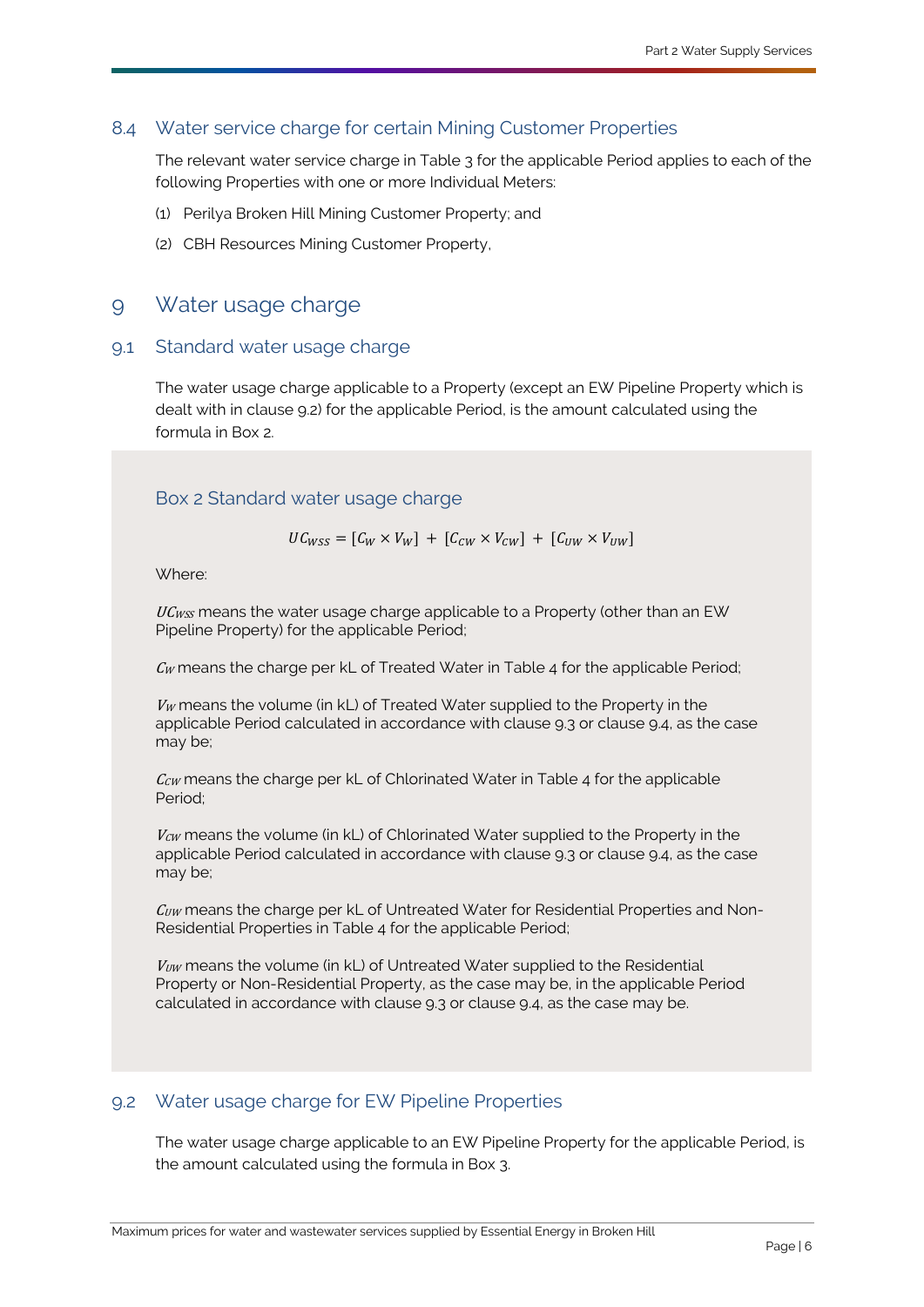## <span id="page-8-3"></span>8.4 Water service charge for certain [Mining Customer Properties](#page-34-5)

<span id="page-8-2"></span>The relevant water service charge in Table 3 for the applicable [Period](#page-35-5) applies to each of the following [Properties](#page-35-1) with one or more [Individual Meters](#page-33-5):

- (1) [Perilya Broken Hill Mining Customer Property;](#page-35-6) and
- (2) [CBH Resources Mining Customer Property,](#page-32-5)

## <span id="page-8-1"></span><span id="page-8-0"></span>9 Water usage charge

#### 9.1 Standard water usage charge

The water usage charge applicable to a [Property](#page-35-0) (except an EW Pipeline Property which is dealt with in clause [9.2\)](#page-8-4) for the applicable [Period,](#page-35-5) is the amount calculated using the formula in Box 2.

## Box 2 Standard water usage charge

 $UC_{WSS} = [C_W \times V_W] + [C_{CW} \times V_{CW}] + [C_{HW} \times V_{HW}]$ 

Where:

 $UC_{WSS}$  means the water usage charge applicable to a [Property](#page-35-0) (other than an EW Pipeline Property) for the applicable [Period;](#page-35-5)

 $\mathcal{C}_{W}$  means the charge per [kL](#page-33-6) of [Treated Water](#page-36-6) in Table 4 for the applicabl[e Period;](#page-35-5)

 $V_W$  means the volume (in [kL\)](#page-33-6) of [Treated Water](#page-36-6) supplied to the [Property](#page-35-0) in the applicable [Period](#page-35-5) calculated in accordance with clause [9.3](#page-9-0) or clause [9.4,](#page-9-1) as the case may be;

 $C_{\mathcal{C}W}$  means the charge per [kL](#page-33-6) of [Chlorinated Water](#page-32-6) in Table 4 for the applicable [Period;](#page-35-5)

 $V_{\text{CW}}$  means the volume (in [kL\)](#page-33-6) of [Chlorinated Water](#page-32-6) supplied to the [Property](#page-35-0) in the applicable [Period](#page-35-5) calculated in accordance with clause [9.3](#page-9-0) or clause [9.4,](#page-9-1) as the case may be;

 $C_{UW}$  means the charge per [kL](#page-33-6) of [Untreated Water](#page-36-7) for [Residential Properties](#page-35-7) and Non-Residential Properties in Table 4 for the applicable [Period;](#page-35-5)

 $V_{UW}$  means the volume (in  $kL$ ) of [Untreated Water](#page-36-7) supplied to the Residential Property or Non-Residential Property, as the case may be, in the applicable [Period](#page-35-5) calculated in accordance with clause [9.3](#page-9-0) or clause [9.4,](#page-9-1) as the case may be.

### <span id="page-8-4"></span>9.2 Water usage charge for EW Pipeline Properties

The water usage charge applicable to an EW Pipeline Property for the applicable [Period,](#page-35-5) is the amount calculated using the formula in Box 3.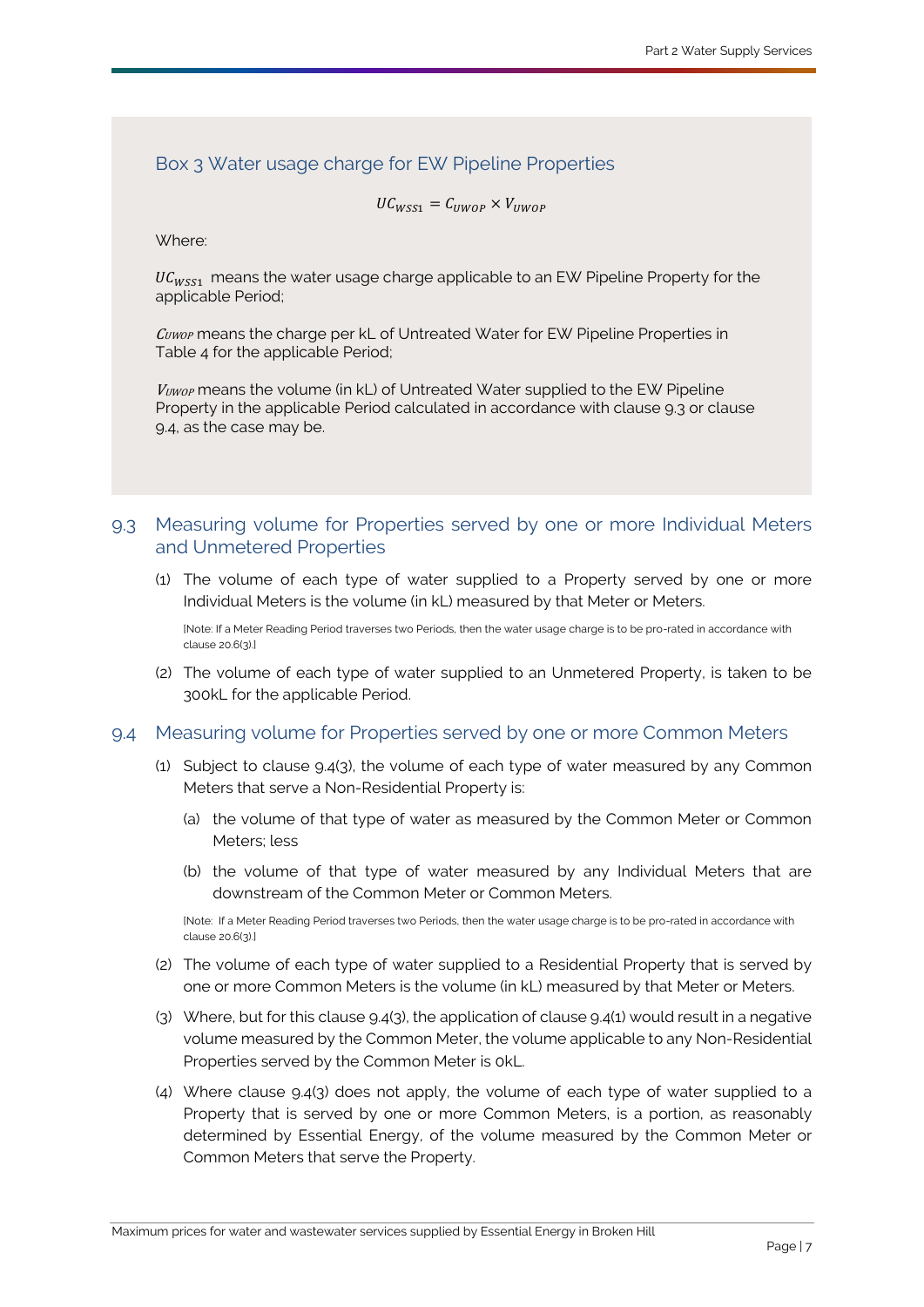## Box 3 Water usage charge for EW Pipeline Properties

 $UC_{WSS1} = C_{IIWOP} \times V_{IIWOP}$ 

Where:

 $\mu_{U_{WS1}}$  means the water usage charge applicable to an EW Pipeline Property for the applicable [Period;](#page-35-5)

 $\mathcal{C}_{\text{UWOP}}$  means the charge per [kL](#page-33-6) of [Untreated Water](#page-36-7) for EW Pipeline Properties in Table 4 for the applicable [Period;](#page-35-5)

 $V_{UWOP}$  means the volume (in [kL\)](#page-33-6) of [Untreated Water](#page-36-7) supplied to the EW Pipeline Property in the applicable [Period](#page-35-5) calculated in accordance with clause [9.3](#page-9-0) or clause [9.4,](#page-9-1) as the case may be.

### <span id="page-9-0"></span>9.3 Measuring volume for [Properties](#page-35-1) served by one or more [Individual Meters](#page-33-5) and Unmetered Properties

(1) The volume of each type of water supplied to a [Property](#page-35-0) served by one or more [Individual Meters](#page-33-5) is the volume (in [kL\)](#page-33-6) measured by that [Meter](#page-33-4) or [Meters](#page-33-4).

[Note: If [a Meter Reading Period](#page-34-7) traverses tw[o Periods](#page-35-5), then the water usage charge is to be pro-rated in accordance with claus[e 20.6\(3\).\]](#page-30-3)

(2) The volume of each type of water supplied to an [Unmetered Property,](#page-36-5) is taken to be 30[0kL](#page-33-6) for the applicable [Period.](#page-35-5)

#### <span id="page-9-3"></span><span id="page-9-1"></span>9.4 Measuring volume for [Properties](#page-35-1) served by one or more [Common Meters](#page-32-1)

- (1) Subject to clause [9.4\(3\),](#page-9-2) the volume of each type of water measured by any [Common](#page-32-1)  [Meters](#page-32-1) that serve a [Non-Residential Property](#page-35-3) is:
	- (a) the volume of that type of water as measured by the [Common Meter](#page-32-1) or [Common](#page-32-1)  [Meters](#page-32-1); less
	- (b) the volume of that type of water measured by any [Individual Meters](#page-33-5) that are downstream of the [Common Meter](#page-32-1) or [Common Meters](#page-32-1).

[Note: If [a Meter Reading Period](#page-34-7) traverses tw[o Periods](#page-35-5), then the water usage charge is to be pro-rated in accordance with claus[e 20.6\(3\).\]](#page-30-3)

- (2) The volume of each type of water supplied to a [Residential Property](#page-35-2) that is served by one or more [Common Meters](#page-32-1) is the volume (in [kL\)](#page-33-6) measured by that [Meter](#page-33-4) or [Meters](#page-33-4).
- <span id="page-9-2"></span>(3) Where, but for this clause [9.4\(3\),](#page-9-2) the application of claus[e 9.4\(1\)](#page-9-3) would result in a negative volume measured by the [Common Meter,](#page-32-1) the volume applicable to an[y Non-Residential](#page-35-8)  [Properties](#page-35-8) served by the [Common Meter](#page-32-1) is [0kL.](#page-33-6)
- <span id="page-9-4"></span>(4) Where clause [9.4\(3\)](#page-9-2) does not apply, the volume of each type of water supplied to a [Property](#page-35-0) that is served by one or more [Common Meters](#page-32-1), is a portion, as reasonably determined by [Essential Energy,](#page-33-0) of the volume measured by the [Common Meter](#page-32-1) or [Common Meters](#page-32-1) that serve th[e Property.](#page-35-0)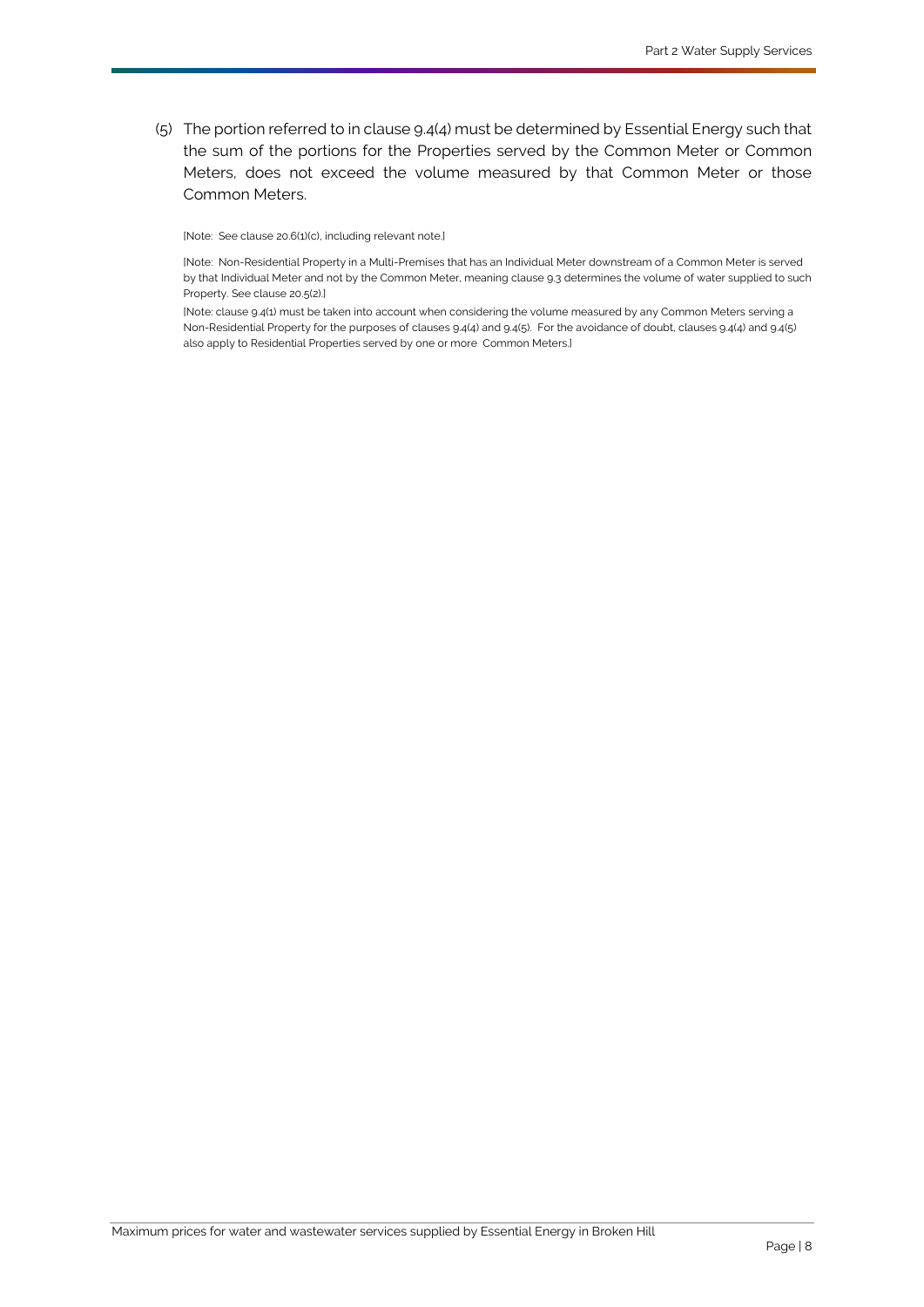<span id="page-10-0"></span>(5) The portion referred to in clause [9.4\(4\)](#page-9-4) must be determined b[y Essential Energy](#page-33-0) such that the sum of the portions for the [Properties](#page-35-1) served by the [Common Meter](#page-32-1) or [Common](#page-32-1)  [Meters](#page-32-1), does not exceed the volume measured by that [Common Meter](#page-32-1) or those [Common Meters](#page-32-1).

[Note: See claus[e 20.6\(1\)\(c\),](#page-30-2) including relevant note.]

[Note: [Non-Residential Property](#page-35-3) in a [Multi-Premises](#page-34-6) that has a[n Individual Meter](#page-33-5) downstream of [a Common Meter](#page-32-1) is served by tha[t Individual Meter](#page-33-5) and not by th[e Common Meter,](#page-32-1) meaning claus[e 9.3](#page-9-0) determines the volume of water supplied to such [Property.](#page-35-0) See claus[e 20.5\(2\).\]](#page-30-1)

[Note: claus[e 9.4\(1\)](#page-9-3) must be taken into account when considering the volume measured by an[y Common Meters](#page-32-1) serving a [Non-Residential Property](#page-35-3) for the purposes of clause[s 9.4\(4\)](#page-9-4) an[d 9.4\(5\).](#page-10-0) For the avoidance of doubt, clauses [9.4\(4\)](#page-9-4) an[d 9.4\(5\)](#page-10-0) also apply t[o Residential Properties](#page-35-7) served by one or more [Common Meters](#page-32-1).]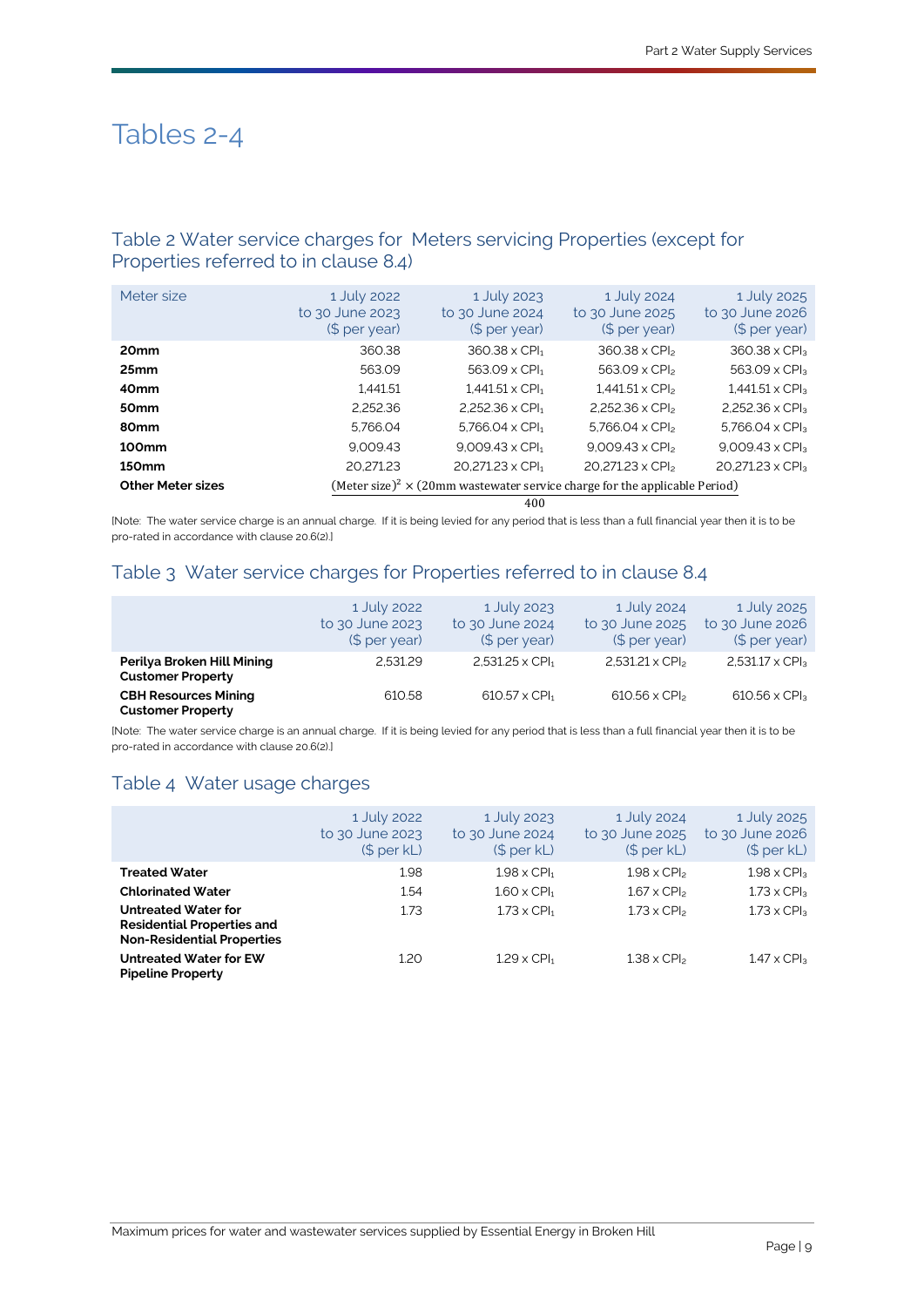# Tables 2-4

## Table 2 Water service charges for [Meters](#page-33-4) servicing [Properties](#page-35-1) (except for [Properties](#page-35-1) referred to in clause [8.4\)](#page-8-3)

| Meter size               | 1 July 2022<br>to 30 June 2023<br>(\$ per year) | 1 July 2023<br>to 30 June 2024<br>(\$ per year)                                               | 1 July 2024<br>to 30 June 2025<br>(\$ per year) | 1 July 2025<br>to 30 June 2026<br>(\$ per year) |  |
|--------------------------|-------------------------------------------------|-----------------------------------------------------------------------------------------------|-------------------------------------------------|-------------------------------------------------|--|
| 20 <sub>mm</sub>         | 360.38                                          | $360.38 \times$ CPI <sub>1</sub>                                                              | $360.38 \times$ CPI <sub>2</sub>                | $360.38 \times CP$                              |  |
| 25 <sub>mm</sub>         | 563.09                                          | $563.09 \times CPI_1$                                                                         | 563.09 x CPI <sub>2</sub>                       | $563.09 \times CPI3$                            |  |
| 40 <sub>mm</sub>         | 1.441.51                                        | $1.441.51 \times$ CPI <sub>1</sub>                                                            | $1.441.51 \times CP$                            | $1,441.51 \times CP$ <sub>3</sub>               |  |
| 50 <sub>mm</sub>         | 2.252.36                                        | 2,252.36 $\times$ CPI <sub>1</sub>                                                            | $2.252.36 \times CP$                            | $2.252.36 \times CPI3$                          |  |
| 80 <sub>mm</sub>         | 5.766.04                                        | $5.766.04 \times$ CPI <sub>1</sub>                                                            | 5.766.04 $\times$ CPI <sub>2</sub>              | 5.766.04 $\times$ CPI <sub>3</sub>              |  |
| 100 <sub>mm</sub>        | 9.009.43                                        | $9.009.43 \times CPI_1$                                                                       | $9.009.43 \times CP$                            | $9.009.43 \times CP$                            |  |
| <b>150mm</b>             | 20.271.23                                       | $20.271.23 \times$ CPI <sub>1</sub>                                                           | 20.271.23 x CPI <sub>2</sub>                    | 20.271.23 x CPI3                                |  |
| <b>Other Meter sizes</b> |                                                 | (Meter size) <sup>2</sup> $\times$ (20mm wastewater service charge for the applicable Period) |                                                 |                                                 |  |

400

[Note: The water service charge is an annual charge. If it is being levied for any period that is less than a full financial year then it is to be pro-rated in accordance with claus[e 20.6\(2\).\]](#page-30-4)

## Table 3 Water service charges for [Properties](#page-35-1) referred to in clause [8.4](#page-8-3)

|                                                         | 1 July 2022<br>to 30 June 2023<br>(\$ per year) | 1 July 2023<br>to 30 June 2024<br>$$$ per year) | 1 July 2024<br>to 30 June 2025<br>(\$ per year) | 1 July 2025<br>to 30 June 2026<br>$$$ per year) |
|---------------------------------------------------------|-------------------------------------------------|-------------------------------------------------|-------------------------------------------------|-------------------------------------------------|
| Perilya Broken Hill Mining<br><b>Customer Property</b>  | 2.531.29                                        | $2,531.25 \times CPI1$                          | $2,531.21 \times CPl2$                          | $2,531.17 \times$ CPI <sub>3</sub>              |
| <b>CBH Resources Mining</b><br><b>Customer Property</b> | 610.58                                          | $610.57 \times$ CPI <sub>1</sub>                | $610.56 \times$ CPI <sub>2</sub>                | 610.56 x CPI <sub>3</sub>                       |

[Note: The water service charge is an annual charge. If it is being levied for any period that is less than a full financial year then it is to be pro-rated in accordance with claus[e 20.6\(2\).\]](#page-30-4)

# Table 4 Water usage charges

|                                                                                                      | 1 July 2022<br>to 30 June 2023<br>$(S$ per $kL$ | 1 July 2023<br>to 30 June 2024<br>$($$ per $kL)$ | 1 July 2024<br>to 30 June 2025<br>(\$ per kL) | 1 July 2025<br>to 30 June 2026<br>$($$ per $kL)$ |
|------------------------------------------------------------------------------------------------------|-------------------------------------------------|--------------------------------------------------|-----------------------------------------------|--------------------------------------------------|
| <b>Treated Water</b>                                                                                 | 1.98                                            | $1.98 \times$ CPI <sub>1</sub>                   | $1.98 \times CPI2$                            | $1.98 \times CP$ <sub>3</sub>                    |
| <b>Chlorinated Water</b>                                                                             | 1.54                                            | $1.60 \times$ CPI <sub>1</sub>                   | $1.67 \times CPI2$                            | $1.73 \times CP$ <sub>3</sub>                    |
| <b>Untreated Water for</b><br><b>Residential Properties and</b><br><b>Non-Residential Properties</b> | 1.73                                            | $1.73 \times$ CPI <sub>1</sub>                   | $1.73 \times CP$                              | $1.73 \times CP$ <sub>3</sub>                    |
| <b>Untreated Water for EW</b><br><b>Pipeline Property</b>                                            | 1.20                                            | $1.29 \times$ CPI <sub>1</sub>                   | $1.38 \times$ CPI <sub>2</sub>                | $1.47 \times CP$ <sub>3</sub>                    |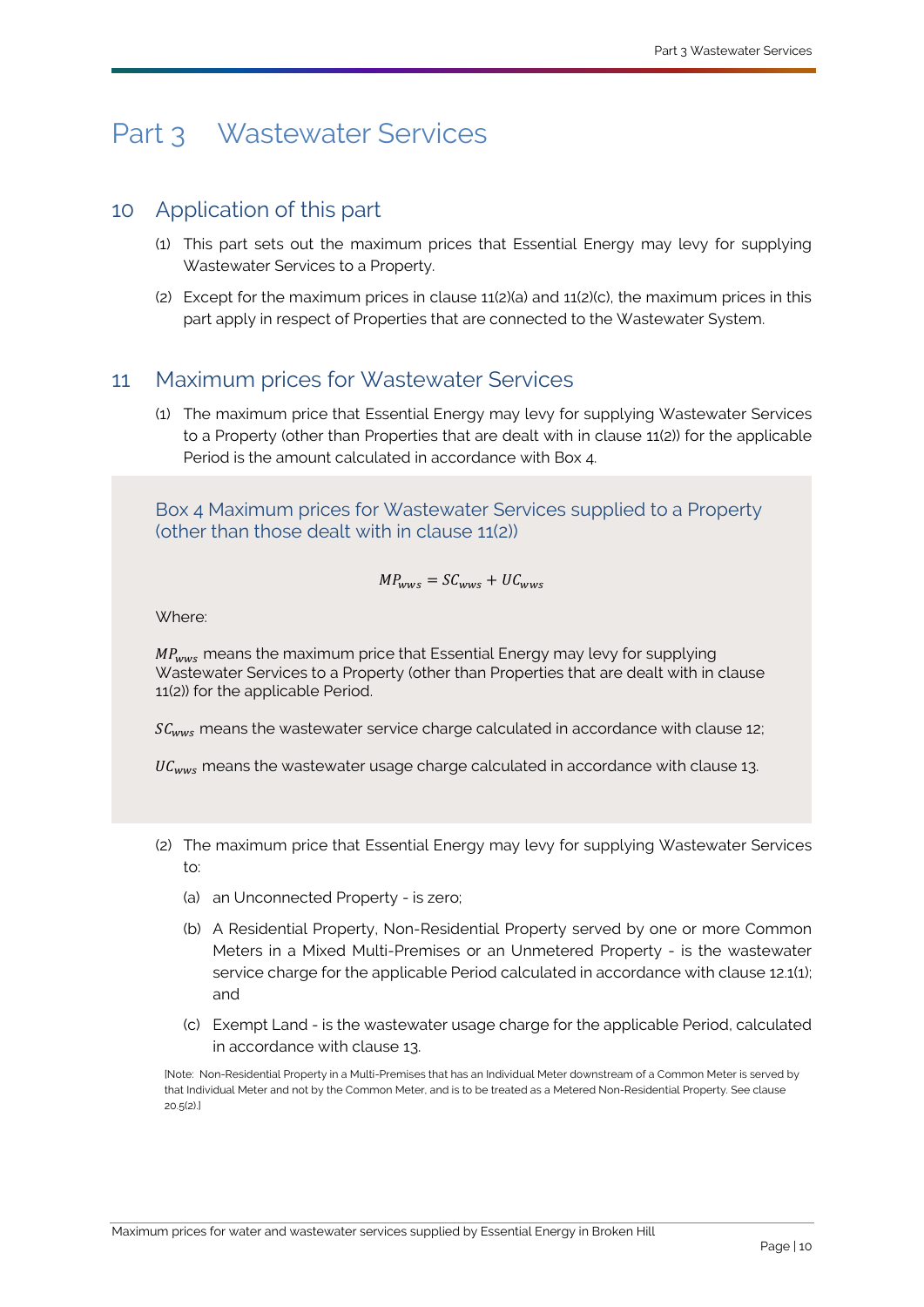# <span id="page-12-3"></span><span id="page-12-0"></span>Part 3 [Wastewater Services](#page-36-1)

# <span id="page-12-1"></span>10 Application of this part

- (1) This part sets out the maximum prices that [Essential Energy](#page-33-0) may levy for supplying [Wastewater Services](#page-36-1) to [a Property.](#page-35-0)
- (2) Except for the maximum prices in clause [11\(2\)\(a\)](#page-12-4) and [11\(2\)\(c\),](#page-12-5) the maximum prices in this part apply in respect o[f Properties](#page-35-1) that are connected to the [Wastewater System.](#page-36-4)

# <span id="page-12-2"></span>11 Maximum prices for [Wastewater Services](#page-36-1)

(1) The maximum price that [Essential Energy](#page-33-0) may levy for supplying [Wastewater Services](#page-36-1) to a [Property](#page-35-0) (other than [Properties](#page-35-1) that are dealt with in clause [11\(2\)\)](#page-12-6) for the applicable [Period](#page-35-5) is the amount calculated in accordance with Box 4.

Box 4 Maximum prices for [Wastewater Services](#page-36-1) supplied to a [Property](#page-35-0) (other than those dealt with in clause [11\(2\)\)](#page-12-6)

$$
\mathit{MP}_{wws} = \mathit{SC}_{wws} + \mathit{UC}_{wws}
$$

Where:

 $MP_{\text{wws}}$  means the maximum price that [Essential Energy](#page-33-0) may levy for supplying [Wastewater Services](#page-36-1) to a [Property](#page-35-0) (other than [Properties](#page-35-1) that are dealt with in clause [11\(2\)\)](#page-12-6) for the applicable [Period.](#page-35-5) 

 $SC_{wws}$  means the wastewater service charge calculated in accordance with clause [12;](#page-13-1)

 $UC_{wws}$  means the wastewater usage charge calculated in accordance with clause [13.](#page-14-1)

- <span id="page-12-6"></span><span id="page-12-4"></span>(2) The maximum price that Essential Energy may levy for supplying [Wastewater Services](#page-36-1) to:
	- (a) an [Unconnected Property](#page-36-3) is zero;
	- (b) A [Residential Property,](#page-35-2) [Non-Residential Property](#page-35-3) served by one or more [Common](#page-32-1)  [Meters](#page-32-1) in a [Mixed Multi-Premises](#page-34-2) or an [Unmetered Property](#page-36-5) - is the wastewater service charge for the applicabl[e Period](#page-35-5) calculated in accordance with clause 12.1(1); and
	- (c) [Exempt Land](#page-33-1) is the wastewater usage charge for the applicable Period, calculated in accordance with clause [13.](#page-14-1)

<span id="page-12-5"></span>[Note: [Non-Residential Property](#page-35-3) in [a Multi-Premises](#page-34-6) that has a[n Individual Meter](#page-33-5) downstream of a [Common Meter](#page-32-1) is served by tha[t Individual Meter](#page-33-5) and not by the [Common Meter,](#page-32-1) and is to be treated as [a Metered Non-Residential Property.](#page-34-8) See clause [20.5\(2\).\]](#page-30-1)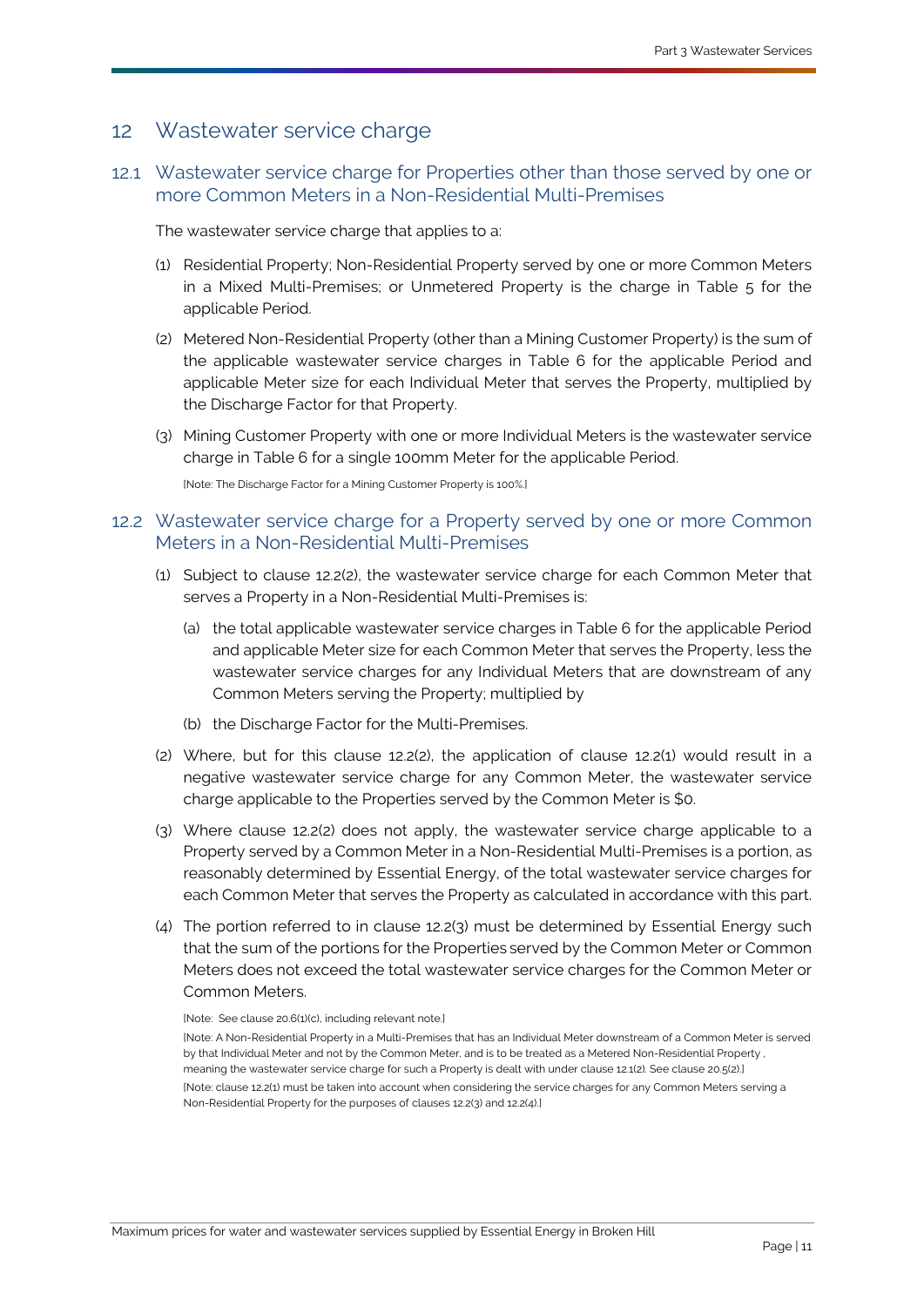## <span id="page-13-1"></span><span id="page-13-0"></span>12 Wastewater service charge

12.1 Wastewater service charge for [Properties](#page-35-1) other than those served by one or more [Common Meters](#page-32-1) in a [Non-Residential Multi-Premises](#page-34-9)

The wastewater service charge that applies to a:

- <span id="page-13-2"></span>(1) [Residential Property;](#page-35-2) [Non-Residential Property](#page-35-3) served by one or more [Common Meters](#page-32-1) in a [Mixed Multi-Premises;](#page-34-2) or [Unmetered Property](#page-36-5) is the charge in Table 5 for the applicable [Period.](#page-35-5)
- (2) [Metered Non-Residential Property](#page-34-8) (other than a [Mining Customer Property\)](#page-34-4) is the sum of the applicable wastewater service charges in Table 6 for the applicable [Period](#page-35-5) and applicable [Meter](#page-33-4) size for each [Individual Meter](#page-33-5) that serves the [Property,](#page-35-0) multiplied by the [Discharge Factor](#page-33-7) for that [Property.](#page-35-0)
- (3) [Mining Customer Property](#page-34-4) with one or more [Individual Meters](#page-33-5) is the wastewater service charge in Table 6 for a single 100mm [Meter](#page-33-4) for the applicable [Period.](#page-35-5)

[Note: Th[e Discharge Factor](#page-33-7) for [a Mining Customer Property](#page-34-4) is 100%.]

### 12.2 Wastewater service charge for a [Property](#page-35-0) served by one or more [Common](#page-32-1)  [Meters](#page-32-1) in a [Non-Residential Multi-Premises](#page-34-9)

- <span id="page-13-4"></span>(1) Subject to clause [12.2\(2\),](#page-13-3) the wastewater service charge for each [Common Meter](#page-32-1) that serves a [Property](#page-35-0) in a [Non-Residential Multi-Premises](#page-34-9) is:
	- (a) the total applicable wastewater service charges in Table 6 for the applicable [Period](#page-35-5) and applicabl[e Meter](#page-33-4) size for eac[h Common Meter](#page-32-1) that serves the [Property,](#page-35-0) less the wastewater service charges for any [Individual Meters](#page-33-5) that are downstream of any [Common Meters](#page-32-1) serving the [Property;](#page-35-0) multiplied by
	- (b) the [Discharge Factor](#page-33-7) for the [Multi-Premises.](#page-34-6)
- <span id="page-13-3"></span>(2) Where, but for this clause [12.2\(2\),](#page-13-3) the application of clause [12.2\(1\)](#page-13-4) would result in a negative wastewater service charge for any [Common](#page-32-1) Meter, the wastewater service charge applicable to the [Properties](#page-35-1) served by the [Common Meter](#page-32-1) is \$0.
- <span id="page-13-5"></span>(3) Where clause [12.2\(2\)](#page-13-3) does not apply, the wastewater service charge applicable to a [Property](#page-35-0) served by a [Common Meter](#page-32-1) in a [Non-Residential Multi-Premises](#page-34-9) is a portion, as reasonably determined by [Essential Energy,](#page-33-0) of the total wastewater service charges for each [Common Meter](#page-32-1) that serves the [Property](#page-35-0) as calculated in accordance with this part.
- <span id="page-13-6"></span>(4) The portion referred to in clause [12.2\(3\)](#page-13-5) must be determined by [Essential Energy](#page-33-0) such that the sum of the portions for th[e Properties](#page-35-1) served by th[e Common Meter](#page-32-1) or [Common](#page-32-1)  [Meters](#page-32-1) does not exceed the total wastewater service charges for the [Common Meter](#page-32-1) or [Common Meters](#page-32-1).

<sup>[</sup>Note: See claus[e 20.6\(1\)\(c\),](#page-30-2) including relevant note.] [Note: [A Non-Residential Property](#page-35-3) in [a Multi-Premises](#page-34-6) that has a[n Individual Meter](#page-33-5) downstream of [a Common Meter](#page-32-1) is served by tha[t Individual Meter](#page-33-5) and not by th[e Common Meter,](#page-32-1) and is to be treated as [a Metered Non-Residential Property](#page-34-8) , meaning the wastewater service charge for such a Property is dealt with under clause 12.1(2). See claus[e 20.5\(2\).\]](#page-30-1) [Note: claus[e 12.2\(1\)](#page-13-4) must be taken into account when considering the service charges for an[y Common Meters](#page-32-1) serving a [Non-Residential Property](#page-35-3) for the purposes of clause[s 12.2\(3\)](#page-13-5) an[d 12.2\(4\).\]](#page-13-6)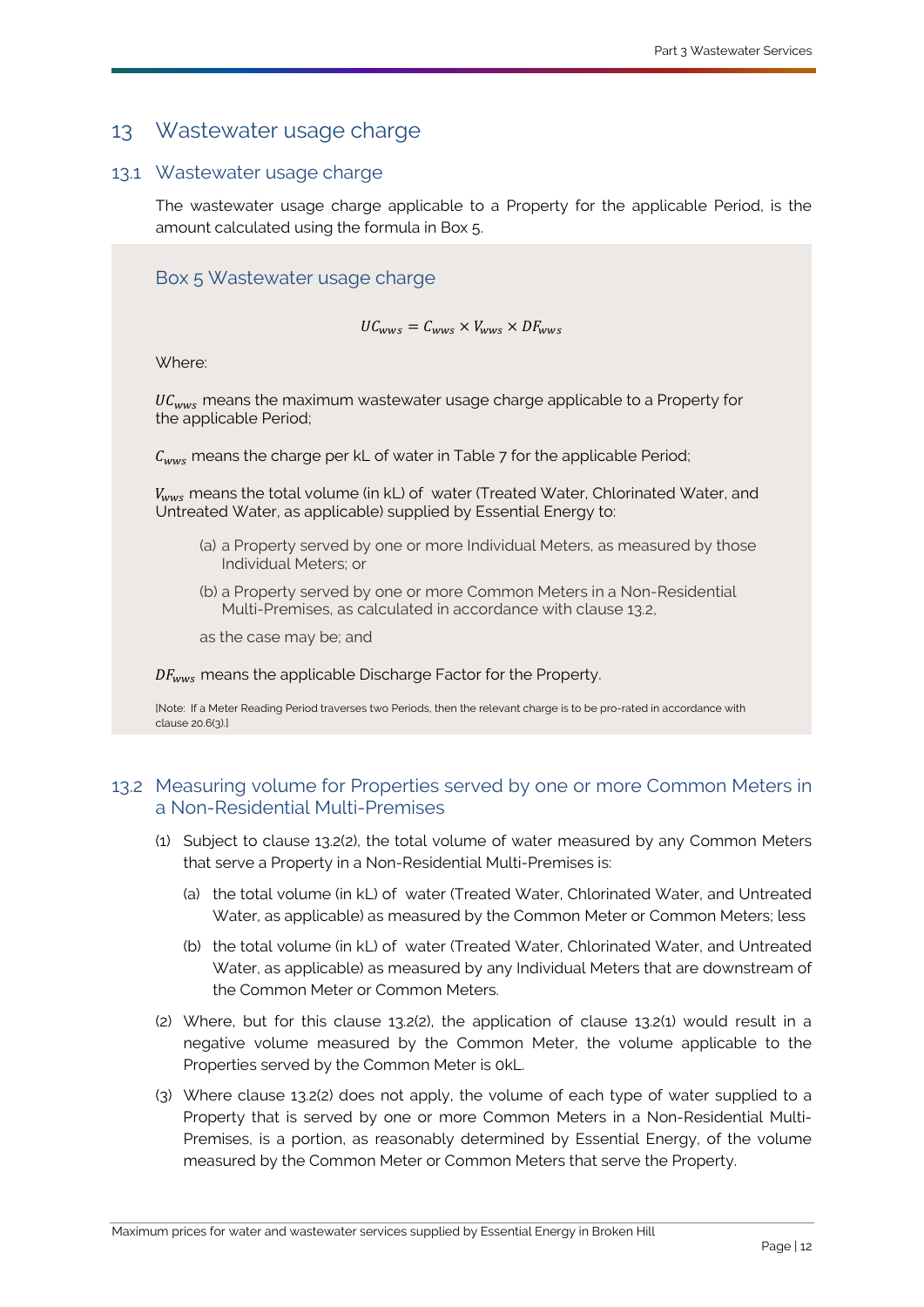# <span id="page-14-1"></span><span id="page-14-0"></span>13 Wastewater usage charge

#### 13.1 Wastewater usage charge

The wastewater usage charge applicable to a [Property](#page-35-0) for the applicable [Period,](#page-35-5) is the amount calculated using the formula in Box 5.

## Box 5 Wastewater usage charge

#### $UC_{wws} = C_{wws} \times V_{wws} \times DF_{wws}$

Where:

 $\mathit{UC}_{wws}$  means the maximum wastewater usage charge applicable to a [Property](#page-35-0) for the applicable [Period;](#page-35-5)

 $C_{\text{wws}}$  means the charge pe[r kL](#page-33-6) of water in Table 7 for the applicable [Period;](#page-35-5)

 $V_{\text{wws}}$  means the total volume (in [kL\)](#page-33-6) of water [\(Treated Water,](#page-36-6) [Chlorinated Water,](#page-32-6) and [Untreated Water,](#page-36-7) as applicable) supplied by [Essential Energy](#page-33-0) to:

- (a) a [Property](#page-35-0) served by one or more [Individual Meters](#page-33-5), as measured by those [Individual Meters](#page-33-5); or
- (b) a [Property](#page-35-0) served by one or more [Common Meters](#page-32-1) in a [Non-Residential](#page-34-9)  [Multi-Premises,](#page-34-9) as calculated in accordance with clause [13.2,](#page-14-4)
- as the case may be; and

 $DF_{\text{univ}}$  means the applicabl[e Discharge Factor](#page-33-7) for the [Property.](#page-35-0)

[Note: If [a Meter Reading Period](#page-34-7) traverses tw[o Periods](#page-35-5), then the relevant charge is to be pro-rated in accordance with claus[e 20.6\(3\).\]](#page-30-3)

## <span id="page-14-4"></span>13.2 Measuring volume for [Properties](#page-35-1) served by one or more [Common Meters](#page-32-1) in a [Non-Residential Multi-Premises](#page-34-9)

- <span id="page-14-3"></span>(1) Subject to clause [13.2\(2\),](#page-14-2) the total volume of water measured by any [Common Meters](#page-32-1) that serve [a Property](#page-35-0) in a [Non-Residential Multi-Premises](#page-34-9) is:
	- (a) the total volume (in [kL\)](#page-33-6) of water [\(Treated Water,](#page-36-6) [Chlorinated Water,](#page-32-6) and [Untreated](#page-36-7)  [Water,](#page-36-7) as applicable) as measured by the [Common Meter](#page-32-1) o[r Common Meters](#page-32-1); less
	- (b) the total volume (in [kL\)](#page-33-6) of water [\(Treated Water,](#page-36-6) [Chlorinated Water,](#page-32-6) and [Untreated](#page-36-7)  [Water,](#page-36-7) as applicable) as measured by any [Individual Meters](#page-33-5) that are downstream of the [Common Meter](#page-32-1) or [Common Meters](#page-32-1).
- <span id="page-14-2"></span>(2) Where, but for this clause [13.2\(2\),](#page-14-2) the application of clause [13.2\(1\)](#page-14-3) would result in a negative volume measured by the [Common Meter,](#page-32-1) the volume applicable to the [Properties](#page-35-1) served by the [Common Meter](#page-32-1) is [0kL.](#page-33-6)
- <span id="page-14-5"></span>(3) Where clause [13.2\(2\)](#page-14-2) does not apply, the volume of each type of water supplied to a [Property](#page-35-0) that is served by one or more [Common Meters](#page-32-1) in a [Non-Residential Multi-](#page-34-9)[Premises,](#page-34-9) is a portion, as reasonably determined by [Essential Energy,](#page-33-0) of the volume measured by the [Common Meter](#page-32-1) or [Common Meters](#page-32-1) that serve the [Property.](#page-35-0)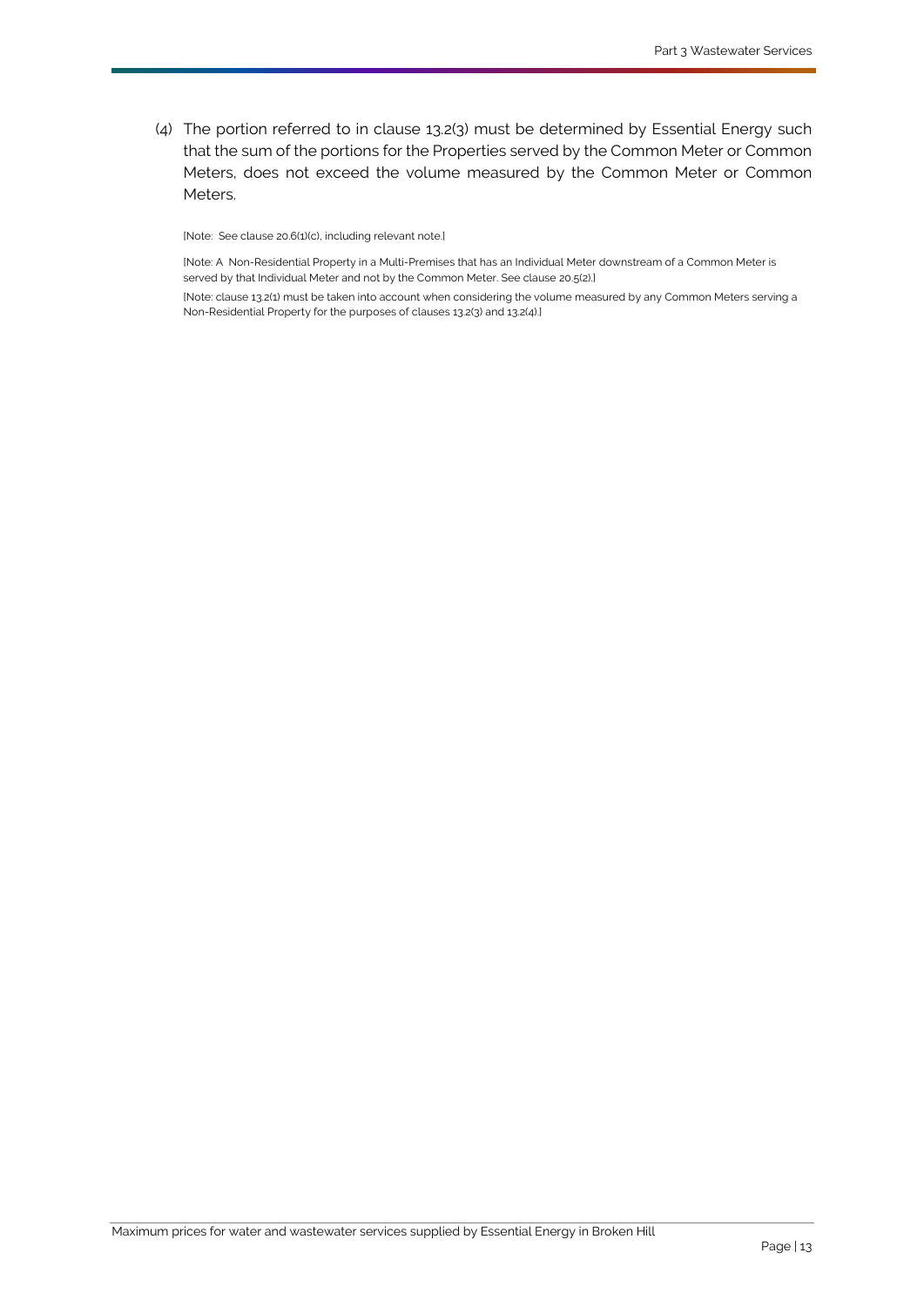<span id="page-15-0"></span>(4) The portion referred to in clause [13.2\(3\)](#page-14-5) must be determined by [Essential Energy](#page-33-0) such that the sum of the portions for the [Properties](#page-35-1) served by the [Common Meter](#page-32-1) or [Common](#page-32-1)  [Meters](#page-32-1), does not exceed the volume measured by the [Common Meter](#page-32-1) or [Common](#page-32-1)  [Meters](#page-32-1).

[Note: See claus[e 20.6\(1\)\(c\),](#page-30-2) including relevant note.]

[Note: A [Non-Residential Property](#page-35-3) in [a Multi-Premises](#page-34-6) that has a[n Individual Meter](#page-33-5) downstream of [a Common Meter](#page-32-1) is served by tha[t Individual Meter](#page-33-5) and not by th[e Common Meter.](#page-32-1) See claus[e 20.5\(2\).\]](#page-30-1)

[Note: claus[e 13.2\(1\)](#page-14-3) must be taken into account when considering the volume measured by an[y Common Meters](#page-32-1) serving a [Non-Residential Property](#page-35-3) for the purposes of clause[s 13.2\(3\)](#page-14-5) an[d 13.2\(4\).\]](#page-15-0)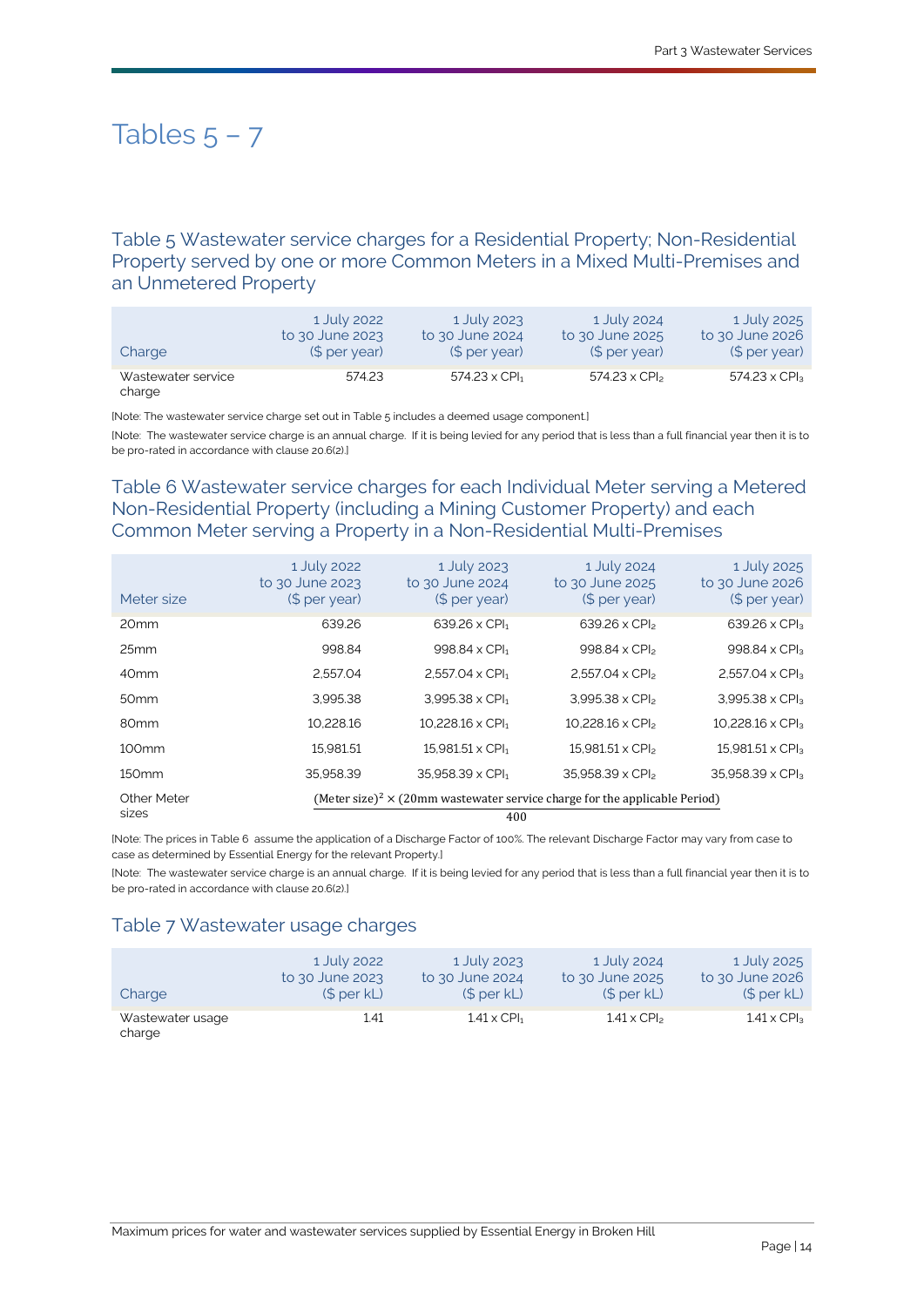# Tables  $5 - 7$

Table 5 Wastewater service charges for a [Residential Property;](#page-35-2) [Non-Residential](#page-35-3)  [Property](#page-35-3) served by one or more [Common Meters](#page-32-1) in a [Mixed Multi-Premises](#page-34-2) and an [Unmetered Property](#page-36-5)

| Charge                       | 1 July 2022     | 1 July 2023                      | 1 July 2024                      | 1 July 2025          |
|------------------------------|-----------------|----------------------------------|----------------------------------|----------------------|
|                              | to 30 June 2023 | to 30 June 2024                  | to 30 June 2025                  | to 30 June 2026      |
|                              | $$$ per year)   | $$$ per year)                    | (S <sub>per</sub> year)          | $$$ per year)        |
| Wastewater service<br>charge | 574.23          | $574.23 \times$ CPI <sub>1</sub> | $574.23 \times$ CPI <sub>2</sub> | $574.23 \times CPI3$ |

[Note: The wastewater service charge set out in Table 5 includes a deemed usage component.]

[Note: The wastewater service charge is an annual charge. If it is being levied for any period that is less than a full financial year then it is to be pro-rated in accordance with claus[e 20.6\(2\).\]](#page-30-4)

## Table 6 Wastewater service charges for each [Individual Meter](#page-33-5) serving a [Metered](#page-34-8)  [Non-Residential Property](#page-34-8) (including a [Mining Customer Property\)](#page-34-4) and each [Common Meter](#page-32-1) serving a [Property](#page-35-0) in a [Non-Residential Multi-Premises](#page-34-9)

| Meter size           | 1 July 2022<br>to 30 June 2023<br>(\$ per year) | 1 July 2023<br>to 30 June 2024<br>(\$ per year)                                                      | 1 July 2024<br>to 30 June 2025<br>(\$ per year) | 1 July 2025<br>to 30 June 2026<br>(\$ per year) |  |
|----------------------|-------------------------------------------------|------------------------------------------------------------------------------------------------------|-------------------------------------------------|-------------------------------------------------|--|
| 20 <sub>mm</sub>     | 639.26                                          | $639.26 \times$ CPI <sub>1</sub>                                                                     | $639.26 \times CP$                              | $639.26 \times$ CPI <sub>3</sub>                |  |
| 25mm                 | 998.84                                          | 998.84 x CPI <sub>1</sub>                                                                            | 998.84 x CPI <sub>2</sub>                       | 998.84 x CPI <sub>3</sub>                       |  |
| 40 <sub>mm</sub>     | 2.557.04                                        | $2.557.04 \times CPI1$                                                                               | $2.557.04 \times CP$                            | $2.557.04 \times CPI3$                          |  |
| 50 <sub>mm</sub>     | 3.995.38                                        | $3.995.38 \times CP1_1$                                                                              | $3.995.38 \times CP$                            | $3.995.38 \times CP$                            |  |
| 80 <sub>mm</sub>     | 10.228.16                                       | $10.228.16 \times CPI1$                                                                              | $10.228.16 \times CP$                           | $10.228.16 \times CPI3$                         |  |
| 100 <sub>mm</sub>    | 15.981.51                                       | $15.981.51 \times$ CPI <sub>1</sub>                                                                  | $15.981.51 \times CP$                           | $15.981.51 \times CPI3$                         |  |
| 150 <sub>mm</sub>    | 35.958.39                                       | 35.958.39 x CPI1                                                                                     | 35.958.39 x CPI <sub>2</sub>                    | $35.958.39 \times CP$                           |  |
| Other Meter<br>sizes |                                                 | (Meter size) <sup>2</sup> $\times$ (20mm wastewater service charge for the applicable Period)<br>400 |                                                 |                                                 |  |

[Note: The prices in Table 6 assume the application of [a Discharge Factor](#page-33-7) of 100%. The relevan[t Discharge Factor](#page-33-7) may vary from case to case as determined b[y Essential Energy](#page-33-0) for the relevan[t Property.\]](#page-35-0)

[Note: The wastewater service charge is an annual charge. If it is being levied for any period that is less than a full financial year then it is to be pro-rated in accordance with claus[e 20.6\(2\).\]](#page-30-4)

### Table 7 Wastewater usage charges

| Charge                     | 1 July 2022     | 1 July 2023                    | 1 July 2024                    | 1 July 2025                    |
|----------------------------|-----------------|--------------------------------|--------------------------------|--------------------------------|
|                            | to 30 June 2023 | to 30 June 2024                | to 30 June 2025                | to 30 June 2026                |
|                            | (S per kL)      | (S per kL)                     | (\$per kL)                     | (S per kL)                     |
| Wastewater usage<br>charge | 1.41            | $1.41 \times$ CPI <sub>1</sub> | $1.41 \times$ CPI <sub>2</sub> | $1.41 \times$ CPI <sub>3</sub> |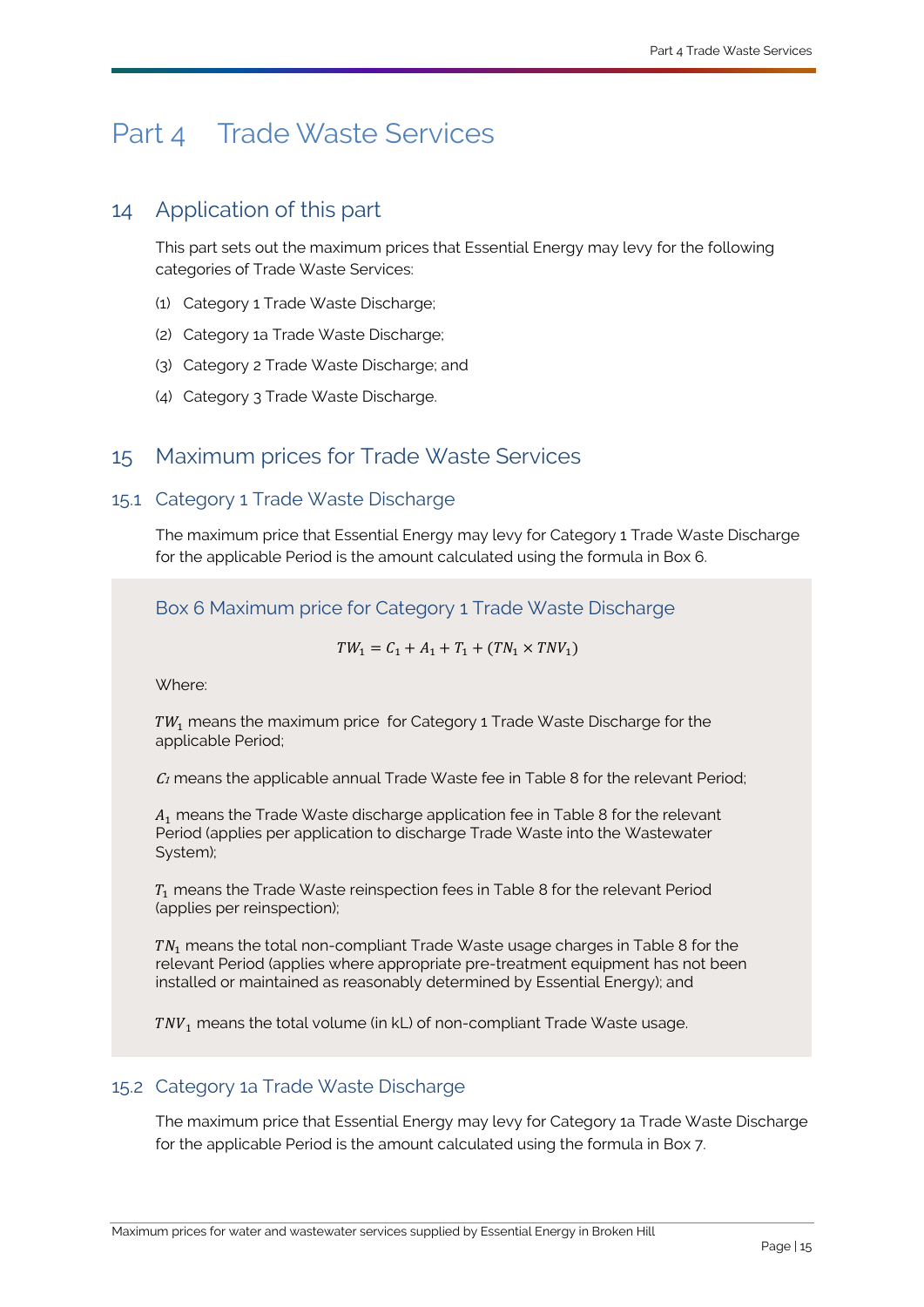# <span id="page-17-3"></span><span id="page-17-0"></span>Part 4 [Trade Waste Services](#page-36-2)

# <span id="page-17-1"></span>14 Application of this part

This part sets out the maximum prices that [Essential Energy](#page-33-0) may levy for the following categories of [Trade Waste Services:](#page-36-2)

- (1) [Category 1 Trade Waste Discharge;](#page-31-2)
- (2) [Category 1a Trade Waste Discharge;](#page-32-2)
- (3) [Category 2 Trade Waste Discharge;](#page-32-3) and
- (4) [Category 3 Trade Waste Discharge.](#page-32-4)

# <span id="page-17-2"></span>15 Maximum prices for [Trade Waste Services](#page-36-2)

## 15.1 [Category 1 Trade Waste Discharge](#page-31-2)

The maximum price that [Essential Energy](#page-33-0) may levy for [Category 1 Trade Waste Discharge](#page-31-2) for the applicable [Period](#page-35-5) is the amount calculated using the formula in Box 6.

Box 6 Maximum price for [Category 1 Trade Waste Discharge](#page-31-2)

 $TW_1 = C_1 + A_1 + T_1 + (TN_1 \times TNV_1)$ 

Where:

 $TW_1$  means the maximum price for [Category 1 Trade Waste Discharge](#page-31-2) for the applicable [Period;](#page-35-5)

 $C_1$  means the applicable annual [Trade Waste](#page-36-8) fee in Table 8 for the relevant [Period;](#page-35-5)

 $A_1$  means the [Trade Waste](#page-36-8) discharge application fee in Table 8 for the relevant [Period](#page-35-5) (applies per application to discharge [Trade Waste](#page-36-8) into the [Wastewater](#page-36-4)  [System\)](#page-36-4);

 $T_1$  means the [Trade Waste](#page-36-8) reinspection fees in Table 8 for the relevant [Period](#page-35-5) (applies per reinspection);

 $TN<sub>1</sub>$  means the total non-compliant [Trade Waste](#page-36-8) usage charges in Table 8 for the relevant [Period](#page-35-5) (applies where appropriate pre-treatment equipment has not been installed or maintained as reasonably determined by [Essential Energy\);](#page-33-0) and

 $TNV<sub>1</sub>$  means the total volume (in [kL\)](#page-33-6) of non-compliant [Trade Waste](#page-36-8) usage.

### 15.2 [Category 1a Trade Waste Discharge](#page-32-2)

The maximum price that [Essential Energy](#page-33-0) may levy for [Category 1a Trade Waste Discharge](#page-32-2) for the applicable [Period](#page-35-5) is the amount calculated using the formula in Box 7.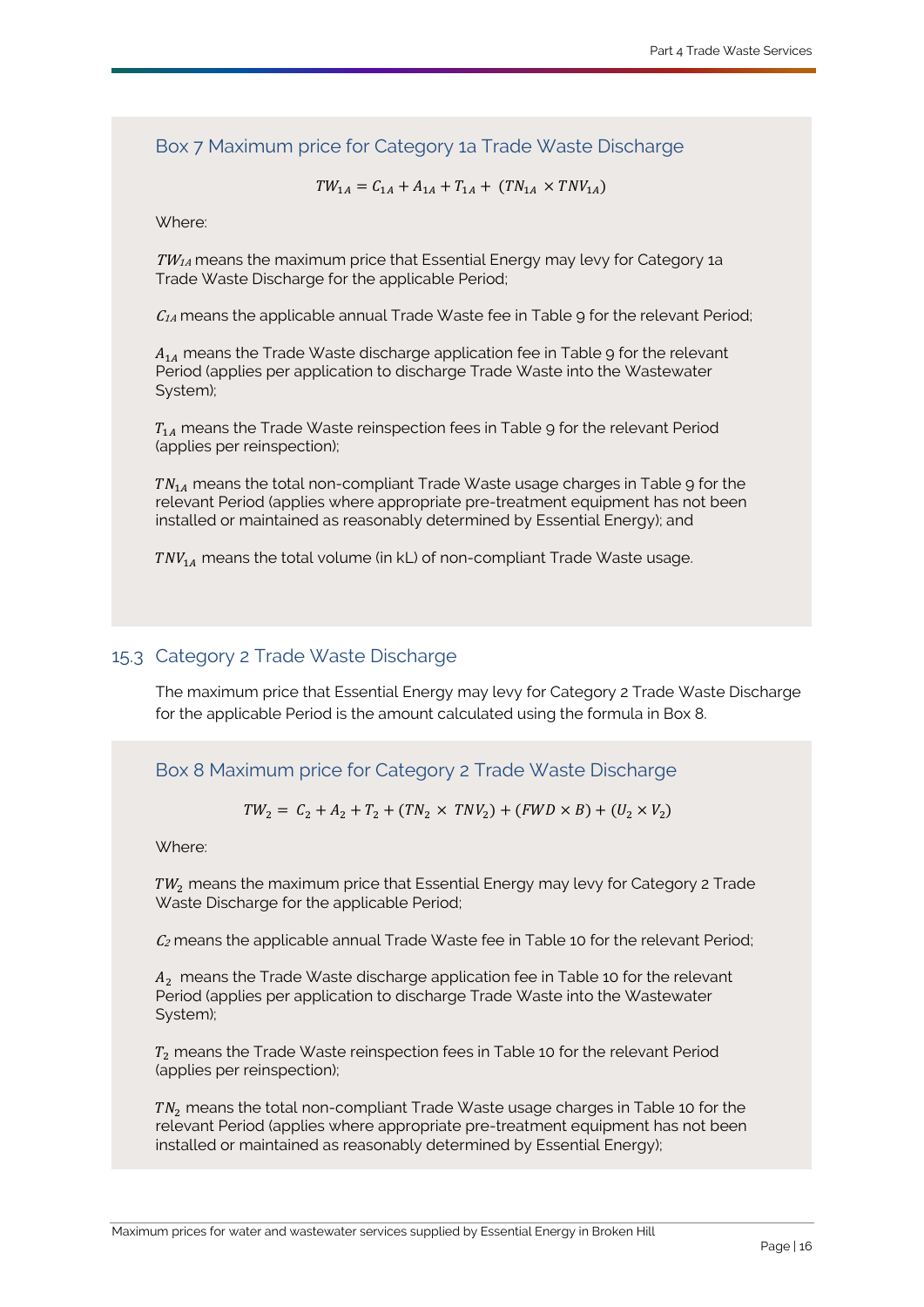Box 7 Maximum price for [Category 1a Trade Waste Discharge](#page-32-2)

$$
TW_{1A} = C_{1A} + A_{1A} + T_{1A} + (TN_{1A} \times TNV_{1A})
$$

Where:

 $TW_{1A}$  means the maximum price that [Essential Energy](#page-33-0) may levy for Category 1a [Trade Waste Discharge](#page-32-2) for the applicable [Period;](#page-35-5)

 $C_{1A}$  means the applicable annual [Trade Waste](#page-36-8) fee in Table 9 for the relevant [Period;](#page-35-5)

 $A_{14}$  means the [Trade Waste](#page-36-8) discharge application fee in Table 9 for the relevant [Period](#page-35-5) (applies per application to discharge [Trade Waste](#page-36-8) into the [Wastewater](#page-36-4)  [System\)](#page-36-4);

 $T_{1A}$  means the [Trade Waste](#page-36-8) reinspection fees in Table 9 for the relevant [Period](#page-35-5) (applies per reinspection);

 $TN_{1A}$  means the total non-compliant [Trade Waste](#page-36-8) usage charges in Table 9 for the relevant [Period](#page-35-5) (applies where appropriate pre-treatment equipment has not been installed or maintained as reasonably determined by [Essential Energy\);](#page-33-0) and

 $T N V_{14}$  means the total volume (i[n kL\)](#page-33-6) of non-compliant [Trade Waste](#page-36-8) usage.

### 15.3 [Category 2 Trade Waste Discharge](#page-32-3)

The maximum price that [Essential Energy](#page-33-0) may levy for [Category 2 Trade Waste Discharge](#page-32-3) for the applicable [Period](#page-35-5) is the amount calculated using the formula in Box 8.

Box 8 Maximum price for [Category 2 Trade Waste Discharge](#page-32-3)

 $TW_2 = C_2 + A_2 + T_2 + (TN_2 \times TNV_2) + (FWD \times B) + (U_2 \times V_2)$ 

Where:

 $TW<sub>2</sub>$  means the maximum price that [Essential Energy](#page-33-0) may levy for Category 2 Trade [Waste Discharge](#page-32-3) for the applicable [Period;](#page-35-5)

 $C<sub>2</sub>$  means the applicable annual [Trade Waste](#page-36-8) fee in Table 10 for the relevant [Period;](#page-35-5)

 $A<sub>2</sub>$  means the [Trade Waste](#page-36-8) discharge application fee in Table 10 for the relevant [Period](#page-35-5) (applies per application to discharge [Trade Waste](#page-36-8) into the [Wastewater](#page-36-4)  [System\)](#page-36-4);

 $T<sub>2</sub>$  means the [Trade Waste](#page-36-8) reinspection fees in Table 10 for the relevant [Period](#page-35-5) (applies per reinspection);

 $TN<sub>2</sub>$  means the total non-compliant [Trade Waste](#page-36-8) usage charges in Table 10 for the relevant [Period](#page-35-5) (applies where appropriate pre-treatment equipment has not been installed or maintained as reasonably determined by [Essential Energy\);](#page-33-0)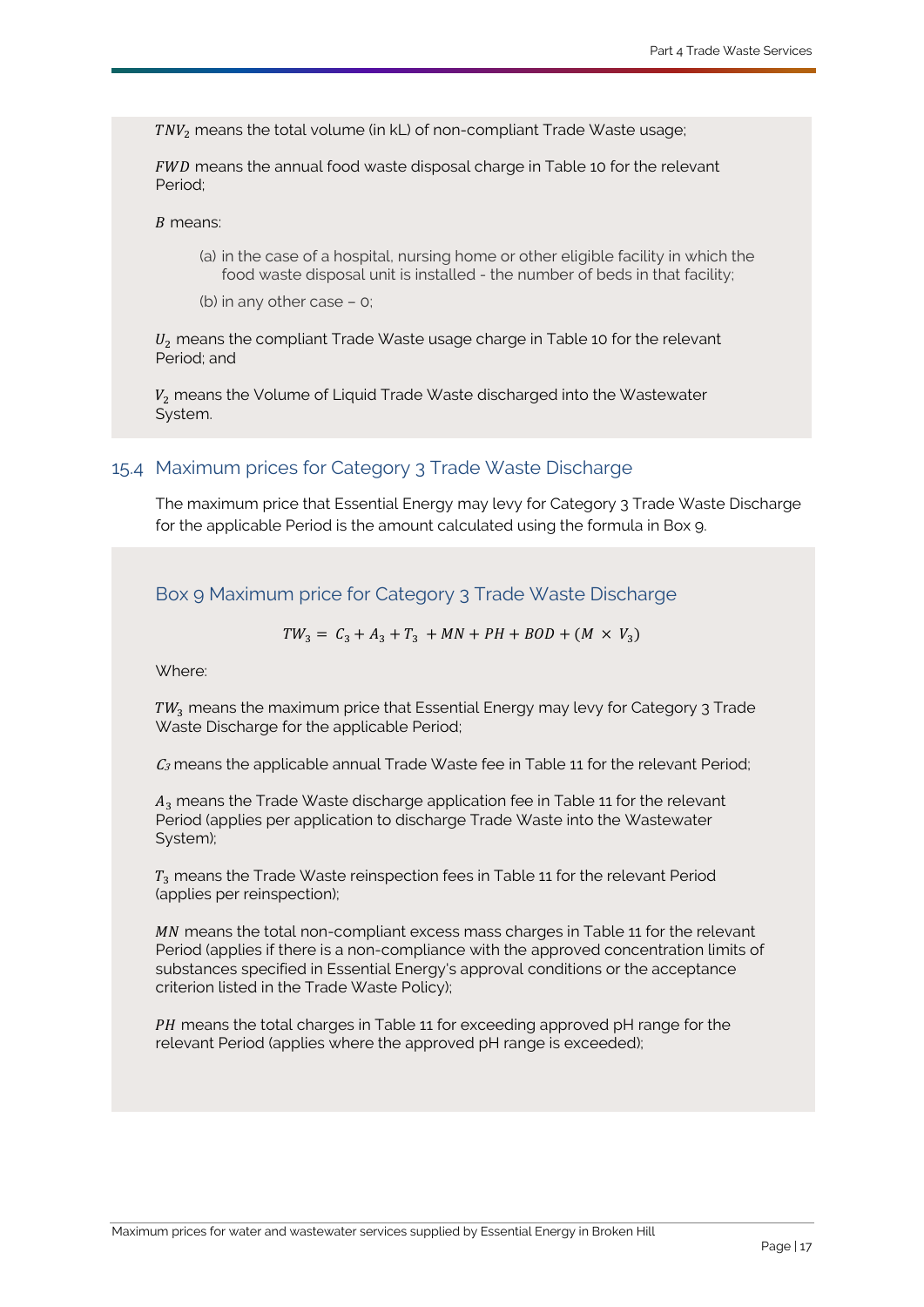TNV<sub>2</sub> means the total volume (in [kL\)](#page-33-6) of non-compliant [Trade Waste](#page-36-8) usage;

FWD means the annual food waste disposal charge in Table 10 for the relevant [Period;](#page-35-5)

#### $B$  means:

(a) in the case of a hospital, nursing home or other eligible facility in which the food waste disposal unit is installed - the number of beds in that facility;

(b) in any other case – 0;

 $U_2$  means the compliant [Trade Waste](#page-36-8) usage charge in Table 10 for the relevant [Period;](#page-35-5) and

 $V<sub>2</sub>$  means the [Volume of Liquid Trade Waste](#page-36-10) discharged into the Wastewater [System.](#page-36-4)

## 15.4 Maximum prices for [Category 3 Trade Waste Discharge](#page-32-4)

The maximum price that [Essential Energy](#page-33-0) may levy for [Category 3 Trade Waste Discharge](#page-32-4) for the applicable [Period](#page-35-5) is the amount calculated using the formula in Box 9.

Box 9 Maximum price for [Category 3 Trade Waste Discharge](#page-32-4)

 $TW_3 = C_3 + A_3 + T_3 + MN + PH + BOD + (M \times V_3)$ 

Where:

TW<sub>2</sub> means the maximum price that [Essential Energy](#page-33-0) may levy for Category 3 Trade [Waste Discharge](#page-32-4) for the applicable [Period;](#page-35-5)

 $C_3$  means the applicable annual [Trade Waste](#page-36-8) fee in Table 11 for the relevant [Period;](#page-35-5)

 $A<sub>2</sub>$  means the [Trade Waste](#page-36-8) discharge application fee in Table 11 for the relevant [Period](#page-35-5) (applies per application to discharge [Trade Waste](#page-36-8) into the [Wastewater](#page-36-4)  [System\)](#page-36-4);

 $T<sub>2</sub>$  means the [Trade Waste](#page-36-8) reinspection fees in Table 11 for the relevant [Period](#page-35-5) (applies per reinspection);

MN means the total non-compliant excess mass charges in Table 11 for the relevant [Period](#page-35-5) (applies if there is a non-compliance with the approved concentration limits of substances specified in [Essential Energy's](#page-33-0) approval conditions or the acceptance criterion listed in the [Trade Waste Policy\)](#page-36-9);

PH means the total charges in Table 11 for exceeding approved pH range for the relevant [Period](#page-35-5) (applies where the approved pH range is exceeded);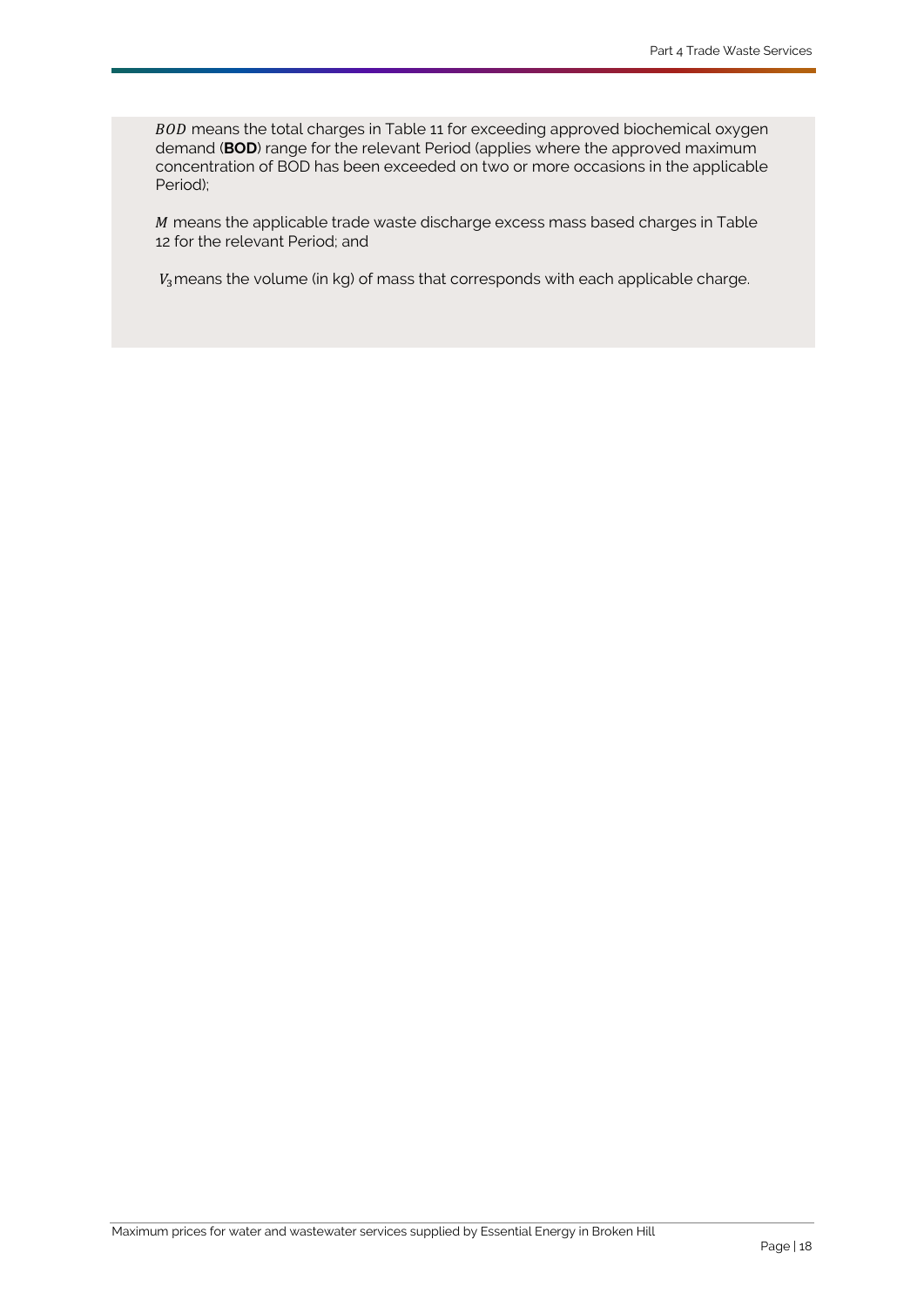BOD means the total charges in Table 11 for exceeding approved biochemical oxygen demand (**BOD**) range for the relevant [Period](#page-35-5) (applies where the approved maximum concentration of BOD has been exceeded on two or more occasions in the applicable [Period\);](#page-35-5)

 $M$  means the applicable trade waste discharge excess mass based charges in Table 12 for the relevant [Period;](#page-35-5) and

 $V_3$ means the volume (in kg) of mass that corresponds with each applicable charge.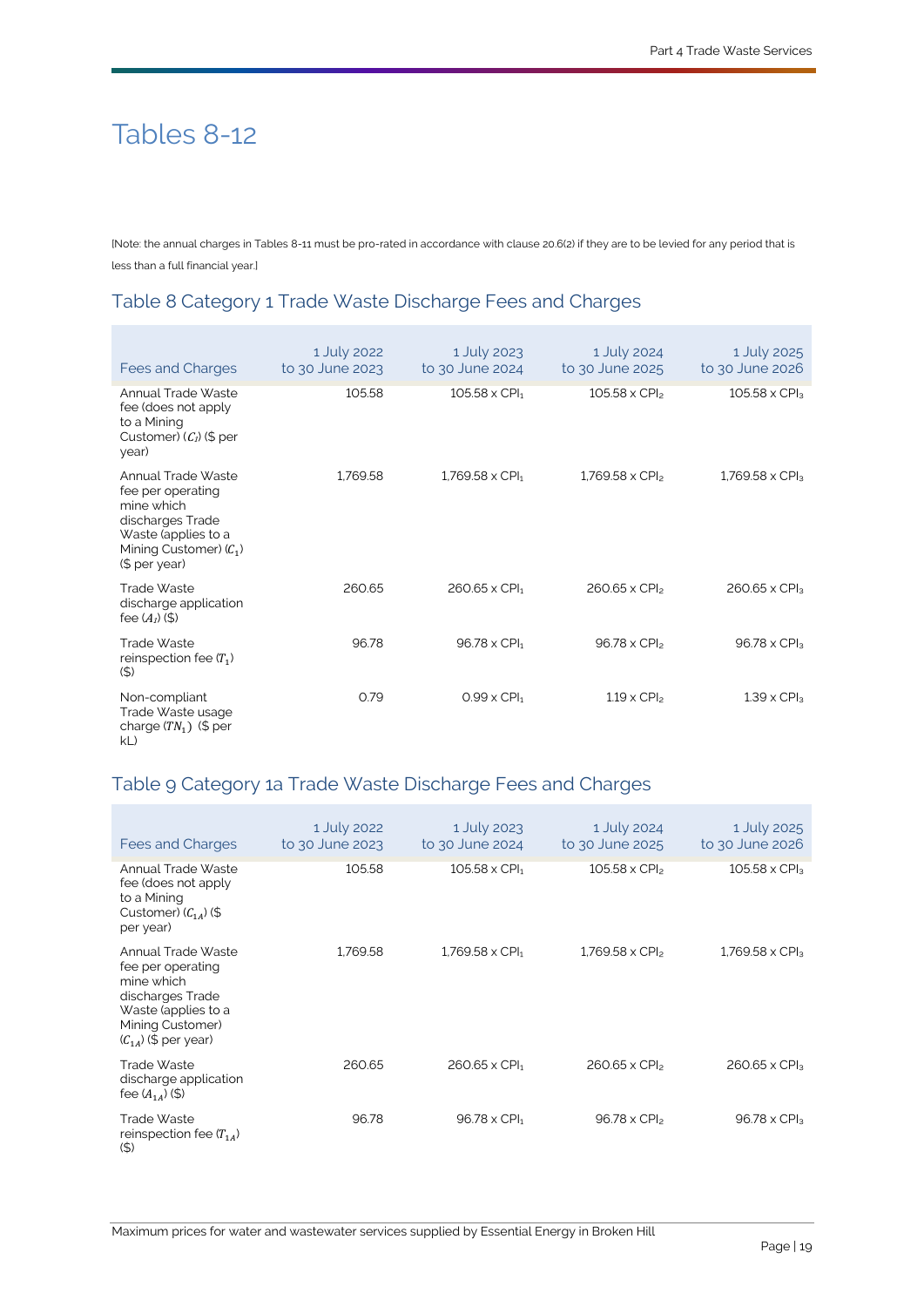# Tables 8-12

[Note: the annual charges in Tables 8-11 must be pro-rated in accordance with claus[e 20.6\(2\)](#page-30-4) if they are to be levied for any period that is less than a full financial year.]

# Table 8 [Category 1 Trade Waste Discharge](#page-31-2) Fees and Charges

| Fees and Charges                                                                                                                              | 1 July 2022<br>to 30 June 2023 | 1 July 2023<br>to 30 June 2024   | 1 July 2024<br>to 30 June 2025 | 1 July 2025<br>to 30 June 2026  |
|-----------------------------------------------------------------------------------------------------------------------------------------------|--------------------------------|----------------------------------|--------------------------------|---------------------------------|
| Annual Trade Waste<br>fee (does not apply<br>to a Mining<br>Customer) $(C_1)$ (\$ per<br>year)                                                | 105.58                         | $105.58 \times$ CPI <sub>1</sub> | $105.58 \times CP$             | $105.58 \times CPI3$            |
| Annual Trade Waste<br>fee per operating<br>mine which<br>discharges Trade<br>Waste (applies to a<br>Mining Customer) $(C_1)$<br>(\$ per year) | 1.769.58                       | $1.769.58 \times CPI_1$          | $1.769.58 \times CP$           | $1.769.58 \times CP$            |
| Trade Waste<br>discharge application<br>fee $(A_1)$ (\$)                                                                                      | 260.65                         | $260.65 \times$ CPI <sub>1</sub> | $260.65 \times CPI_2$          | $260.65 \times CPI3$            |
| Trade Waste<br>reinspection fee $(T_1)$<br>(5)                                                                                                | 96.78                          | $96.78 \times$ CPI <sub>1</sub>  | $96.78 \times CP$              | 96.78 $\times$ CPI <sub>3</sub> |
| Non-compliant<br>Trade Waste usage<br>charge $(TN_1)$ (\$ per<br>kL                                                                           | 0.79                           | $0.99 \times$ CPI <sub>1</sub>   | $1.19 \times CPI2$             | $1.39 \times$ CPI <sub>3</sub>  |

# Table 9 [Category 1a Trade Waste Discharge](#page-32-2) Fees and Charges

| Fees and Charges                                                                                                                                 | 1 July 2022<br>to 30 June 2023 | 1 July 2023<br>to 30 June 2024     | 1 July 2024<br>to 30 June 2025   | 1 July 2025<br>to 30 June 2026   |
|--------------------------------------------------------------------------------------------------------------------------------------------------|--------------------------------|------------------------------------|----------------------------------|----------------------------------|
| Annual Trade Waste<br>fee (does not apply<br>to a Mining<br>Customer) $(C_{14})$ (\$<br>per year)                                                | 105.58                         | $105.58 \times$ CPI <sub>1</sub>   | $105.58 \times CP$               | $105.58 \times CPI3$             |
| Annual Trade Waste<br>fee per operating<br>mine which<br>discharges Trade<br>Waste (applies to a<br>Mining Customer)<br>$(C_{14})$ (\$ per year) | 1.769.58                       | $1.769.58 \times$ CPI <sub>1</sub> | $1.769.58 \times CP$             | 1,769.58 x CPI <sub>3</sub>      |
| Trade Waste<br>discharge application<br>fee $(A_{14})$ (\$)                                                                                      | 260.65                         | $260.65 \times$ CPI <sub>1</sub>   | $260.65 \times$ CPI <sub>2</sub> | $260.65 \times$ CPI <sub>3</sub> |
| Trade Waste<br>reinspection fee $(T_{14})$<br>(5)                                                                                                | 96.78                          | $96.78 \times CPI_1$               | 96.78 x CPI <sub>2</sub>         | 96.78 x CPI <sub>3</sub>         |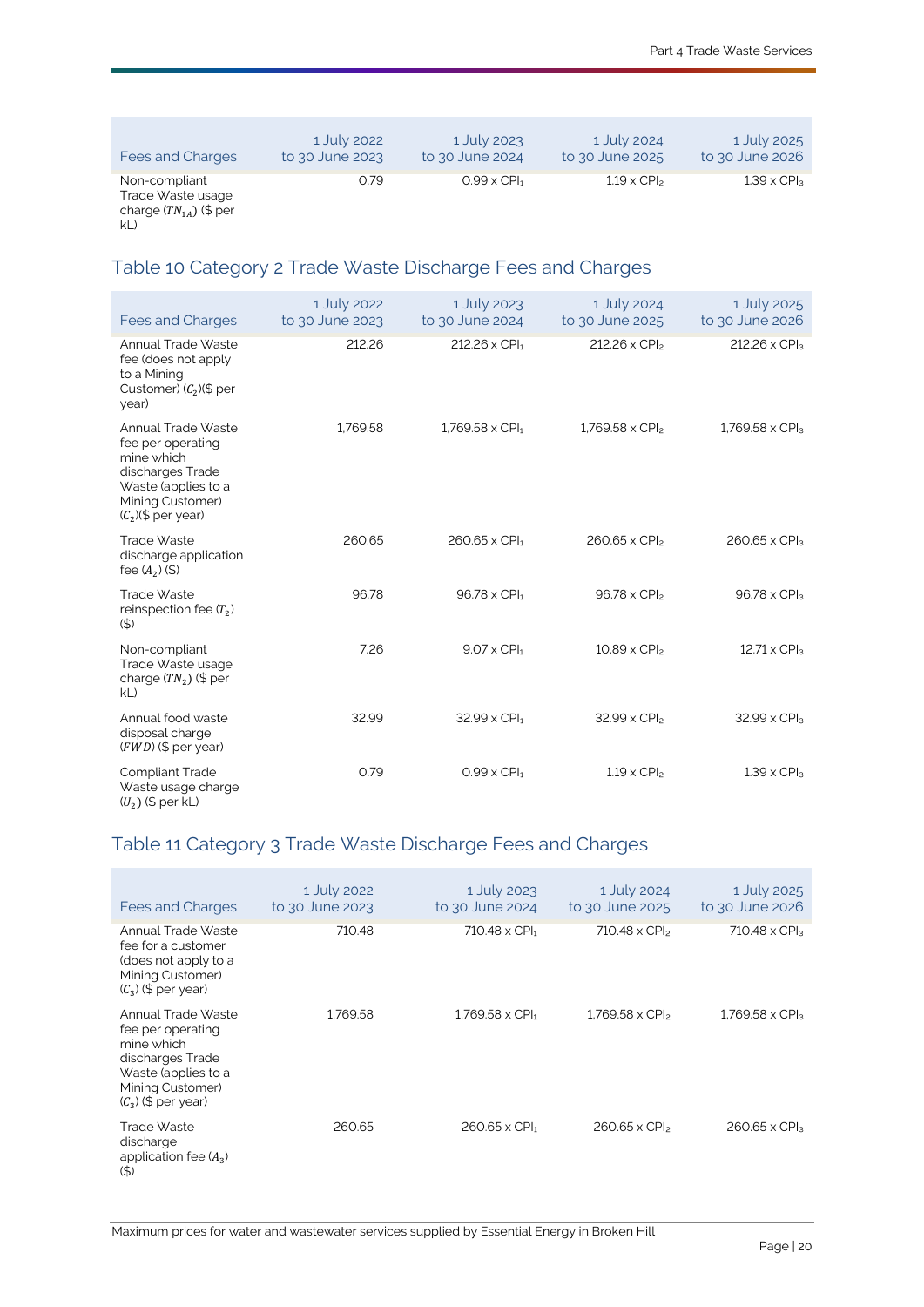| Fees and Charges                                                 | 1 July 2022     | 1 July 2023                    | 1 July 2024                    | 1 July 2025        |
|------------------------------------------------------------------|-----------------|--------------------------------|--------------------------------|--------------------|
|                                                                  | to 30 June 2023 | to 30 June 2024                | to 30 June 2025                | to 30 June 2026    |
| Non-compliant<br>Trade Waste usage<br>charge $(TN_{14})$ (\$ per | 0.79            | $0.99 \times$ CPI <sub>1</sub> | $1.19 \times$ CPI <sub>2</sub> | $1.39 \times CPI3$ |

#### [kL\)](#page-33-6)

# Table 10 [Category 2 Trade Waste Discharge](#page-32-3) Fees and Charges

| <b>Fees and Charges</b>                                                                                                                      | 1 July 2022<br>to 30 June 2023 | 1 July 2023<br>to 30 June 2024  | 1 July 2024<br>to 30 June 2025   | 1 July 2025<br>to 30 June 2026    |
|----------------------------------------------------------------------------------------------------------------------------------------------|--------------------------------|---------------------------------|----------------------------------|-----------------------------------|
| Annual Trade Waste<br>fee (does not apply<br>to a Mining<br>Customer) $(C_2)(\$ per<br>year)                                                 | 212.26                         | 212.26 x CPI <sub>1</sub>       | 212.26 x CPI <sub>2</sub>        | $212.26 \times CPI_3$             |
| Annual Trade Waste<br>fee per operating<br>mine which<br>discharges Trade<br>Waste (applies to a<br>Mining Customer)<br>$(C_2)(\$$ per year) | 1.769.58                       | $1.769.58 \times CPI_1$         | $1.769.58 \times CP$             | $1,769.58 \times CP$ <sub>3</sub> |
| Trade Waste<br>discharge application<br>fee $(A_2)(\frac{1}{2})$                                                                             | 260.65                         | 260.65 x CPI1                   | $260.65 \times$ CPI <sub>2</sub> | $260.65 \times$ CPI <sub>3</sub>  |
| Trade Waste<br>reinspection fee $(T2)$<br>(5)                                                                                                | 96.78                          | $96.78 \times$ CPI <sub>1</sub> | 96.78 x CPI <sub>2</sub>         | 96.78 x CPI <sub>3</sub>          |
| Non-compliant<br>Trade Waste usage<br>charge $(TN_2)$ (\$ per<br>kL                                                                          | 7.26                           | $9.07 \times$ CPI <sub>1</sub>  | $10.89 \times CP$                | $12.71 \times CP$                 |
| Annual food waste<br>disposal charge<br>$(FWD)$ (\$ per year)                                                                                | 32.99                          | 32.99 x CPI1                    | 32.99 x CPI <sub>2</sub>         | 32.99 x CPI <sub>3</sub>          |
| <b>Compliant Trade</b><br>Waste usage charge<br>$(U_2)$ (\$ per kL)                                                                          | 0.79                           | $0.99 \times$ CPI <sub>1</sub>  | $1.19 \times CPI2$               | $1.39 \times CPI3$                |

# Table 11 [Category 3 Trade Waste Discharge](#page-32-4) Fees and Charges

| <b>Fees and Charges</b>                                                                                                                       | 1 July 2022<br>to 30 June 2023 | 1 July 2023<br>to 30 June 2024     | 1 July 2024<br>to 30 June 2025   | 1 July 2025<br>to 30 June 2026   |
|-----------------------------------------------------------------------------------------------------------------------------------------------|--------------------------------|------------------------------------|----------------------------------|----------------------------------|
| Annual Trade Waste<br>fee for a customer<br>(does not apply to a<br>Mining Customer)<br>$(C_3)$ (\$ per year)                                 | 710.48                         | 710.48 x CPI <sub>1</sub>          | 710.48 x CPI <sub>2</sub>        | $710.48 \times CPI3$             |
| Annual Trade Waste<br>fee per operating<br>mine which<br>discharges Trade<br>Waste (applies to a<br>Mining Customer)<br>$(C_3)$ (\$ per year) | 1.769.58                       | $1.769.58 \times$ CPI <sub>1</sub> | $1.769.58 \times CP$             | $1.769.58 \times CP$             |
| Trade Waste<br>discharge<br>application fee $(A_3)$<br>$($ \$)                                                                                | 260.65                         | $260.65 \times$ CPI <sub>1</sub>   | $260.65 \times$ CPI <sub>2</sub> | $260.65 \times$ CPI <sub>3</sub> |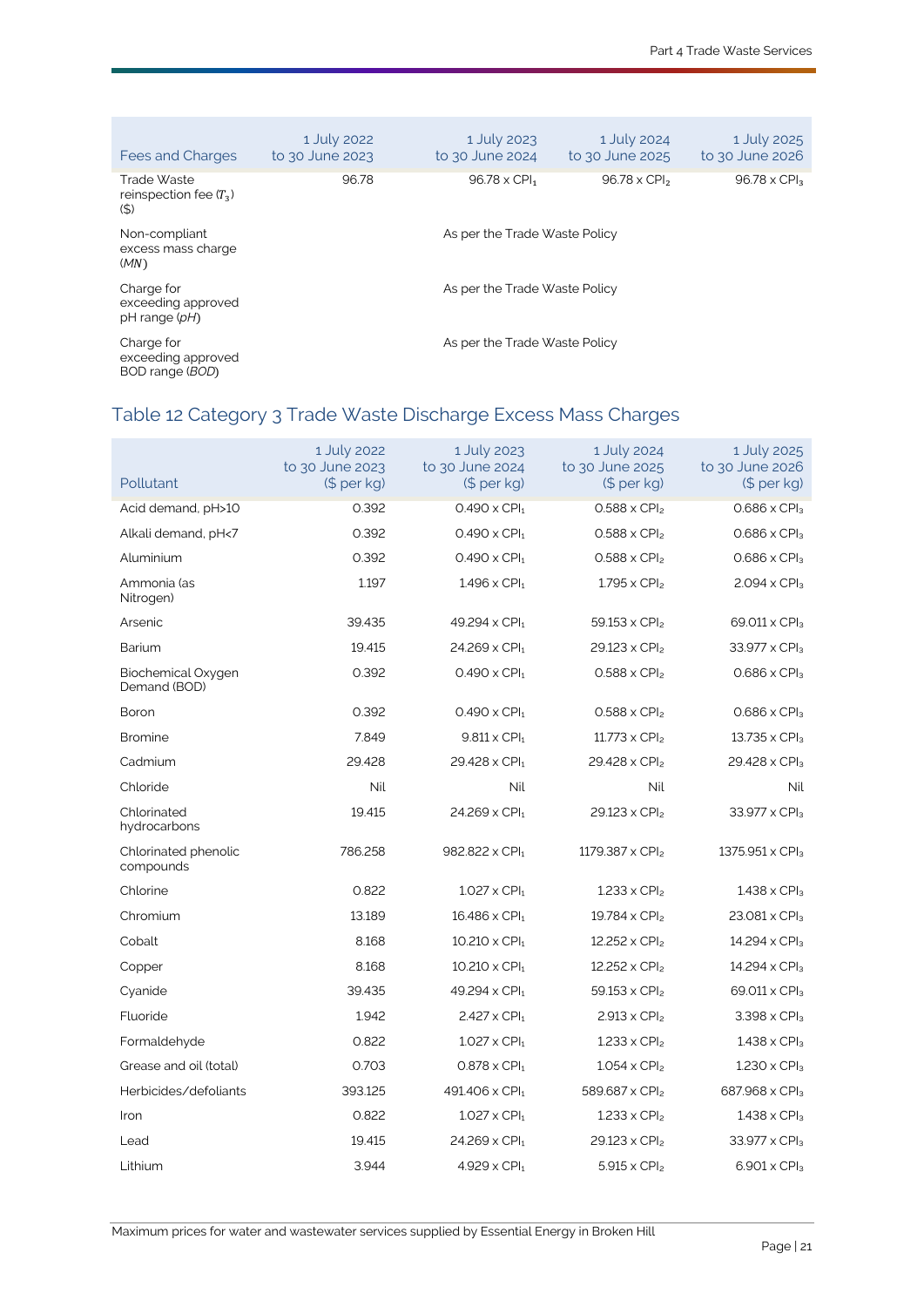| Fees and Charges                                    | 1 July 2022<br>to 30 June 2023 | 1 July 2023<br>to 30 June 2024  | 1 July 2024<br>to 30 June 2025  | 1 July 2025<br>to 30 June 2026 |  |  |
|-----------------------------------------------------|--------------------------------|---------------------------------|---------------------------------|--------------------------------|--|--|
| Trade Waste<br>reinspection fee $(T_3)$<br>$($ \$)  | 96.78                          | $96.78 \times$ CPI <sub>1</sub> | $96.78 \times$ CPI <sub>2</sub> | $96.78 \times CPI3$            |  |  |
| Non-compliant<br>excess mass charge<br>(MN)         | As per the Trade Waste Policy  |                                 |                                 |                                |  |  |
| Charge for<br>exceeding approved<br>pH range (pH)   | As per the Trade Waste Policy  |                                 |                                 |                                |  |  |
| Charge for<br>exceeding approved<br>BOD range (BOD) |                                | As per the Trade Waste Policy   |                                 |                                |  |  |

# Table 12 [Category 3 Trade Waste Discharge](#page-32-4) Excess Mass Charges

| Pollutant                          | 1 July 2022<br>to 30 June 2023<br>(\$ per kg) | 1 July 2023<br>to 30 June 2024<br>(\$ per kg) | 1 July 2024<br>to 30 June 2025<br>$$$ per kg) | 1 July 2025<br>to 30 June 2026<br>(S per kg) |
|------------------------------------|-----------------------------------------------|-----------------------------------------------|-----------------------------------------------|----------------------------------------------|
| Acid demand, pH>10                 | 0.392                                         | $0.490 \times CPI_1$                          | $0.588 \times CPI2$                           | $0.686 \times$ CPI <sub>3</sub>              |
| Alkali demand, pH<7                | 0.392                                         | $0.490 \times$ CPI <sub>1</sub>               | $0.588 \times CPI2$                           | $0.686 \times$ CPI <sub>3</sub>              |
| Aluminium                          | 0.392                                         | $0.490 \times$ CPI <sub>1</sub>               | $0.588 \times CPI_2$                          | $0.686 \times$ CPI <sub>3</sub>              |
| Ammonia (as<br>Nitrogen)           | 1.197                                         | $1.496 \times$ CPI <sub>1</sub>               | $1.795 \times CPI2$                           | $2.094 \times CPI3$                          |
| Arsenic                            | 39.435                                        | 49.294 x CPI <sub>1</sub>                     | 59.153 x CPI <sub>2</sub>                     | 69.011 x CPI <sub>3</sub>                    |
| Barium                             | 19.415                                        | $24.269 \times$ CPI <sub>1</sub>              | $29.123 \times CPI2$                          | $33.977 \times CPI3$                         |
| Biochemical Oxygen<br>Demand (BOD) | 0.392                                         | $0.490 \times$ CPI <sub>1</sub>               | $0.588 \times CPI2$                           | $0.686 \times$ CPI <sub>3</sub>              |
| Boron                              | 0.392                                         | $0.490 \times$ CPI <sub>1</sub>               | $0.588 \times CPI_2$                          | $0.686 \times$ CPI <sub>3</sub>              |
| <b>Bromine</b>                     | 7.849                                         | $9.811 \times CPI_1$                          | $11.773 \times CP$                            | 13.735 x CPI <sub>3</sub>                    |
| Cadmium                            | 29.428                                        | 29.428 x CPI <sub>1</sub>                     | 29.428 x CPI <sub>2</sub>                     | 29.428 x CPI <sub>3</sub>                    |
| Chloride                           | <b>Nil</b>                                    | Nil                                           | <b>Nil</b>                                    | <b>Nil</b>                                   |
| Chlorinated<br>hydrocarbons        | 19.415                                        | $24.269 \times$ CPI <sub>1</sub>              | $29.123 \times CPI2$                          | 33.977 x CPI <sub>3</sub>                    |
| Chlorinated phenolic<br>compounds  | 786.258                                       | 982.822 x CPI1                                | 1179.387 x CPI <sub>2</sub>                   | 1375.951 x CPI <sub>3</sub>                  |
| Chlorine                           | 0.822                                         | $1.027 \times$ CPI <sub>1</sub>               | $1.233 \times CPI2$                           | $1.438 \times CPI3$                          |
| Chromium                           | 13.189                                        | 16.486 x CPI <sub>1</sub>                     | 19.784 x CPI <sub>2</sub>                     | 23.081 x CPI3                                |
| Cobalt                             | 8.168                                         | $10.210 \times$ CPI <sub>1</sub>              | 12.252 x CPI <sub>2</sub>                     | 14.294 x CPI <sub>3</sub>                    |
| Copper                             | 8.168                                         | $10.210 \times$ CPI <sub>1</sub>              | $12.252 \times CPI_2$                         | 14.294 x CPI <sub>3</sub>                    |
| Cyanide                            | 39.435                                        | 49.294 x CPI <sub>1</sub>                     | 59.153 x CPI <sub>2</sub>                     | 69.011 x CPI <sub>3</sub>                    |
| Fluoride                           | 1.942                                         | $2.427 \times CPI_1$                          | $2.913 \times CPI_2$                          | $3.398 \times CPI_3$                         |
| Formaldehyde                       | 0.822                                         | $1.027 \times$ CPI <sub>1</sub>               | $1.233 \times$ CPI <sub>2</sub>               | $1.438 \times CPI3$                          |
| Grease and oil (total)             | 0.703                                         | $0.878 \times CPI_1$                          | $1.054 \times CPI2$                           | $1.230 \times CPI3$                          |
| Herbicides/defoliants              | 393.125                                       | 491.406 x CPI <sub>1</sub>                    | 589.687 x CPI <sub>2</sub>                    | 687.968 x CPI <sub>3</sub>                   |
| Iron                               | 0.822                                         | $1.027 \times$ CPI <sub>1</sub>               | $1.233 \times CP$                             | $1.438 \times CP$ <sub>3</sub>               |
| Lead                               | 19.415                                        | $24.269 \times$ CPI <sub>1</sub>              | $29.123 \times CPI2$                          | $33.977 \times CPI3$                         |
| Lithium                            | 3.944                                         | $4.929 \times$ CPI <sub>1</sub>               | $5.915 \times CPI2$                           | $6.901 \times CPI3$                          |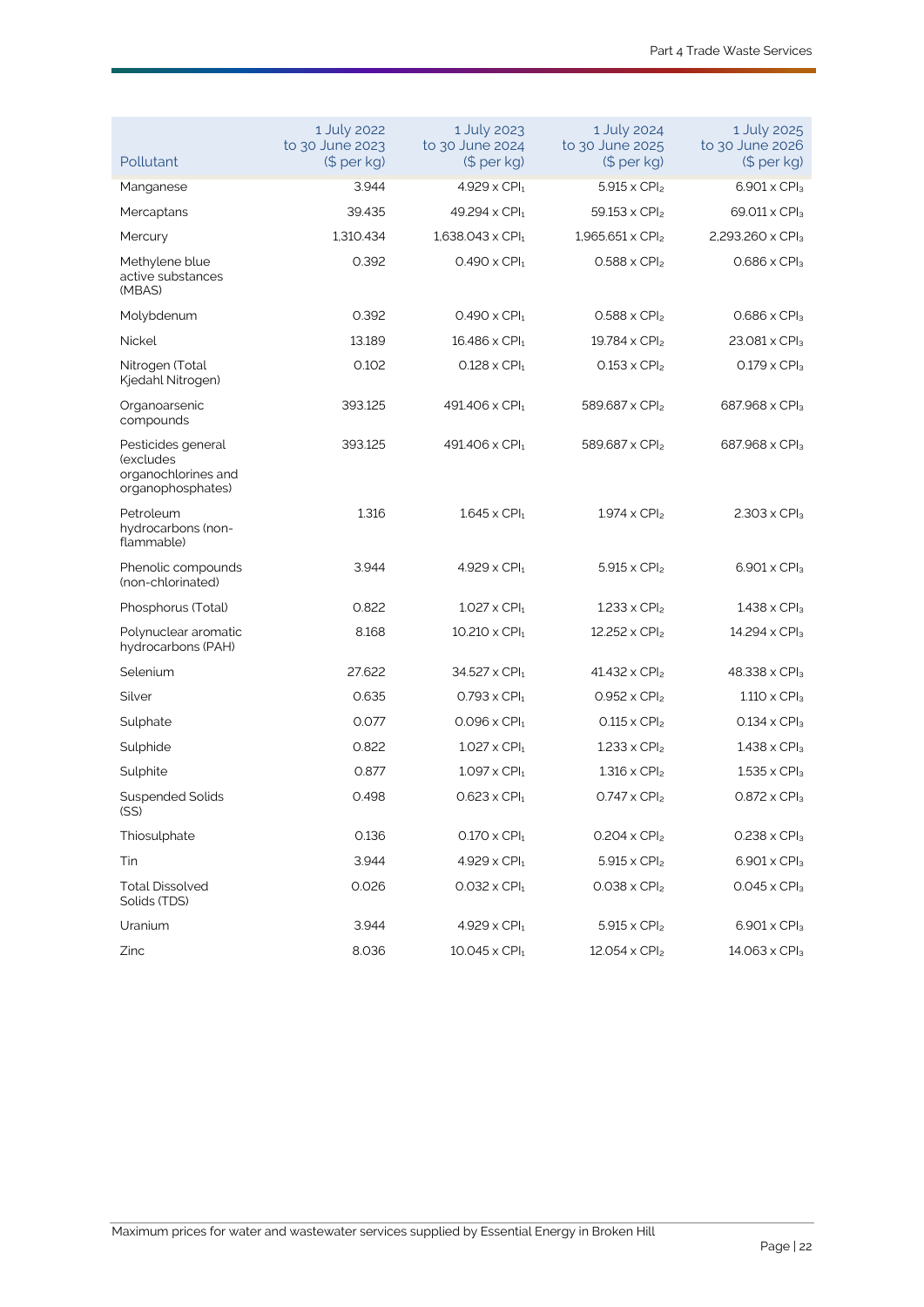| Pollutant                                                                   | 1 July 2022<br>to 30 June 2023<br>(\$ per kg) | 1 July 2023<br>to 30 June 2024<br>$$$ per kg) | 1 July 2024<br>to 30 June 2025<br>$(5 per kg)$ | 1 July 2025<br>to 30 June 2026<br>$$$ per kg) |
|-----------------------------------------------------------------------------|-----------------------------------------------|-----------------------------------------------|------------------------------------------------|-----------------------------------------------|
| Manganese                                                                   | 3.944                                         | $4.929 \times$ CPI <sub>1</sub>               | $5.915 \times CPI_{2}$                         | $6.901 \times CPI3$                           |
| Mercaptans                                                                  | 39.435                                        | 49.294 x CPI <sub>1</sub>                     | $59.153 \times CPI_2$                          | 69.011 x CPI <sub>3</sub>                     |
| Mercury                                                                     | 1,310.434                                     | $1,638.043 \times$ CPI <sub>1</sub>           | $1,965.651 \times CPI_2$                       | 2,293.260 x CPI <sub>3</sub>                  |
| Methylene blue<br>active substances<br>(MBAS)                               | 0.392                                         | $0.490 \times$ CPI <sub>1</sub>               | $0.588 \times CPI_2$                           | $0.686 \times$ CPI <sub>3</sub>               |
| Molybdenum                                                                  | 0.392                                         | $0.490 \times$ CPI <sub>1</sub>               | $0.588 \times CPI2$                            | $0.686 \times CPI3$                           |
| <b>Nickel</b>                                                               | 13.189                                        | $16.486 \times$ CPI <sub>1</sub>              | 19.784 x CPI <sub>2</sub>                      | $23.081 \times CPI3$                          |
| Nitrogen (Total<br>Kjedahl Nitrogen)                                        | 0.102                                         | $0.128 \times$ CPI <sub>1</sub>               | $0.153 \times CPI2$                            | $0.179 \times CPI3$                           |
| Organoarsenic<br>compounds                                                  | 393.125                                       | 491.406 x CPI <sub>1</sub>                    | 589.687 x CPI <sub>2</sub>                     | 687.968 x CPI <sub>3</sub>                    |
| Pesticides general<br>(excludes<br>organochlorines and<br>organophosphates) | 393.125                                       | 491.406 x CPI <sub>1</sub>                    | 589.687 x CPI <sub>2</sub>                     | 687.968 x CPI <sub>3</sub>                    |
| Petroleum<br>hydrocarbons (non-<br>flammable)                               | 1.316                                         | $1.645 \times$ CPI <sub>1</sub>               | $1.974 \times CPI_{2}$                         | $2.303 \times$ CPI <sub>3</sub>               |
| Phenolic compounds<br>(non-chlorinated)                                     | 3.944                                         | $4.929 \times CPI_1$                          | $5.915 \times CPI_{2}$                         | $6.901 \times CPI3$                           |
| Phosphorus (Total)                                                          | 0.822                                         | $1.027 \times$ CPI <sub>1</sub>               | $1.233 \times CPI2$                            | $1.438 \times CPI3$                           |
| Polynuclear aromatic<br>hydrocarbons (PAH)                                  | 8.168                                         | $10.210 \times$ CPI <sub>1</sub>              | 12.252 x CPI <sub>2</sub>                      | $14.294 \times CPI3$                          |
| Selenium                                                                    | 27.622                                        | $34.527 \times$ CPI <sub>1</sub>              | 41.432 x CPI <sub>2</sub>                      | 48.338 x CPI <sub>3</sub>                     |
| Silver                                                                      | 0.635                                         | $0.793 \times$ CPI <sub>1</sub>               | $0.952 \times CPI_2$                           | $1.110 \times CPI3$                           |
| Sulphate                                                                    | 0.077                                         | $0.096 \times$ CPI <sub>1</sub>               | $0.115 \times CPI2$                            | $0.134 \times CPI3$                           |
| Sulphide                                                                    | 0.822                                         | $1.027 \times$ CPI <sub>1</sub>               | $1.233 \times CPI2$                            | $1.438 \times CP$ <sub>3</sub>                |
| Sulphite                                                                    | 0.877                                         | $1.097 \times$ CPI <sub>1</sub>               | $1.316 \times CPI2$                            | $1.535 \times CPI3$                           |
| Suspended Solids<br>(SS)                                                    | 0.498                                         | $0.623 \times$ CPI <sub>1</sub>               | $0.747 \times CPI2$                            | $0.872 \times CP$ la                          |
| Thiosulphate                                                                | 0.136                                         | $0.170 \times$ CPI <sub>1</sub>               | $0.204 \times CPI2$                            | $0.238 \times CPI3$                           |
| Tin                                                                         | 3.944                                         | $4.929 \times$ CPI <sub>1</sub>               | $5.915 \times CPI2$                            | $6.901 \times CPI3$                           |
| <b>Total Dissolved</b><br>Solids (TDS)                                      | 0.026                                         | $0.032 \times$ CPI <sub>1</sub>               | $0.038 \times CPI2$                            | $0.045 \times CPI3$                           |
| Uranium                                                                     | 3.944                                         | $4.929 \times CPI1$                           | $5.915 \times CPI2$                            | $6.901 \times CPI3$                           |
| Zinc                                                                        | 8.036                                         | $10.045 \times$ CPI <sub>1</sub>              | $12.054 \times CPI2$                           | $14.063 \times CPI_3$                         |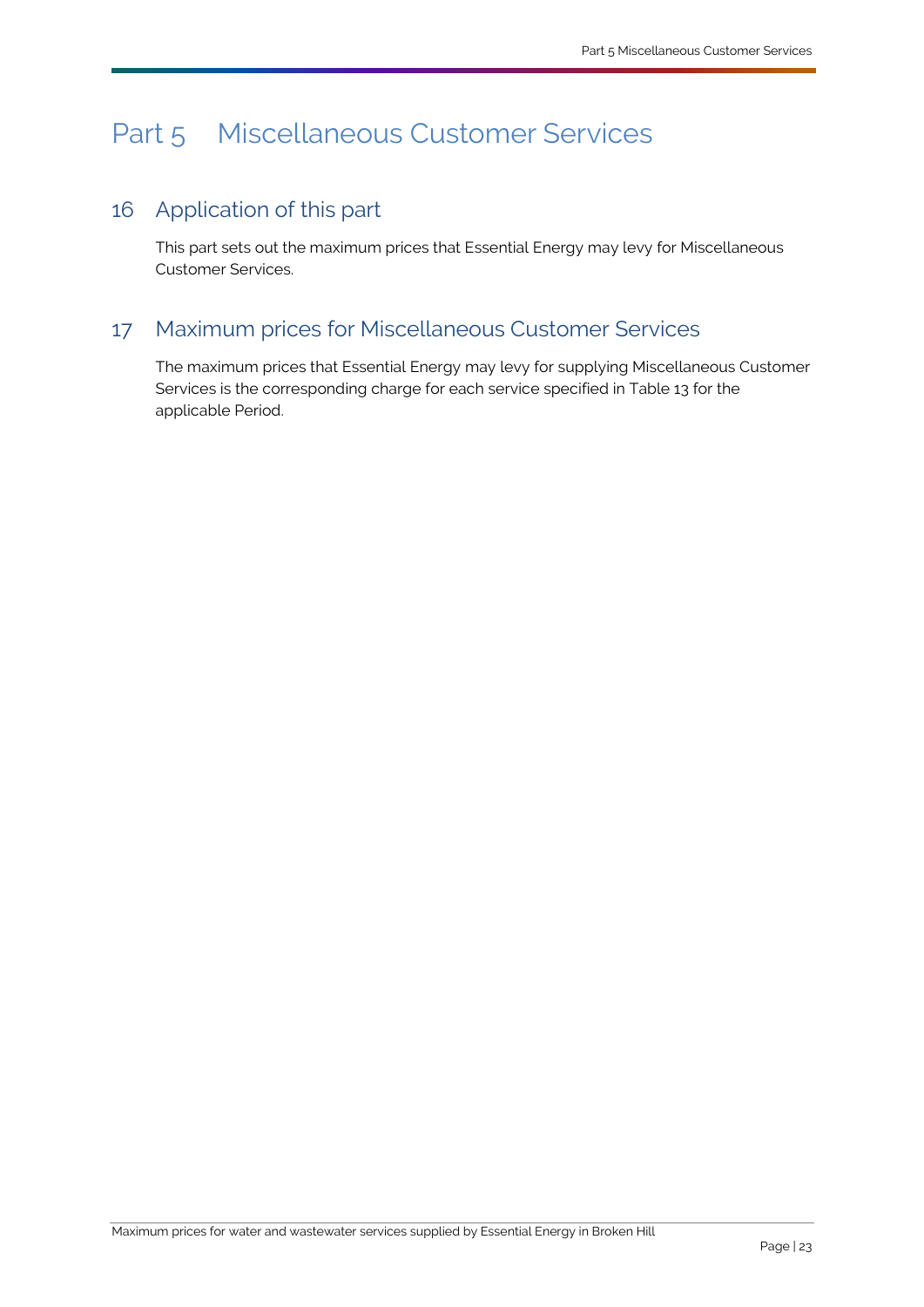# <span id="page-25-3"></span><span id="page-25-0"></span>Part 5 [Miscellaneous Customer Services](#page-34-0)

# <span id="page-25-1"></span>16 Application of this part

This part sets out the maximum prices that [Essential Energy](#page-33-0) may levy fo[r Miscellaneous](#page-34-0)  [Customer Services.](#page-34-0)

# <span id="page-25-2"></span>17 Maximum prices for [Miscellaneous Customer Services](#page-34-0)

The maximum prices that [Essential Energy](#page-33-0) may levy for supplying [Miscellaneous Customer](#page-34-0)  [Services](#page-34-0) is the corresponding charge for each service specified in Table 13 for the applicable [Period.](#page-35-5)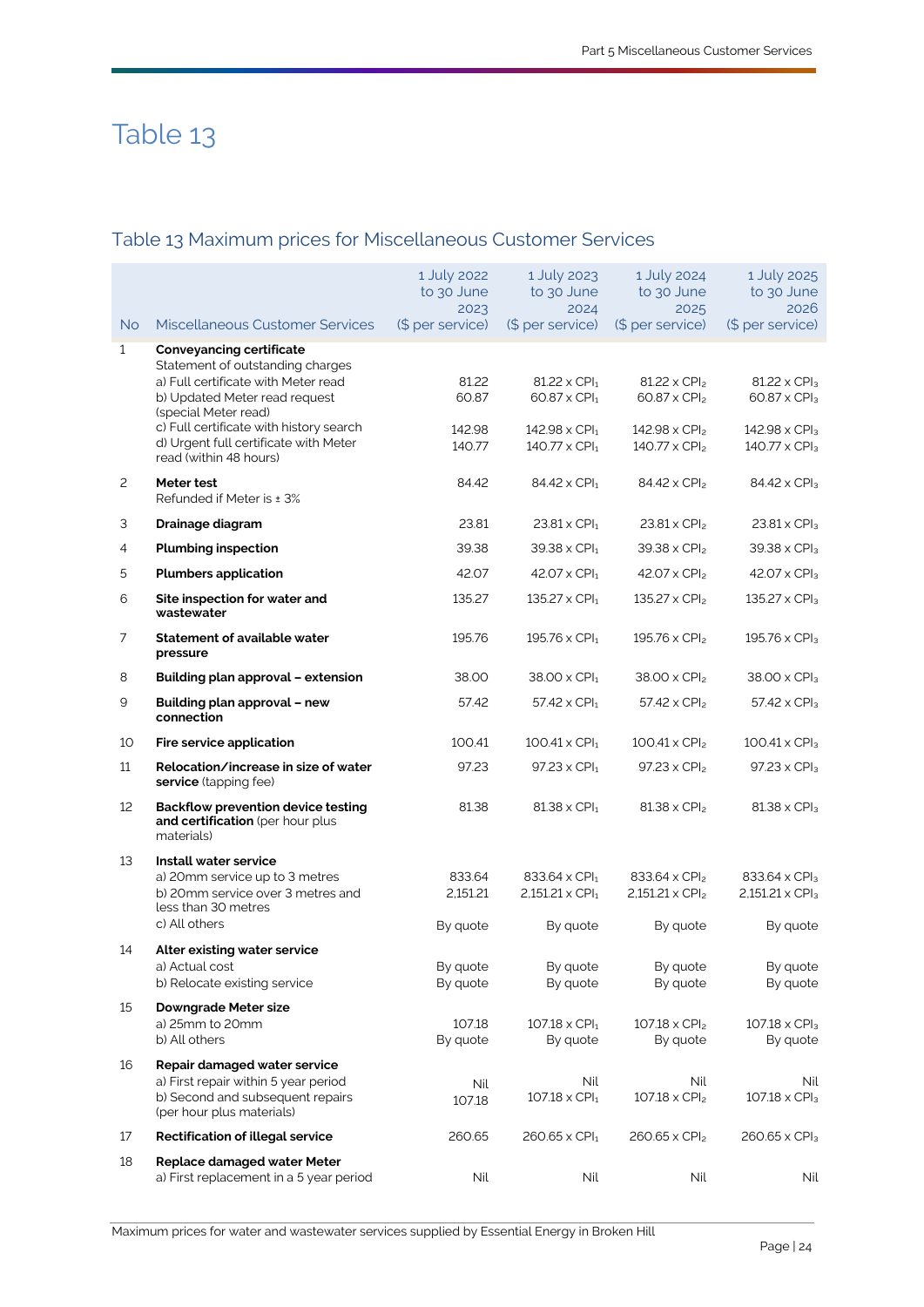# Table 13

# Table 13 Maximum prices for [Miscellaneous Customer Services](#page-34-0)

|              |                                                                                                                                                                                                                                                                                   | 1 July 2022<br>to 30 June<br>2023  | 1 July 2023<br>to 30 June<br>2024                                                                                                   | 1 July 2024<br>to 30 June<br>2025                                                                 | 1 July 2025<br>to 30 June<br>2026                                                                     |
|--------------|-----------------------------------------------------------------------------------------------------------------------------------------------------------------------------------------------------------------------------------------------------------------------------------|------------------------------------|-------------------------------------------------------------------------------------------------------------------------------------|---------------------------------------------------------------------------------------------------|-------------------------------------------------------------------------------------------------------|
| <b>No</b>    | <b>Miscellaneous Customer Services</b>                                                                                                                                                                                                                                            | (\$ per service)                   | (\$ per service)                                                                                                                    | (\$ per service)                                                                                  | (\$ per service)                                                                                      |
| $\mathbf{1}$ | <b>Conveyancing certificate</b><br>Statement of outstanding charges<br>a) Full certificate with Meter read<br>b) Updated Meter read request<br>(special Meter read)<br>c) Full certificate with history search<br>d) Urgent full certificate with Meter<br>read (within 48 hours) | 81.22<br>60.87<br>142.98<br>140.77 | $81.22 \times$ CPI <sub>1</sub><br>60.87 x CPI <sub>1</sub><br>$142.98 \times$ CPI <sub>1</sub><br>$140.77 \times$ CPI <sub>1</sub> | $81.22 \times CPI_2$<br>60.87 x CPI <sub>2</sub><br>$142.98 \times CPI2$<br>$140.77 \times CPI_2$ | $81.22 \times CPI3$<br>60.87 x CPI <sub>3</sub><br>142.98 x CPI <sub>3</sub><br>$140.77 \times CPI_3$ |
| 2            | Meter test<br>Refunded if Meter is ± 3%                                                                                                                                                                                                                                           | 84.42                              | 84.42 x CPI <sub>1</sub>                                                                                                            | $84.42 \times CPI2$                                                                               | 84.42 x CPI <sub>3</sub>                                                                              |
| З            | Drainage diagram                                                                                                                                                                                                                                                                  | 23.81                              | $23.81 \times$ CPI <sub>1</sub>                                                                                                     | $23.81 \times CPI_2$                                                                              | $23.81 \times CPI3$                                                                                   |
| 4            | <b>Plumbing inspection</b>                                                                                                                                                                                                                                                        | 39.38                              | $39.38 \times$ CPI <sub>1</sub>                                                                                                     | $39.38 \times CPI2$                                                                               | $39.38 \times CPI3$                                                                                   |
| 5            | <b>Plumbers application</b>                                                                                                                                                                                                                                                       | 42.07                              | $42.07 \times$ CPI <sub>1</sub>                                                                                                     | $42.07 \times CPI2$                                                                               | 42.07 x CPI <sub>3</sub>                                                                              |
| 6            | Site inspection for water and<br>wastewater                                                                                                                                                                                                                                       | 135.27                             | 135.27 x CPI <sub>1</sub>                                                                                                           | $135.27 \times CPI_2$                                                                             | 135.27 x CPI <sub>3</sub>                                                                             |
| 7            | <b>Statement of available water</b><br>pressure                                                                                                                                                                                                                                   | 195.76                             | $195.76 \times$ CPI <sub>1</sub>                                                                                                    | 195.76 x CPI <sub>2</sub>                                                                         | 195.76 x CPI <sub>3</sub>                                                                             |
| 8            | Building plan approval - extension                                                                                                                                                                                                                                                | 38.00                              | 38.00 x CPI <sub>1</sub>                                                                                                            | 38.00 x CPI <sub>2</sub>                                                                          | $38.00 \times CPI3$                                                                                   |
| 9            | Building plan approval - new<br>connection                                                                                                                                                                                                                                        | 57.42                              | 57.42 x CPI <sub>1</sub>                                                                                                            | $57.42 \times CP$                                                                                 | 57.42 x CPI <sub>3</sub>                                                                              |
| 10           | Fire service application                                                                                                                                                                                                                                                          | 100.41                             | $100.41 \times$ CPI <sub>1</sub>                                                                                                    | $100.41 \times CPI_2$                                                                             | $100.41 \times CPI3$                                                                                  |
| 11           | Relocation/increase in size of water<br>service (tapping fee)                                                                                                                                                                                                                     | 97.23                              | $97.23 \times$ CPI <sub>1</sub>                                                                                                     | $97.23 \times CPI_2$                                                                              | 97.23 x CPI <sub>3</sub>                                                                              |
| 12           | <b>Backflow prevention device testing</b><br>and certification (per hour plus<br>materials)                                                                                                                                                                                       | 81.38                              | $81.38 \times$ CPI <sub>1</sub>                                                                                                     | $81.38 \times CPI_2$                                                                              | $81.38 \times CPI3$                                                                                   |
| 13           | Install water service                                                                                                                                                                                                                                                             |                                    |                                                                                                                                     |                                                                                                   |                                                                                                       |
|              | a) 20mm service up to 3 metres<br>b) 20mm service over 3 metres and<br>less than 30 metres                                                                                                                                                                                        | 833.64<br>2,151.21                 | 833.64 x CPI <sub>1</sub><br>$2,151.21 \times \text{CPI}_1$                                                                         | 833.64 x CPI <sub>2</sub><br>$2,151.21 \times CPI2$                                               | 833.64 x CPI <sub>3</sub><br>$2,151.21 \times CPI3$                                                   |
|              | c) All others                                                                                                                                                                                                                                                                     | By quote                           | By quote                                                                                                                            | By quote                                                                                          | By quote                                                                                              |
| 14           | Alter existing water service<br>a) Actual cost<br>b) Relocate existing service                                                                                                                                                                                                    | By quote<br>By quote               | By quote<br>By quote                                                                                                                | By quote<br>By quote                                                                              | By quote<br>By quote                                                                                  |
| 15           | Downgrade Meter size<br>a) 25mm to 20mm<br>b) All others                                                                                                                                                                                                                          | 107.18<br>By quote                 | $107.18 \times CPI_1$<br>By quote                                                                                                   | $107.18 \times CPI_2$<br>By quote                                                                 | $107.18 \times CPI3$<br>By quote                                                                      |
| 16           | Repair damaged water service<br>a) First repair within 5 year period<br>b) Second and subsequent repairs<br>(per hour plus materials)                                                                                                                                             | Nil<br>107.18                      | Nil<br>$107.18 \times CPI_1$                                                                                                        | Nil<br>$107.18 \times CPI_2$                                                                      | Nil<br>$107.18 \times CPI3$                                                                           |
| 17           | <b>Rectification of illegal service</b>                                                                                                                                                                                                                                           | 260.65                             | $260.65 \times$ CPI <sub>1</sub>                                                                                                    | $260.65 \times CPI2$                                                                              | 260.65 x CPI <sub>3</sub>                                                                             |
| 18           | Replace damaged water Meter<br>a) First replacement in a 5 year period                                                                                                                                                                                                            | Nil                                | Nil                                                                                                                                 | Nil                                                                                               | Nil                                                                                                   |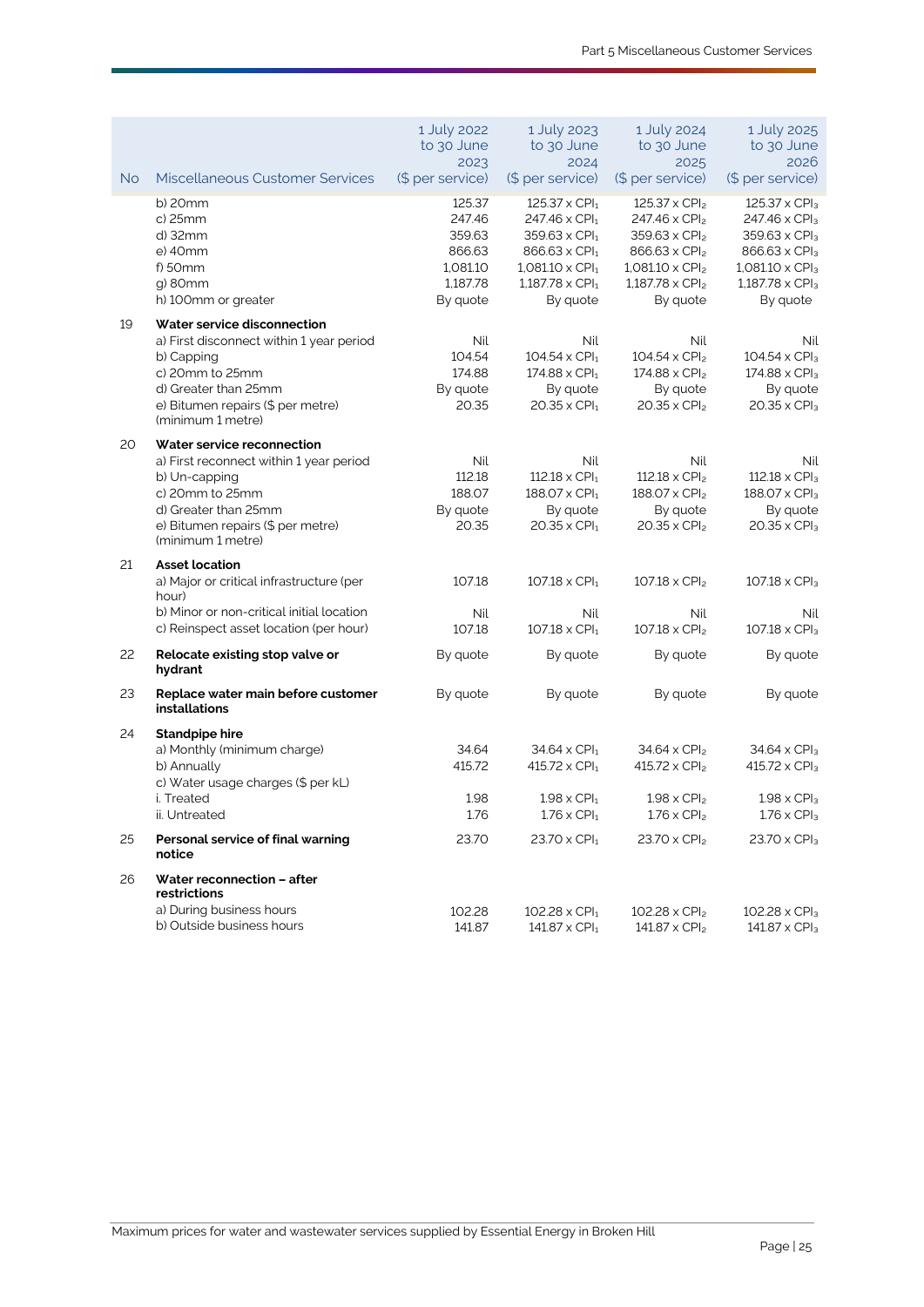|    |                                                                                                                                                                                             | 1 July 2022<br>to 30 June<br>2023                                        | 1 July 2023<br>to 30 June<br>2024                                                                                                                                                          | 1 July 2024<br>to 30 June<br>2025                                                                                                                                         | 1 July 2025<br>to 30 June<br>2026                                                                                                                                             |
|----|---------------------------------------------------------------------------------------------------------------------------------------------------------------------------------------------|--------------------------------------------------------------------------|--------------------------------------------------------------------------------------------------------------------------------------------------------------------------------------------|---------------------------------------------------------------------------------------------------------------------------------------------------------------------------|-------------------------------------------------------------------------------------------------------------------------------------------------------------------------------|
| No | <b>Miscellaneous Customer Services</b>                                                                                                                                                      | (\$ per service)                                                         | (\$ per service)                                                                                                                                                                           | (\$ per service)                                                                                                                                                          | (\$ per service)                                                                                                                                                              |
|    | b) 20mm<br>c) 25mm<br>d) 32mm<br>e) 40mm<br>$f$ ) 50 $mm$<br>g) 80mm<br>h) 100mm or greater                                                                                                 | 125.37<br>247.46<br>359.63<br>866.63<br>1,081.10<br>1,187.78<br>By quote | $125.37 \times$ CPI <sub>1</sub><br>$247.46 \times CPI1$<br>$359.63 \times$ CPI <sub>1</sub><br>866.63 x CPI <sub>1</sub><br>$1,081.10 \times CPI_1$<br>$1,187.78 \times CPI1$<br>By quote | $125.37 \times CPI_2$<br>247.46 x CPI <sub>2</sub><br>$359.63 \times CPI2$<br>866.63 x CPI <sub>2</sub><br>$1,081.10 \times CPI_2$<br>$1,187.78 \times CPI_2$<br>By quote | $125.37 \times CPI3$<br>247.46 x CPI <sub>3</sub><br>359.63 x CPI <sub>3</sub><br>866.63 x CPI <sub>3</sub><br>$1,081.10 \times CPI_3$<br>$1,187.78 \times CPI_3$<br>By quote |
| 19 | Water service disconnection<br>a) First disconnect within 1 year period<br>b) Capping<br>c) 20mm to 25mm<br>d) Greater than 25mm<br>e) Bitumen repairs (\$ per metre)<br>(minimum 1 metre)  | Nil<br>104.54<br>174.88<br>By quote<br>20.35                             | Nil<br>$104.54 \times CPI1$<br>$174.88 \times CPI_1$<br>By quote<br>$20.35 \times$ CPI <sub>1</sub>                                                                                        | Nil<br>$104.54 \times CPI2$<br>$174.88 \times CPI2$<br>By quote<br>$20.35 \times CPI2$                                                                                    | Nil<br>$104.54 \times CPI3$<br>174.88 x CPI <sub>3</sub><br>By quote<br>$20.35 \times CPI3$                                                                                   |
| 20 | Water service reconnection<br>a) First reconnect within 1 year period<br>b) Un-capping<br>c) 20mm to 25mm<br>d) Greater than 25mm<br>e) Bitumen repairs (\$ per metre)<br>(minimum 1 metre) | Nil<br>112.18<br>188.07<br>By quote<br>20.35                             | Nil<br>$112.18 \times CPI_1$<br>$188.07 \times$ CPI <sub>1</sub><br>By quote<br>$20.35 \times$ CPI <sub>1</sub>                                                                            | Nil<br>$112.18 \times CPI_2$<br>$188.07 \times CPI_2$<br>By quote<br>$20.35 \times CPI_2$                                                                                 | Nil<br>$112.18 \times CPI3$<br>188.07 x CPI <sub>3</sub><br>By quote<br>$20.35 \times CPI3$                                                                                   |
| 21 | <b>Asset location</b><br>a) Major or critical infrastructure (per<br>hour)<br>b) Minor or non-critical initial location<br>c) Reinspect asset location (per hour)                           | 107.18<br>Nil<br>107.18                                                  | $107.18 \times$ CPI <sub>1</sub><br>Nil<br>$107.18 \times CPI_1$                                                                                                                           | $107.18 \times CPI_2$<br>Nil<br>$107.18 \times CPI_2$                                                                                                                     | $107.18 \times CPI3$<br>Nil<br>$107.18 \times CPI3$                                                                                                                           |
| 22 | Relocate existing stop valve or<br>hydrant                                                                                                                                                  | By quote                                                                 | By quote                                                                                                                                                                                   | By quote                                                                                                                                                                  | By quote                                                                                                                                                                      |
| 23 | Replace water main before customer<br><b>installations</b>                                                                                                                                  | By quote                                                                 | By quote                                                                                                                                                                                   | By quote                                                                                                                                                                  | By quote                                                                                                                                                                      |
| 24 | <b>Standpipe hire</b><br>a) Monthly (minimum charge)<br>b) Annually<br>c) Water usage charges (\$ per kL)<br>i. Treated<br>ii. Untreated                                                    | 34.64<br>415.72<br>1.98<br>1.76                                          | $34.64 \times$ CPI <sub>1</sub><br>$415.72 \times CPI_1$<br>$1.98 \times$ CPI <sub>1</sub><br>$1.76 \times$ CPI <sub>1</sub>                                                               | $34.64 \times CPI2$<br>$415.72 \times CPI_2$<br>$1.98 \times CPI2$<br>$1.76 \times CPI2$                                                                                  | 34.64 x CPI <sub>3</sub><br>$415.72 \times CPI3$<br>$1.98 \times CP$ <sub>3</sub><br>$1.76 \times CPI3$                                                                       |
| 25 | Personal service of final warning<br>notice                                                                                                                                                 | 23.70                                                                    | $23.70 \times$ CPI <sub>1</sub>                                                                                                                                                            | $23.70 \times CPI_2$                                                                                                                                                      | 23.70 x CPI <sub>3</sub>                                                                                                                                                      |
| 26 | Water reconnection - after<br>restrictions                                                                                                                                                  |                                                                          |                                                                                                                                                                                            |                                                                                                                                                                           |                                                                                                                                                                               |
|    | a) During business hours<br>b) Outside business hours                                                                                                                                       | 102.28<br>141.87                                                         | $102.28 \times$ CPI <sub>1</sub><br>$141.87 \times$ CPI <sub>1</sub>                                                                                                                       | $102.28 \times CPI_2$<br>141.87 x $CPI2$                                                                                                                                  | $102.28 \times CPI_3$<br>141.87 x CPI <sub>3</sub>                                                                                                                            |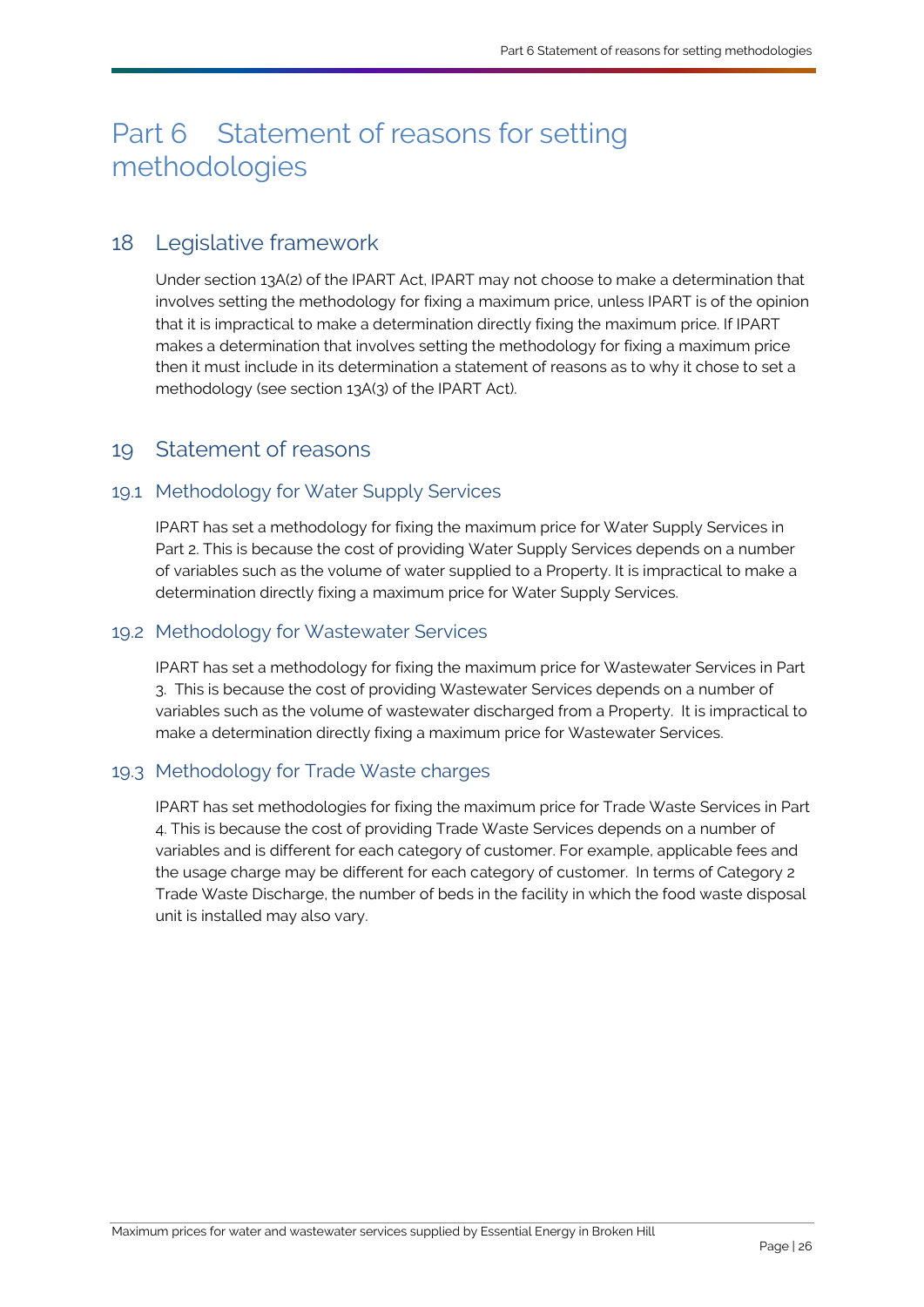# <span id="page-28-3"></span><span id="page-28-0"></span>Part 6 Statement of reasons for setting methodologies

# <span id="page-28-1"></span>18 Legislative framework

Under section 13A(2) of the [IPART Act,](#page-33-3) [IPART](#page-33-2) may not choose to make a determination that involves setting the methodology for fixing a maximum price, unless [IPART](#page-33-2) is of the opinion that it is impractical to make a determination directly fixing the maximum price. I[f IPART](#page-33-2) makes a determination that involves setting the methodology for fixing a maximum price then it must include in its determination a statement of reasons as to why it chose to set a methodology (see section 13A(3) of the IPART Act).

## <span id="page-28-2"></span>19 Statement of reasons

#### 19.1 Methodology for Water Supply Services

[IPART](#page-33-2) has set a methodology for fixing the maximum price for [Water Supply Services](#page-36-0) in Part 2. This is because the cost of providing [Water Supply Services](#page-36-0) depends on a number of variables such as the volume of water supplied to a [Property.](#page-35-0) It is impractical to make a determination directly fixing a maximum price for Water Supply Services.

#### 19.2 Methodology for Wastewater Services

[IPART](#page-33-2) has set a methodology for fixing the maximum price for [Wastewater Services](#page-36-1) in Part 3. This is because the cost of providin[g Wastewater Services](#page-36-1) depends on a number of variables such as the volume of wastewater discharged from a [Property.](#page-35-0) It is impractical to make a determination directly fixing a maximum price for Wastewater Services.

### 19.3 Methodology for Trade Waste charges

[IPART](#page-33-2) has set methodologies for fixing the maximum price for [Trade Waste Services](#page-36-2) in [Part](#page-17-3)  [4.](#page-17-3) This is because the cost of providing [Trade Waste Services](#page-36-2) depends on a number of variables and is different for each category of customer. For example, applicable fees and the usage charge may be different for each category of customer. In terms of Category 2 Trade Waste Discharge, the number of beds in the facility in which the food waste disposal unit is installed may also vary.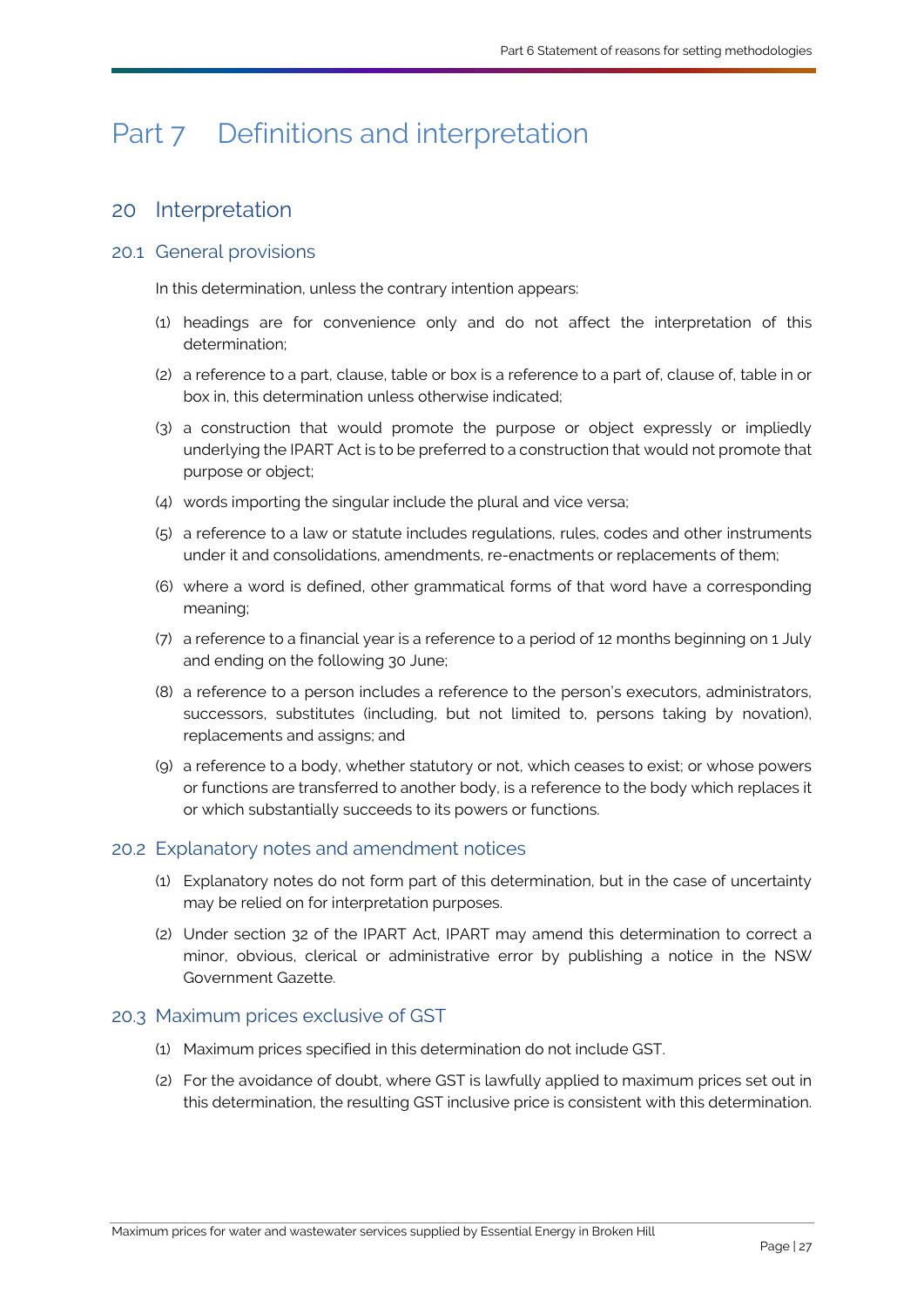# <span id="page-29-2"></span><span id="page-29-0"></span>Part 7 Definitions and interpretation

# <span id="page-29-1"></span>20 Interpretation

## 20.1 General provisions

In this determination, unless the contrary intention appears:

- (1) headings are for convenience only and do not affect the interpretation of this determination;
- (2) a reference to a part, clause, table or box is a reference to a part of, clause of, table in or box in, this determination unless otherwise indicated;
- (3) a construction that would promote the purpose or object expressly or impliedly underlying the [IPART Act](#page-33-3) is to be preferred to a construction that would not promote that purpose or object;
- (4) words importing the singular include the plural and vice versa;
- (5) a reference to a law or statute includes regulations, rules, codes and other instruments under it and consolidations, amendments, re-enactments or replacements of them;
- (6) where a word is defined, other grammatical forms of that word have a corresponding meaning;
- (7) a reference to a financial year is a reference to a period of 12 months beginning on 1 July and ending on the following 30 June;
- (8) a reference to a person includes a reference to the person's executors, administrators, successors, substitutes (including, but not limited to, persons taking by novation), replacements and assigns; and
- (9) a reference to a body, whether statutory or not, which ceases to exist; or whose powers or functions are transferred to another body, is a reference to the body which replaces it or which substantially succeeds to its powers or functions.

## 20.2 Explanatory notes and amendment notices

- (1) Explanatory notes do not form part of this determination, but in the case of uncertainty may be relied on for interpretation purposes.
- (2) Under section 32 of the IPART Act, IPART may amend this determination to correct a minor, obvious, clerical or administrative error by publishing a notice in the NSW Government Gazette.

### 20.3 Maximum prices exclusive of [GST](#page-33-8)

- (1) Maximum prices specified in this determination do not includ[e GST.](#page-33-8)
- (2) For the avoidance of doubt, where [GST](#page-33-8) is lawfully applied to maximum prices set out in this determination, the resultin[g GST](#page-33-8) inclusive price is consistent with this determination.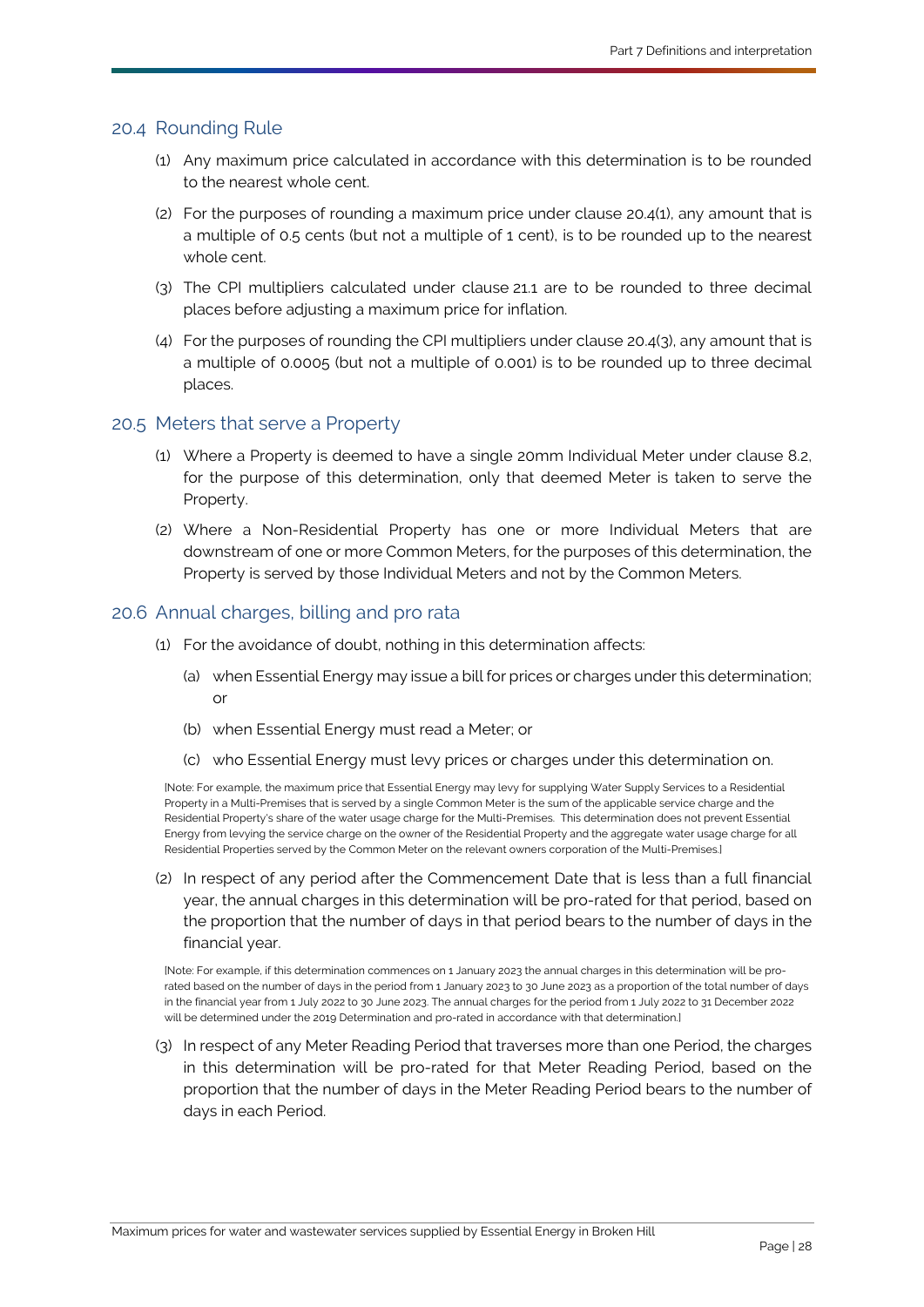#### <span id="page-30-5"></span>20.4 Rounding Rule

- (1) Any maximum price calculated in accordance with this determination is to be rounded to the nearest whole cent.
- (2) For the purposes of rounding a maximum price under clause [20.4\(1\),](#page-30-5) any amount that is a multiple of 0.5 cents (but not a multiple of 1 cent), is to be rounded up to the nearest whole cent.
- <span id="page-30-6"></span>(3) The CPI multipliers calculated under clause [21.1](#page-31-3) are to be rounded to three decimal places before adjusting a maximum price for inflation.
- (4) For the purposes of rounding the CPI multipliers under clause [20.4\(3\),](#page-30-6) any amount that is a multiple of 0.0005 (but not a multiple of 0.001) is to be rounded up to three decimal places.

#### <span id="page-30-0"></span>20.5 [Meters](#page-33-4) that serve a [Property](#page-35-0)

- (1) Where a [Property](#page-35-0) is deemed to have a single 20mm [Individual Meter](#page-33-5) under clause [8.2,](#page-7-0) for the purpose of this determination, only that deemed Meter is taken to serve the [Property.](#page-35-0)
- <span id="page-30-1"></span>(2) Where a [Non-Residential Property](#page-35-3) has one or more [Individual Meters](#page-33-5) that are downstream of one or more [Common Meters](#page-32-1), for the purposes of this determination, the [Property](#page-35-0) is served by those [Individual Meters](#page-33-5) and not by the [Common Meters](#page-32-1).

#### 20.6 Annual charges, billing and pro rata

- (1) For the avoidance of doubt, nothing in this determination affects:
	- (a) when [Essential Energy](#page-33-0) may issue a bill for prices or charges under this determination; or
	- (b) when [Essential Energy](#page-33-0) must read a [Meter;](#page-33-4) or
	- (c) wh[o Essential Energy](#page-33-0) must levy prices or charges under this determination on.

<span id="page-30-2"></span>[Note: For example, the maximum price that [Essential Energy](#page-33-0) may levy for supplying [Water Supply Services](#page-36-0) to [a Residential](#page-35-2)  [Property](#page-35-2) in a [Multi-Premises](#page-34-6) that is served by a singl[e Common Meter](#page-32-1) is the sum of the applicable service charge and the [Residential Property's](#page-35-2) share of the water usage charge for th[e Multi-Premises.](#page-34-6) This determination does not preven[t Essential](#page-33-0)  [Energy](#page-33-0) from levying the service charge on the owner of th[e Residential Property](#page-35-2) and the aggregate water usage charge for all [Residential Properties](#page-35-7) served by th[e Common Meter](#page-32-1) on the relevant owners corporation of th[e Multi-Premises.\]](#page-34-6)

<span id="page-30-4"></span>(2) In respect of any period after the [Commencement Date](#page-32-0) that is less than a full financial year, the annual charges in this determination will be pro-rated for that period, based on the proportion that the number of days in that period bears to the number of days in the financial year.

[Note: For example, if this determination commences on 1 January 2023 the annual charges in this determination will be prorated based on the number of days in the period from 1 January 2023 to 30 June 2023 as a proportion of the total number of days in the financial year from 1 July 2022 to 30 June 2023. The annual charges for the period from 1 July 2022 to 31 December 2022 will be determined under th[e 2019 Determination](#page-31-1) and pro-rated in accordance with that determination I

<span id="page-30-3"></span>(3) In respect of any [Meter Reading Period](#page-34-7) that traverses more than one [Period,](#page-35-5) the charges in this determination will be pro-rated for that [Meter Reading Period,](#page-34-7) based on the proportion that the number of days in the [Meter Reading Period](#page-34-7) bears to the number of days in each [Period.](#page-35-5)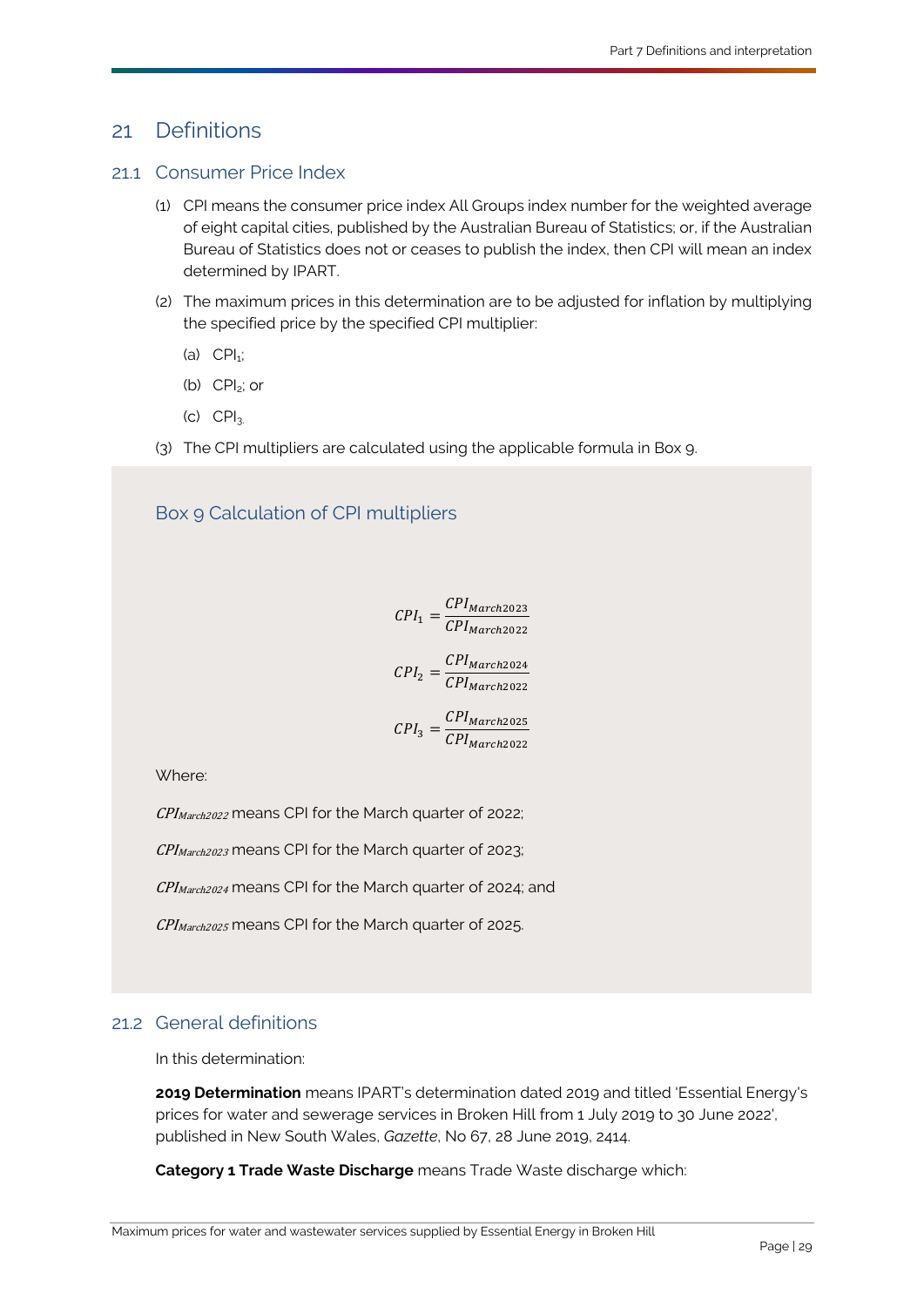# <span id="page-31-3"></span><span id="page-31-0"></span>21 Definitions

#### 21.1 Consumer Price Index

- (1) CPI means the consumer price index All Groups index number for the weighted average of eight capital cities, published by the Australian Bureau of Statistics; or, if the Australian Bureau of Statistics does not or ceases to publish the index, then CPI will mean an index determined by IPART.
- (2) The maximum prices in this determination are to be adjusted for inflation by multiplying the specified price by the specified CPI multiplier:
	- (a)  $\text{CPI}_{1}$ ;
	- (b) CPI2; or
	- $(C)$   $CPI<sub>3</sub>$
- (3) The CPI multipliers are calculated using the applicable formula in Box 9.

## Box 9 Calculation of CPI multipliers

 $I_1 = \frac{CPI_{March2023}}{CPI_{March2022}}$ 

$$
CPI_2 = \frac{CPI_{March2024}}{CPI_{March2022}}
$$

$$
CPI_3 = \frac{CPI_{March2025}}{CPI_{March2022}}
$$

Where:

CPI<sub>March2022</sub> means CPI for the March quarter of 2022;

 $CPI_{March2023}$  means CPI for the March quarter of 2023;

 $CPI_{March2024}$  means CPI for the March quarter of 2024; and

CPI<sub>March2025</sub> means CPI for the March quarter of 2025.

#### 21.2 General definitions

In this determination:

<span id="page-31-1"></span>**2019 Determination** means [IPART's](#page-33-2) determination dated 2019 and titled ['Essential Energy's](#page-33-0) prices for water and sewerage services in Broken Hill from 1 July 2019 to 30 June 2022', published in New South Wales, *Gazette*, No 67, 28 June 2019, 2414.

<span id="page-31-2"></span>**Category 1 Trade Waste Discharge** means [Trade Waste](#page-36-8) discharge which: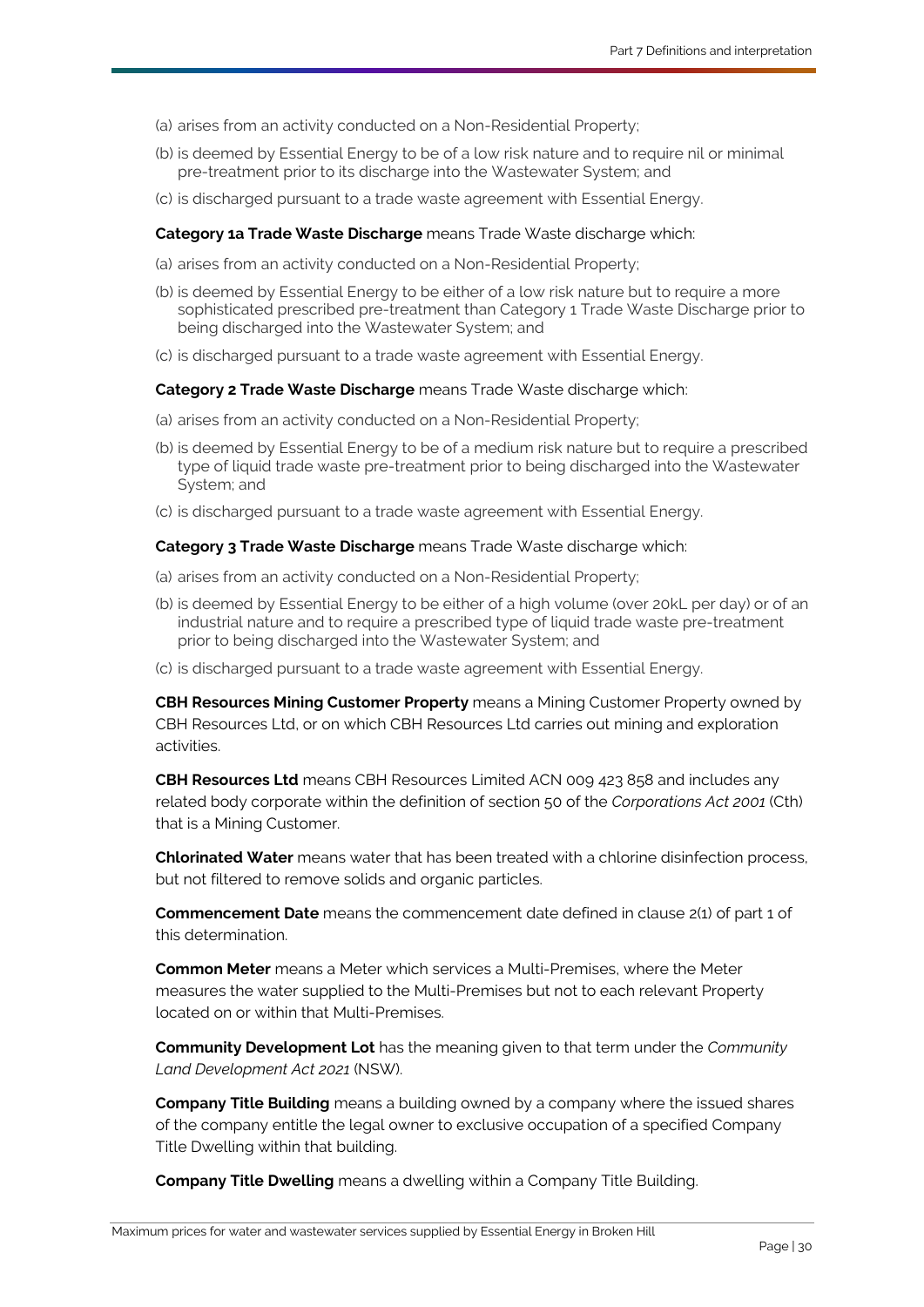- (a) arises from an activity conducted on [a Non-Residential Property;](#page-35-3)
- (b) is deemed by [Essential Energy](#page-33-0) to be of a low risk nature and to require nil or minimal pre-treatment prior to its discharge into the [Wastewater System;](#page-36-4) and
- (c) is discharged pursuant to a trade waste agreement with [Essential Energy.](#page-33-0)

#### <span id="page-32-2"></span>**Category 1a Trade Waste Discharge** mean[s Trade Waste](#page-36-8) discharge which:

- (a) arises from an activity conducted on [a Non-Residential Property;](#page-35-3)
- (b) is deemed by [Essential Energy](#page-33-0) to be either of a low risk nature but to require a more sophisticated prescribed pre-treatment than [Category 1 Trade Waste Discharge](#page-31-2) prior to being discharged into the [Wastewater System;](#page-36-4) and
- (c) is discharged pursuant to a trade waste agreement with [Essential Energy.](#page-33-0)

#### <span id="page-32-3"></span>**Category 2 Trade Waste Discharge** mean[s Trade Waste](#page-36-8) discharge which:

- (a) arises from an activity conducted on a [Non-Residential Property;](#page-35-3)
- (b) is deemed by [Essential Energy](#page-33-0) to be of a medium risk nature but to require a prescribed type of liquid trade waste pre-treatment prior to being discharged into the [Wastewater](#page-36-4)  [System;](#page-36-4) and
- (c) is discharged pursuant to a trade waste agreement with [Essential Energy.](#page-33-0)

#### <span id="page-32-4"></span>**Category 3 Trade Waste Discharge** means [Trade Waste](#page-36-8) discharge which:

- (a) arises from an activity conducted on [a Non-Residential Property;](#page-35-3)
- (b) is deemed by [Essential Energy](#page-33-0) to be either of a high volume (over 2[0kL](#page-33-6) per day) or of an industrial nature and to require a prescribed type of liquid trade waste pre-treatment prior to being discharged into the [Wastewater System;](#page-36-4) and
- (c) is discharged pursuant to a trade waste agreement with [Essential Energy.](#page-33-0)

<span id="page-32-5"></span>**CBH Resources Mining Customer Property** means a [Mining Customer Property](#page-34-4) owned by [CBH Resources Ltd,](#page-32-7) or on which [CBH Resources Ltd](#page-32-7) carries out mining and exploration activities.

<span id="page-32-7"></span>**CBH Resources Ltd** means CBH Resources Limited ACN 009 423 858 and includes any related body corporate within the definition of section 50 of the *Corporations Act 2001* (Cth) that is a [Mining Customer.](#page-34-10)

<span id="page-32-6"></span>**Chlorinated Water** means water that has been treated with a chlorine disinfection process, but not filtered to remove solids and organic particles.

<span id="page-32-0"></span>**Commencement Date** means the commencement date defined in clause [2\(1\)](#page-3-7) of part 1 of this determination.

<span id="page-32-1"></span>**Common Meter** means a [Meter](#page-33-4) which services a [Multi-Premises,](#page-34-6) where the [Meter](#page-33-4) measures the water supplied to the [Multi-Premises](#page-34-6) but not to each relevant [Property](#page-35-0) located on or within that [Multi-Premises.](#page-34-6)

<span id="page-32-10"></span>**Community Development Lot** has the meaning given to that term under the *Community Land Development Act 2021* (NSW).

<span id="page-32-9"></span>**Company Title Building** means a building owned by a company where the issued shares of the company entitle the legal owner to exclusive occupation of a specified [Company](#page-32-8)  [Title Dwelling](#page-32-8) within that building.

<span id="page-32-8"></span>**Company Title Dwelling** means a dwelling within a [Company Title Building.](#page-32-9)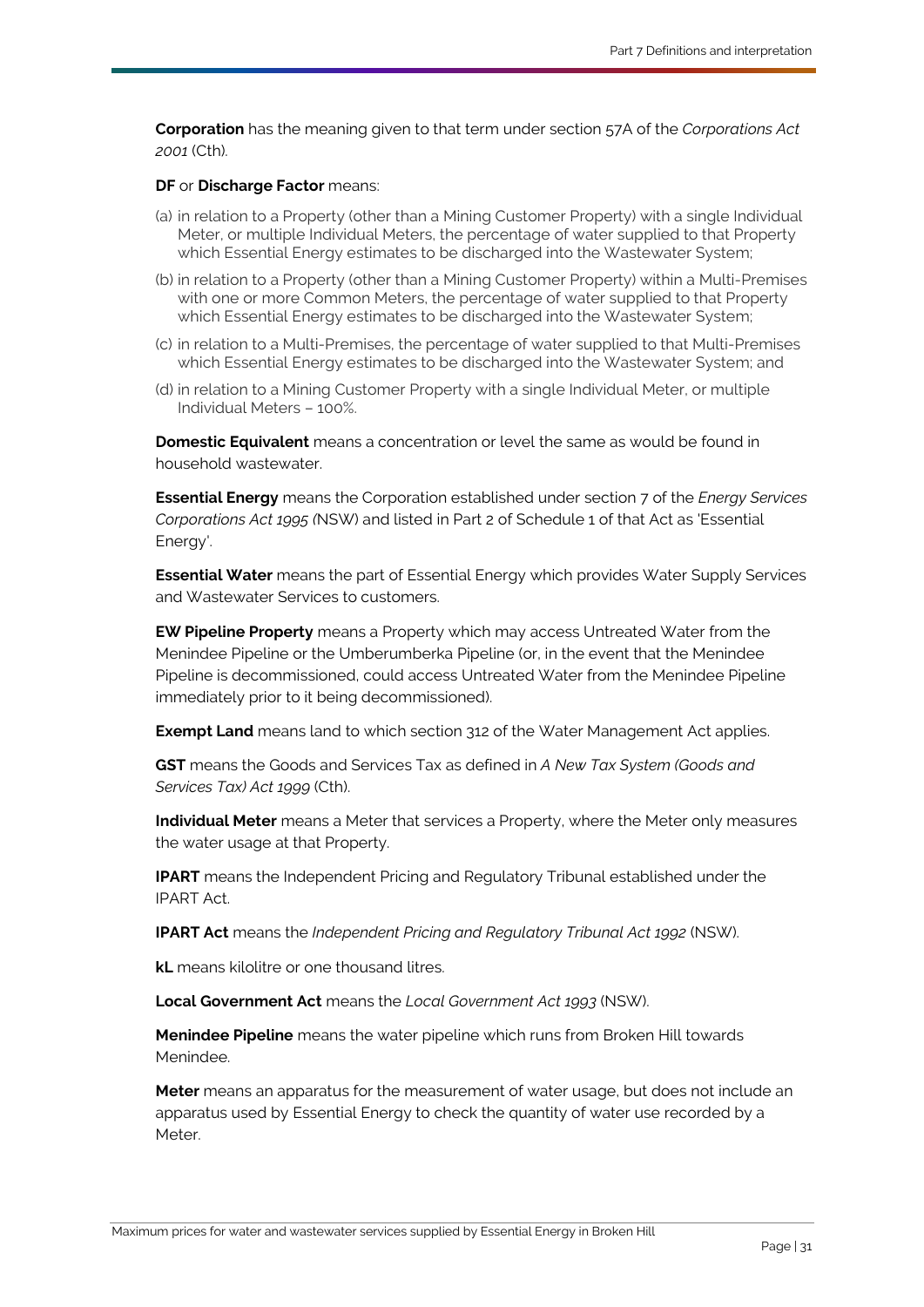<span id="page-33-9"></span>**Corporation** has the meaning given to that term under section 57A of the *Corporations Act 2001* (Cth).

#### <span id="page-33-7"></span>**DF** or **Discharge Factor** means:

- (a) in relation to a [Property](#page-35-0) (other than [a Mining Customer Property\)](#page-34-4) with a singl[e Individual](#page-33-5)  [Meter,](#page-33-5) or multiple [Individual Meters](#page-33-5), the percentage of water supplied to that [Property](#page-35-0) which [Essential Energy](#page-33-0) estimates to be discharged into the [Wastewater System;](#page-36-4)
- (b) in relation to a [Property](#page-35-0) (other than [a Mining Customer Property\)](#page-34-4) within a [Multi-Premises](#page-34-6) with one or more [Common Meters](#page-32-1), the percentage of water supplied to that Property which [Essential Energy](#page-33-0) estimates to be discharged into the [Wastewater System;](#page-36-4)
- (c) in relation to a [Multi-Premises,](#page-34-6) the percentage of water supplied to that [Multi-Premises](#page-34-6) which [Essential Energy](#page-33-0) estimates to be discharged into the [Wastewater System;](#page-36-4) and
- (d) in relation to a [Mining Customer Property](#page-34-4) with a single [Individual Meter,](#page-33-5) or multiple [Individual Meters](#page-33-5) – 100%.

<span id="page-33-12"></span>**Domestic Equivalent** means a concentration or level the same as would be found in household wastewater.

<span id="page-33-0"></span>**Essential Energy** means the [Corporation](#page-33-9) established under section 7 of the *Energy Services Corporations Act 1995 (*NSW) and listed in Part 2 of Schedule 1 of that Act as 'Essential Energy'.

<span id="page-33-13"></span>**Essential Water** means the part of [Essential Energy](#page-33-0) which provides Water Supply Services and [Wastewater Services](#page-36-1) to customers.

<span id="page-33-1"></span>**EW Pipeline Property** means a [Property](#page-35-0) which may access [Untreated Water](#page-36-7) from the [Menindee Pipeline](#page-33-10) or the [Umberumberka Pipeline](#page-36-11) (or, in the event that the [Menindee](#page-33-10)  [Pipeline](#page-33-10) is decommissioned, could access [Untreated Water](#page-36-7) from the [Menindee Pipeline](#page-33-10) immediately prior to it being decommissioned).

**Exempt Land** means land to which section 312 of the [Water Management Act](#page-36-12) applies.

<span id="page-33-8"></span>**GST** means the Goods and Services Tax as defined in *A New Tax System (Goods and Services Tax) Act 1999* (Cth).

<span id="page-33-5"></span>**Individual Meter** means a [Meter](#page-33-4) that services a [Property,](#page-35-0) where the [Meter](#page-33-4) only measures the water usage at that [Property.](#page-35-0)

<span id="page-33-2"></span>**IPART** means the Independent Pricing and Regulatory Tribunal established under the [IPART Act.](#page-33-3)

<span id="page-33-3"></span>**IPART Act** means the *Independent Pricing and Regulatory Tribunal Act 1992* (NSW).

<span id="page-33-6"></span>**kL** means kilolitre or one thousand litres.

<span id="page-33-11"></span>**Local Government Act** means the *Local Government Act 1993* (NSW).

<span id="page-33-10"></span>**Menindee Pipeline** means the water pipeline which runs from Broken Hill towards Menindee.

<span id="page-33-4"></span>**Meter** means an apparatus for the measurement of water usage, but does not include an apparatus used by [Essential Energy](#page-33-0) to check the quantity of water use recorded by a Meter.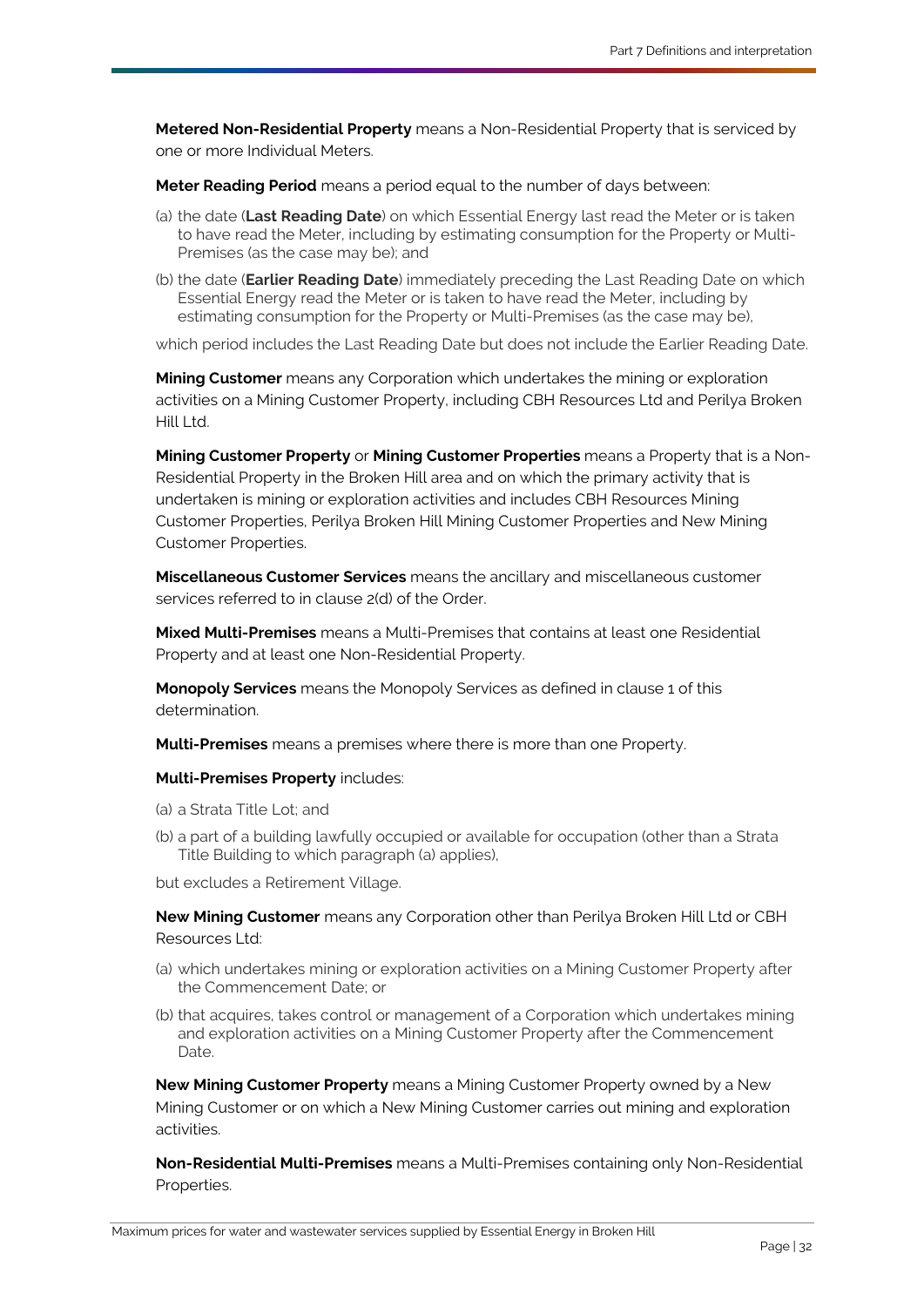<span id="page-34-8"></span>**Metered Non-Residential Property** means a [Non-Residential Property](#page-35-3) that is serviced by one or more [Individual Meters](#page-33-5).

<span id="page-34-7"></span>**Meter Reading Period** means a period equal to the number of days between:

- (a) the date (**Last Reading Date**) on which [Essential Energy](#page-33-0) last read the [Meter](#page-33-4) or is taken to have read th[e Meter,](#page-33-4) including by estimating consumption for the [Property](#page-35-0) or [Multi-](#page-34-6)[Premises](#page-34-6) (as the case may be); and
- (b) the date (**Earlier Reading Date**) immediately preceding the Last Reading Date on which [Essential Energy](#page-33-0) read the [Meter](#page-33-4) or is taken to have read the [Meter,](#page-33-4) including by estimating consumption for the [Property](#page-35-0) or [Multi-Premises](#page-34-6) (as the case may be),

which period includes the Last Reading Date but does not include the Earlier Reading Date.

<span id="page-34-10"></span>**Mining Customer** means any [Corporation](#page-33-9) which undertakes the mining or exploration activities on a [Mining Customer Property,](#page-34-4) including [CBH Resources Ltd](#page-32-7) and [Perilya Broken](#page-35-9)  [Hill Ltd.](#page-35-9)

<span id="page-34-5"></span><span id="page-34-4"></span>**Mining Customer Property** or **Mining Customer Properties** means a [Property](#page-35-0) that is a [Non-](#page-35-3)[Residential Property](#page-35-3) in the Broken Hill area and on which the primary activity that is undertaken is mining or exploration activities and includes CBH Resources Mining Customer Properties, Perilya Broken Hill Mining Customer Properties and New Mining Customer Properties.

<span id="page-34-0"></span>**Miscellaneous Customer Services** means the ancillary and miscellaneous customer services referred to in clause 2(d) of the [Order.](#page-35-4) 

<span id="page-34-2"></span>**Mixed Multi-Premises** means a [Multi-Premises](#page-34-6) that contains at least one [Residential](#page-35-2)  [Property](#page-35-2) and at least one [Non-Residential Property.](#page-35-3)

<span id="page-34-1"></span>**Monopoly Services** means the Monopoly Services as defined in clause [1](#page-3-8) of this determination.

<span id="page-34-6"></span>**Multi-Premises** means a premises where there is more than one [Property.](#page-35-0)

#### **Multi-Premises Property** includes:

- (a) [a Strata Title Lot;](#page-36-13) and
- (b) a part of a building lawfully occupied or available for occupation (other than a [Strata](#page-36-14)  [Title Building](#page-36-14) to which paragraph (a) applies),

but excludes a Retirement Village.

<span id="page-34-11"></span>**New Mining Customer** means any [Corporation](#page-33-9) other than [Perilya Broken Hill Ltd](#page-35-9) or [CBH](#page-32-7) [Resources Ltd:](#page-32-7)

- (a) which undertakes mining or exploration activities on a [Mining Customer Property](#page-34-4) after the [Commencement Date;](#page-32-0) or
- (b) that acquires, takes control or management of [a Corporation](#page-33-9) which undertakes mining and exploration activities on a [Mining Customer Property](#page-34-4) after the [Commencement](#page-32-0)  [Date.](#page-32-0)

<span id="page-34-3"></span>**New Mining Customer Property** means a [Mining Customer Property](#page-34-4) owned by a [New](#page-34-11)  [Mining Customer](#page-34-11) or on which a [New Mining Customer](#page-34-11) carries out mining and exploration activities.

<span id="page-34-9"></span>**Non-Residential Multi-Premises** means a [Multi-Premises](#page-34-6) containing only Non-Residential Properties.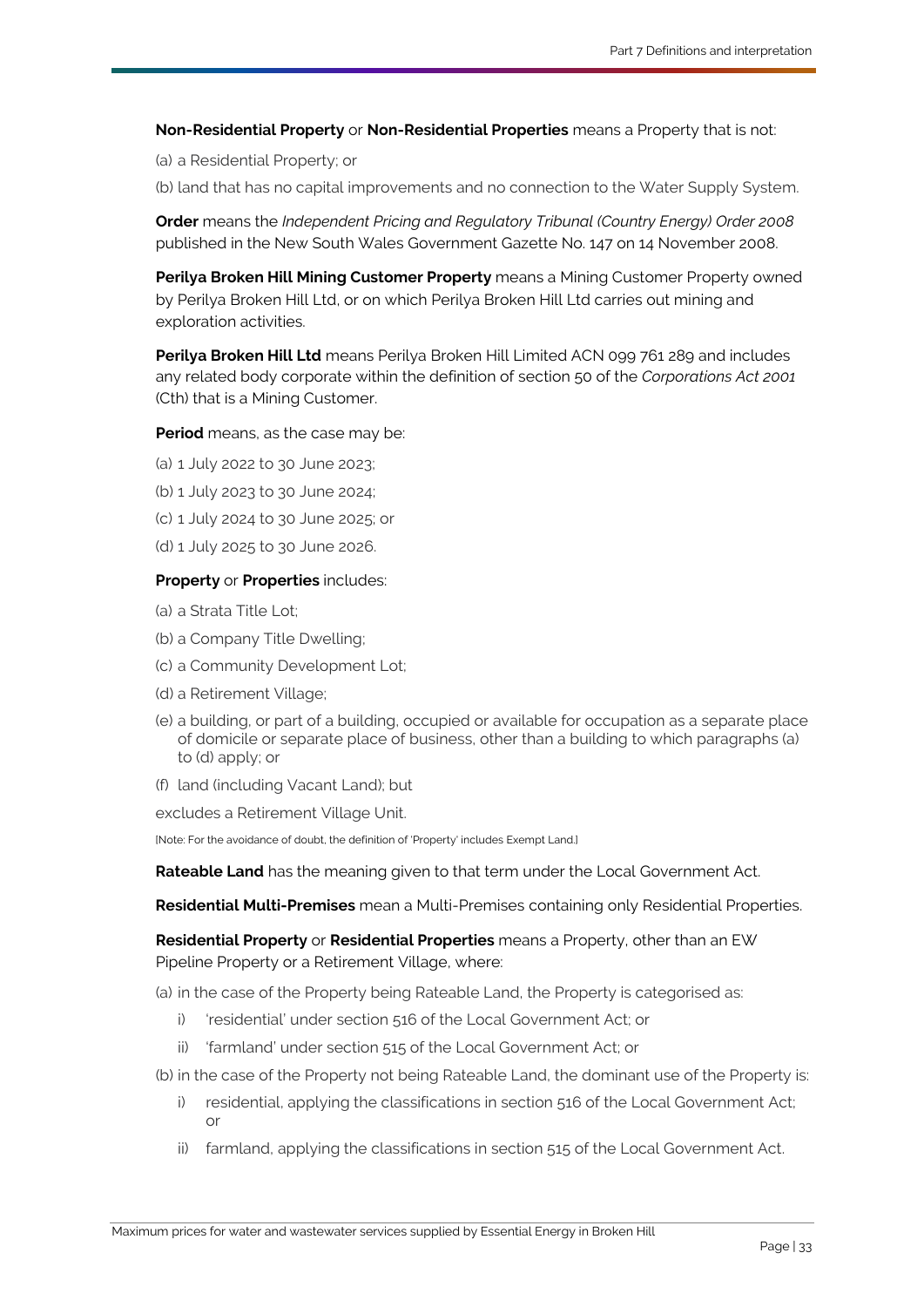<span id="page-35-8"></span><span id="page-35-3"></span>**Non-Residential Property** or **Non-Residential Properties** means a [Property](#page-35-0) that is not:

(a) [a Residential Property;](#page-35-2) or

(b) land that has no capital improvements and no connection to the [Water Supply System.](#page-37-0)

<span id="page-35-4"></span>**Order** means the *Independent Pricing and Regulatory Tribunal (Country Energy) Order 2008*  published in the New South Wales Government Gazette No. 147 on 14 November 2008.

<span id="page-35-6"></span>**Perilya Broken Hill Mining Customer Property** means a [Mining Customer Property](#page-34-4) owned by [Perilya Broken Hill Ltd,](#page-35-9) or on which [Perilya Broken Hill Ltd](#page-35-9) carries out mining and exploration activities.

<span id="page-35-9"></span>**Perilya Broken Hill Ltd** means Perilya Broken Hill Limited ACN 099 761 289 and includes any related body corporate within the definition of section 50 of the *Corporations Act 2001* (Cth) that is a [Mining Customer.](#page-34-10)

#### <span id="page-35-5"></span>**Period** means, as the case may be:

- (a) 1 July 2022 to 30 June 2023;
- (b) 1 July 2023 to 30 June 2024;
- (c) 1 July 2024 to 30 June 2025; or
- (d) 1 July 2025 to 30 June 2026.

#### <span id="page-35-1"></span><span id="page-35-0"></span>**Property** or **Properties** includes:

- <span id="page-35-10"></span>(a) [a Strata Title Lot;](#page-36-13)
- (b) [a Company Title Dwelling;](#page-32-8)
- (c) [a Community Development Lot;](#page-32-10)
- <span id="page-35-11"></span>(d) [a Retirement Village;](#page-36-15)
- (e) a building, or part of a building, occupied or available for occupation as a separate place of domicile or separate place of business, other than a building to which paragraphs [\(a\)](#page-35-10) to [\(d\)](#page-35-11) apply; or
- (f) land (including [Vacant Land\)](#page-36-16); but

excludes a [Retirement Village Unit.](#page-36-17)

<span id="page-35-12"></span>[Note: For the avoidance of doubt, the definition of 'Property' includes Exempt Land.]

**Rateable Land** has the meaning given to that term under the [Local Government Act.](#page-33-11)

**Residential Multi-Premises** mean a [Multi-Premises](#page-34-6) containing only [Residential Properties.](#page-35-7)

<span id="page-35-7"></span><span id="page-35-2"></span>**Residential Property** or **Residential Properties** means a [Property,](#page-35-0) other than an EW Pipeline Property or a [Retirement Village,](#page-36-15) where:

(a) in the case of the [Property](#page-35-0) bein[g Rateable Land,](#page-35-12) the [Property](#page-35-0) is categorised as:

- i) 'residential' under section 516 of th[e Local Government Act;](#page-33-11) or
- ii) 'farmland' under section 515 of the [Local Government Act;](#page-33-11) or
- (b) in the case of the [Property](#page-35-0) not being [Rateable Land,](#page-35-12) the dominant use of the [Property](#page-35-0) is:
	- i) residential, applying the classifications in section 516 of the [Local Government Act;](#page-33-11) or
	- ii) farmland, applying the classifications in section 515 of the [Local Government Act.](#page-33-11)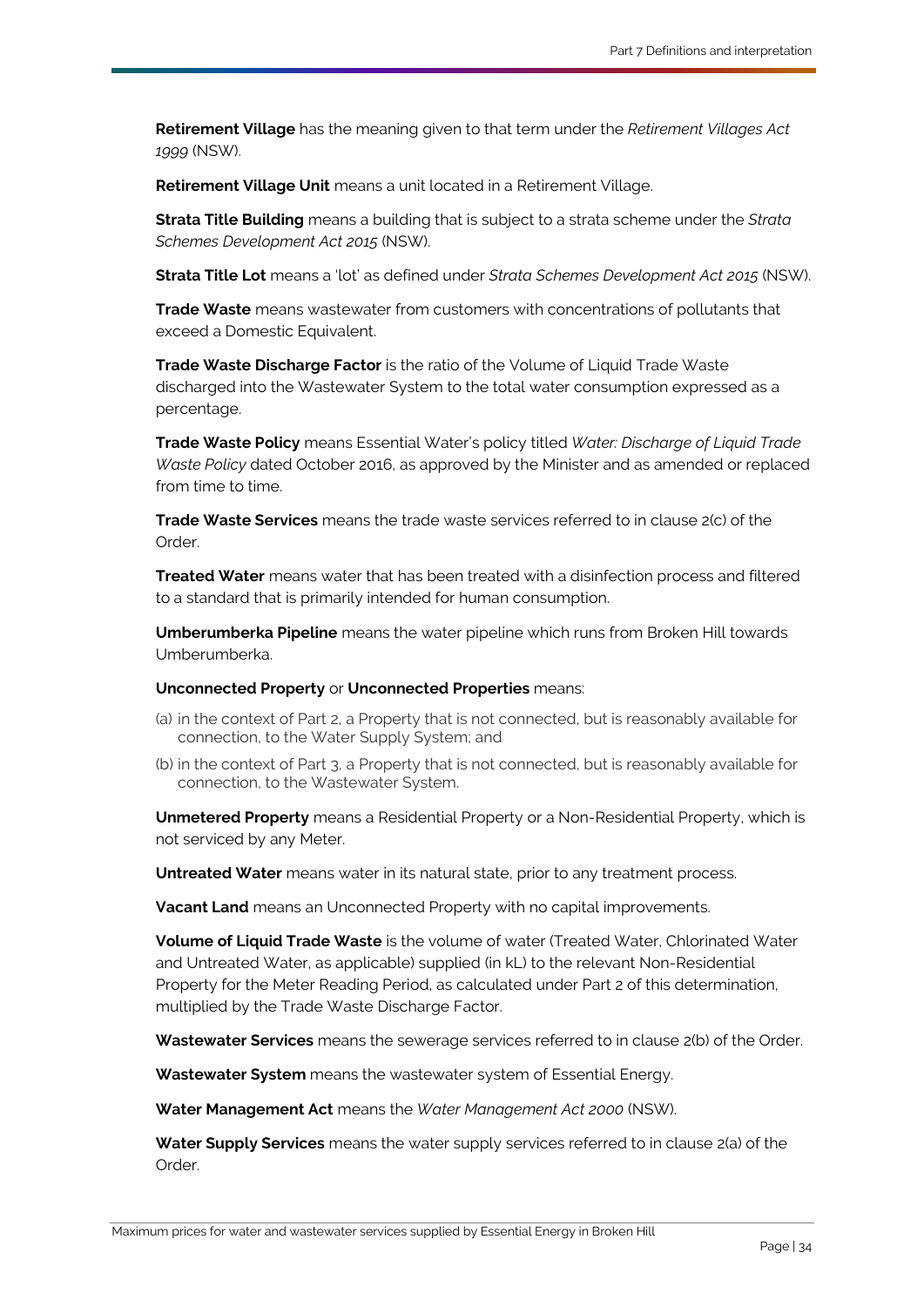<span id="page-36-15"></span>**Retirement Village** has the meaning given to that term under the *Retirement Villages Act 1999* (NSW).

<span id="page-36-17"></span>**Retirement Village Unit** means a unit located in a [Retirement Village.](#page-36-15)

<span id="page-36-14"></span>**Strata Title Building** means a building that is subject to a strata scheme under the *Strata Schemes Development Act 2015* (NSW).

<span id="page-36-13"></span>**Strata Title Lot** means a 'lot' as defined under *Strata Schemes Development Act 2015* (NSW).

<span id="page-36-8"></span>**Trade Waste** means wastewater from customers with concentrations of pollutants that exceed a [Domestic Equivalent.](#page-33-12)

<span id="page-36-18"></span>**Trade Waste Discharge Factor** is the ratio of the [Volume of Liquid Trade Waste](#page-36-10) discharged into the [Wastewater System](#page-36-4) to the total water consumption expressed as a percentage.

<span id="page-36-9"></span>**Trade Waste Policy** means [Essential Water's](#page-33-13) policy titled *Water: Discharge of Liquid Trade Waste Policy* dated October 2016, as approved by the Minister and as amended or replaced from time to time.

<span id="page-36-2"></span>**Trade Waste Services** means the trade waste services referred to in clause 2(c) of the [Order.](#page-35-4)

<span id="page-36-6"></span>**Treated Water** means water that has been treated with a disinfection process and filtered to a standard that is primarily intended for human consumption.

<span id="page-36-11"></span>**Umberumberka Pipeline** means the water pipeline which runs from Broken Hill towards Umberumberka.

#### <span id="page-36-3"></span>**Unconnected Property** or **Unconnected Properties** means:

- (a) in the context of [Part 2,](#page-6-4) a [Property](#page-35-0) that is not connected, but is reasonably available for connection, to the [Water Supply System;](#page-37-0) and
- (b) in the context of [Part 3,](#page-12-3) a [Property](#page-35-0) that is not connected, but is reasonably available for connection, to the [Wastewater System.](#page-36-4)

<span id="page-36-5"></span>**Unmetered Property** means [a Residential Property](#page-35-2) or a [Non-Residential Property,](#page-35-3) which is not serviced by any [Meter.](#page-33-4)

<span id="page-36-7"></span>**Untreated Water** means water in its natural state, prior to any treatment process.

<span id="page-36-16"></span>**Vacant Land** means a[n Unconnected Property](#page-36-3) with no capital improvements.

<span id="page-36-10"></span>**Volume of Liquid Trade Waste** is the volume of water [\(Treated Water,](#page-36-6) [Chlorinated Water](#page-32-6) and [Untreated Water,](#page-36-7) as applicable) supplied (in [kL\)](#page-33-6) to the relevant [Non-Residential](#page-35-3)  [Property](#page-35-3) for the [Meter Reading Period,](#page-34-7) as calculated under Part 2 of this determination, multiplied by the [Trade Waste Discharge Factor.](#page-36-18)

<span id="page-36-1"></span>**Wastewater Services** means the sewerage services referred to in clause 2(b) of the [Order.](#page-35-4)

<span id="page-36-4"></span>**Wastewater System** means the wastewater system o[f Essential Energy.](#page-33-0)

<span id="page-36-12"></span>**Water Management Act** means the *Water Management Act 2000* (NSW).

<span id="page-36-0"></span>**Water Supply Services** means the water supply services referred to in clause 2(a) of the [Order.](#page-35-4)